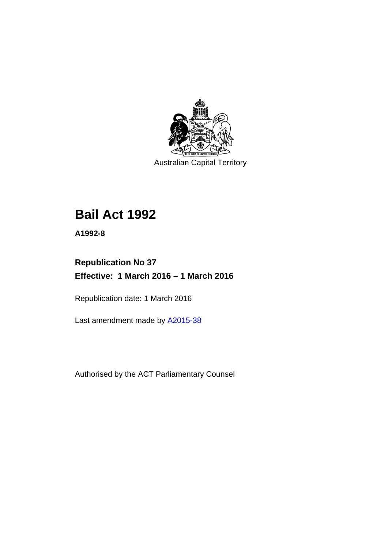

Australian Capital Territory

# **Bail Act 1992**

**A1992-8** 

# **Republication No 37 Effective: 1 March 2016 – 1 March 2016**

Republication date: 1 March 2016

Last amendment made by [A2015-38](http://www.legislation.act.gov.au/a/2015-38/default.asp)

Authorised by the ACT Parliamentary Counsel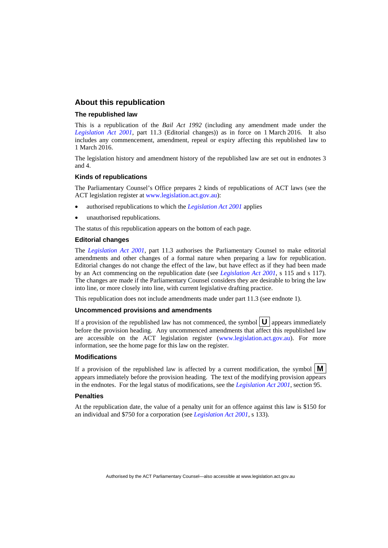### **About this republication**

#### **The republished law**

This is a republication of the *Bail Act 1992* (including any amendment made under the *[Legislation Act 2001](http://www.legislation.act.gov.au/a/2001-14)*, part 11.3 (Editorial changes)) as in force on 1 March 2016*.* It also includes any commencement, amendment, repeal or expiry affecting this republished law to 1 March 2016.

The legislation history and amendment history of the republished law are set out in endnotes 3 and 4.

#### **Kinds of republications**

The Parliamentary Counsel's Office prepares 2 kinds of republications of ACT laws (see the ACT legislation register at [www.legislation.act.gov.au](http://www.legislation.act.gov.au/)):

- authorised republications to which the *[Legislation Act 2001](http://www.legislation.act.gov.au/a/2001-14)* applies
- unauthorised republications.

The status of this republication appears on the bottom of each page.

#### **Editorial changes**

The *[Legislation Act 2001](http://www.legislation.act.gov.au/a/2001-14)*, part 11.3 authorises the Parliamentary Counsel to make editorial amendments and other changes of a formal nature when preparing a law for republication. Editorial changes do not change the effect of the law, but have effect as if they had been made by an Act commencing on the republication date (see *[Legislation Act 2001](http://www.legislation.act.gov.au/a/2001-14)*, s 115 and s 117). The changes are made if the Parliamentary Counsel considers they are desirable to bring the law into line, or more closely into line, with current legislative drafting practice.

This republication does not include amendments made under part 11.3 (see endnote 1).

#### **Uncommenced provisions and amendments**

If a provision of the republished law has not commenced, the symbol  $\mathbf{U}$  appears immediately before the provision heading. Any uncommenced amendments that affect this republished law are accessible on the ACT legislation register [\(www.legislation.act.gov.au\)](http://www.legislation.act.gov.au/). For more information, see the home page for this law on the register.

#### **Modifications**

If a provision of the republished law is affected by a current modification, the symbol  $\mathbf{M}$ appears immediately before the provision heading. The text of the modifying provision appears in the endnotes. For the legal status of modifications, see the *[Legislation Act 2001](http://www.legislation.act.gov.au/a/2001-14)*, section 95.

#### **Penalties**

At the republication date, the value of a penalty unit for an offence against this law is \$150 for an individual and \$750 for a corporation (see *[Legislation Act 2001](http://www.legislation.act.gov.au/a/2001-14)*, s 133).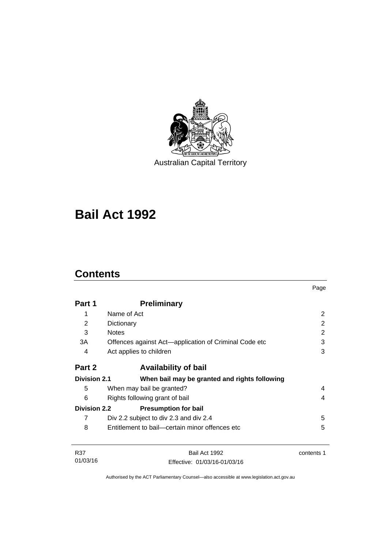

Australian Capital Territory

# **Bail Act 1992**

# **Contents**

|                     |                                                       | Page       |  |
|---------------------|-------------------------------------------------------|------------|--|
| Part 1              | <b>Preliminary</b>                                    |            |  |
| 1                   | Name of Act                                           | 2          |  |
| 2                   | Dictionary                                            | 2          |  |
| 3                   | <b>Notes</b>                                          | 2          |  |
| 3A                  | Offences against Act-application of Criminal Code etc | 3          |  |
| 4                   | Act applies to children                               | 3          |  |
| Part 2              | <b>Availability of bail</b>                           |            |  |
| <b>Division 2.1</b> | When bail may be granted and rights following         |            |  |
| 5                   | When may bail be granted?                             | 4          |  |
| 6                   | Rights following grant of bail                        |            |  |
| <b>Division 2.2</b> | <b>Presumption for bail</b>                           |            |  |
| 7                   | Div 2.2 subject to div 2.3 and div 2.4                | 5          |  |
| 8                   | Entitlement to bail—certain minor offences etc        | 5          |  |
| R37                 | Bail Act 1992                                         | contents 1 |  |
| 01/03/16            | Fffective: 01/03/16-01/03/16                          |            |  |

Authorised by the ACT Parliamentary Counsel—also accessible at www.legislation.act.gov.au

Effective: 01/03/16-01/03/16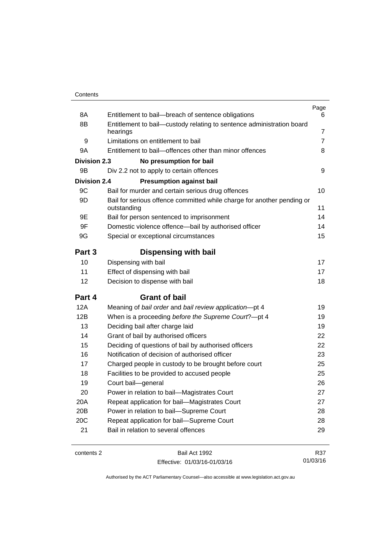| 8A                  | Entitlement to bail-breach of sentence obligations                                    | Page<br>6 |  |
|---------------------|---------------------------------------------------------------------------------------|-----------|--|
| 8B                  | Entitlement to bail-custody relating to sentence administration board                 |           |  |
|                     | hearings                                                                              | 7         |  |
| 9                   | Limitations on entitlement to bail                                                    |           |  |
| 9Α                  | Entitlement to bail-offences other than minor offences                                |           |  |
| <b>Division 2.3</b> | No presumption for bail                                                               |           |  |
| 9Β                  | Div 2.2 not to apply to certain offences                                              | 9         |  |
| <b>Division 2.4</b> | <b>Presumption against bail</b>                                                       |           |  |
| 9C                  | Bail for murder and certain serious drug offences                                     | 10        |  |
| 9D                  | Bail for serious offence committed while charge for another pending or<br>outstanding | 11        |  |
| 9Ε                  | Bail for person sentenced to imprisonment                                             | 14        |  |
| 9F                  | Domestic violence offence-bail by authorised officer                                  | 14        |  |
| 9G                  | Special or exceptional circumstances                                                  | 15        |  |
| Part 3              | <b>Dispensing with bail</b>                                                           |           |  |
| 10                  | Dispensing with bail                                                                  | 17        |  |
| 11                  | Effect of dispensing with bail                                                        | 17        |  |
| 12                  | Decision to dispense with bail                                                        |           |  |
| Part 4              | <b>Grant of bail</b>                                                                  |           |  |
| 12A                 | Meaning of bail order and bail review application-pt 4                                | 19        |  |
| 12B                 | When is a proceeding before the Supreme Court?-pt 4                                   | 19        |  |
| 13                  | Deciding bail after charge laid                                                       | 19        |  |
| 14                  | Grant of bail by authorised officers                                                  | 22        |  |
| 15                  | Deciding of questions of bail by authorised officers                                  | 22        |  |
| 16                  | Notification of decision of authorised officer                                        | 23        |  |
| 17                  | Charged people in custody to be brought before court                                  | 25        |  |
| 18                  | Facilities to be provided to accused people                                           | 25        |  |
| 19                  | Court bail-general                                                                    | 26        |  |
| 20                  | Power in relation to bail-Magistrates Court                                           | 27        |  |
| 20A                 | Repeat application for bail-Magistrates Court                                         | 27        |  |
| 20 <sub>B</sub>     | Power in relation to bail-Supreme Court                                               | 28        |  |
| 20C                 | Repeat application for bail-Supreme Court                                             | 28        |  |
| 21                  | Bail in relation to several offences                                                  | 29        |  |
|                     |                                                                                       |           |  |

contents 2 Bail Act 1992 Effective: 01/03/16-01/03/16

R37 01/03/16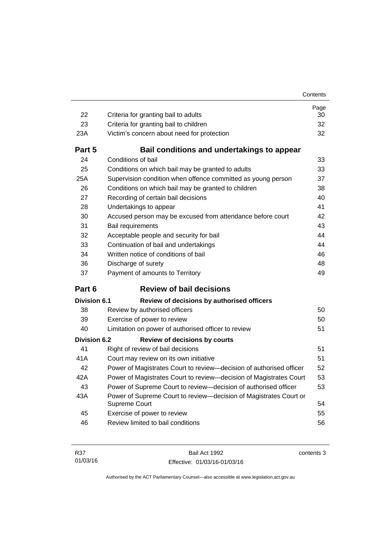| 22           | Criteria for granting bail to adults                                               | Page<br>30 |  |
|--------------|------------------------------------------------------------------------------------|------------|--|
| 23           | Criteria for granting bail to children                                             |            |  |
| 23A          | Victim's concern about need for protection                                         |            |  |
| Part 5       | Bail conditions and undertakings to appear                                         |            |  |
| 24           | Conditions of bail                                                                 | 33         |  |
| 25           | Conditions on which bail may be granted to adults                                  |            |  |
| 25A          | Supervision condition when offence committed as young person                       |            |  |
| 26           | 37<br>Conditions on which bail may be granted to children<br>38                    |            |  |
| 27           | Recording of certain bail decisions<br>40                                          |            |  |
| 28           | 41<br>Undertakings to appear                                                       |            |  |
| 30           | Accused person may be excused from attendance before court                         | 42         |  |
| 31           | 43<br>Bail requirements                                                            |            |  |
| 32           | Acceptable people and security for bail                                            | 44         |  |
| 33           | 44<br>Continuation of bail and undertakings                                        |            |  |
| 34           | Written notice of conditions of bail<br>46                                         |            |  |
| 36           | Discharge of surety<br>48                                                          |            |  |
| 37           | Payment of amounts to Territory                                                    |            |  |
|              |                                                                                    | 49         |  |
| Part 6       | <b>Review of bail decisions</b>                                                    |            |  |
| Division 6.1 | Review of decisions by authorised officers                                         |            |  |
| 38           | Review by authorised officers                                                      | 50         |  |
| 39           | Exercise of power to review                                                        | 50         |  |
| 40           | Limitation on power of authorised officer to review                                | 51         |  |
| Division 6.2 | <b>Review of decisions by courts</b>                                               |            |  |
| 41           | Right of review of bail decisions                                                  | 51         |  |
| 41 A         | Court may review on its own initiative                                             | 51         |  |
| 42           | Power of Magistrates Court to review-decision of authorised officer                | 52         |  |
| 42A          | Power of Magistrates Court to review-decision of Magistrates Court                 | 53         |  |
| 43           | Power of Supreme Court to review-decision of authorised officer                    | 53         |  |
| 43A          | Power of Supreme Court to review-decision of Magistrates Court or<br>Supreme Court | 54         |  |
| 45           | Exercise of power to review                                                        | 55         |  |
| 46           | Review limited to bail conditions                                                  | 56         |  |

Bail Act 1992 Effective: 01/03/16-01/03/16 contents 3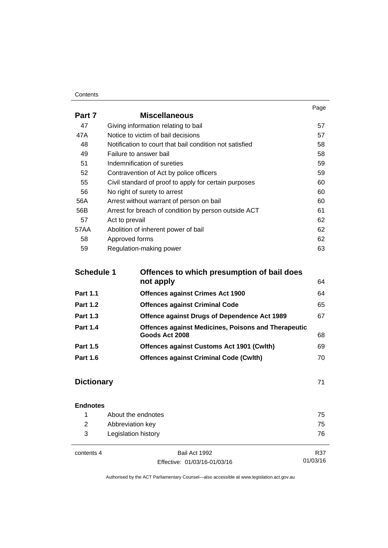#### **Contents**

|        |                                                         | Page |
|--------|---------------------------------------------------------|------|
| Part 7 | <b>Miscellaneous</b>                                    |      |
| 47     | Giving information relating to bail                     | 57   |
| 47A    | Notice to victim of bail decisions                      | 57   |
| 48     | Notification to court that bail condition not satisfied | 58   |
| 49     | Failure to answer bail                                  | 58   |
| 51     | Indemnification of sureties                             | 59   |
| 52     | Contravention of Act by police officers                 | 59   |
| 55     | Civil standard of proof to apply for certain purposes   | 60   |
| 56     | No right of surety to arrest                            | 60   |
| 56A    | Arrest without warrant of person on bail                | 60   |
| 56B    | Arrest for breach of condition by person outside ACT    | 61   |
| 57     | Act to prevail                                          | 62   |
| 57AA   | Abolition of inherent power of bail                     | 62   |
| 58     | Approved forms                                          | 62   |
| 59     | Regulation-making power                                 | 63   |

| Offences to which presumption of bail does<br><b>Schedule 1</b> |                                                            |    |
|-----------------------------------------------------------------|------------------------------------------------------------|----|
|                                                                 | not apply                                                  | 64 |
| <b>Part 1.1</b>                                                 | <b>Offences against Crimes Act 1900</b>                    | 64 |
| <b>Part 1.2</b>                                                 | <b>Offences against Criminal Code</b>                      | 65 |
| <b>Part 1.3</b>                                                 | Offence against Drugs of Dependence Act 1989               | 67 |
| <b>Part 1.4</b>                                                 | <b>Offences against Medicines, Poisons and Therapeutic</b> |    |
|                                                                 | Goods Act 2008                                             | 68 |
| <b>Part 1.5</b>                                                 | <b>Offences against Customs Act 1901 (Cwlth)</b>           | 69 |
| <b>Part 1.6</b>                                                 | <b>Offences against Criminal Code (Cwlth)</b>              | 70 |
|                                                                 |                                                            |    |

# **Dictionary [71](#page-78-0)**

| <b>Endnotes</b> |                     |               |     |
|-----------------|---------------------|---------------|-----|
|                 | About the endnotes  |               | 75  |
| 2               | Abbreviation key    |               | 75  |
| 3               | Legislation history |               | 76  |
|                 |                     |               |     |
| contents 4      |                     | Bail Act 1992 | R37 |

Effective: 01/03/16-01/03/16

01/03/16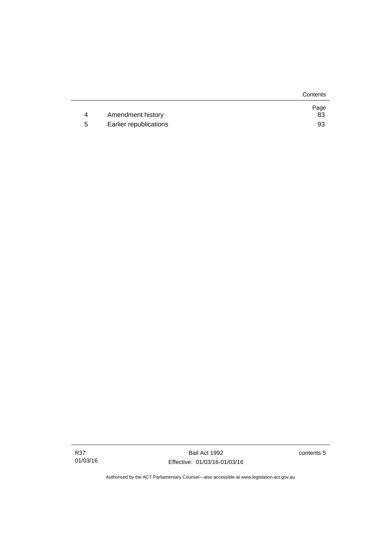|   |                        | Contents   |
|---|------------------------|------------|
| 4 | Amendment history      | Page<br>83 |
| 5 | Earlier republications | 93         |

Bail Act 1992 Effective: 01/03/16-01/03/16 contents 5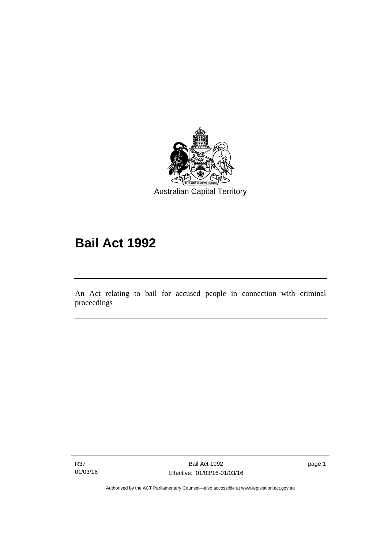

# **Bail Act 1992**

An Act relating to bail for accused people in connection with criminal proceedings

R37 01/03/16

l

page 1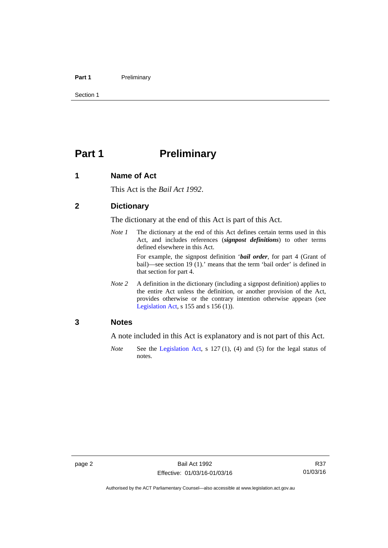#### Part 1 **Preliminary**

Section 1

# <span id="page-9-0"></span>**Part 1** Preliminary

## <span id="page-9-1"></span>**1 Name of Act**

This Act is the *Bail Act 1992*.

### <span id="page-9-2"></span>**2 Dictionary**

The dictionary at the end of this Act is part of this Act.

*Note 1* The dictionary at the end of this Act defines certain terms used in this Act, and includes references (*signpost definitions*) to other terms defined elsewhere in this Act.

> For example, the signpost definition '*bail order*, for part 4 (Grant of bail)—see section 19 (1).' means that the term 'bail order' is defined in that section for part 4.

*Note 2* A definition in the dictionary (including a signpost definition) applies to the entire Act unless the definition, or another provision of the Act, provides otherwise or the contrary intention otherwise appears (see [Legislation Act,](http://www.legislation.act.gov.au/a/2001-14)  $s$  155 and  $s$  156 (1)).

# <span id="page-9-3"></span>**3 Notes**

A note included in this Act is explanatory and is not part of this Act.

*Note* See the [Legislation Act,](http://www.legislation.act.gov.au/a/2001-14) s 127 (1), (4) and (5) for the legal status of notes.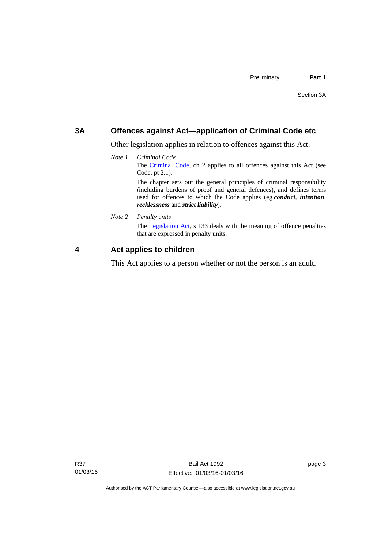# <span id="page-10-0"></span>**3A Offences against Act—application of Criminal Code etc**

Other legislation applies in relation to offences against this Act.

*Note 1 Criminal Code* The [Criminal Code](http://www.legislation.act.gov.au/a/2002-51), ch 2 applies to all offences against this Act (see Code, pt 2.1). The chapter sets out the general principles of criminal responsibility (including burdens of proof and general defences), and defines terms

used for offences to which the Code applies (eg *conduct*, *intention*, *recklessness* and *strict liability*).

*Note 2 Penalty units* 

The [Legislation Act](http://www.legislation.act.gov.au/a/2001-14), s 133 deals with the meaning of offence penalties that are expressed in penalty units.

# <span id="page-10-1"></span>**4 Act applies to children**

This Act applies to a person whether or not the person is an adult.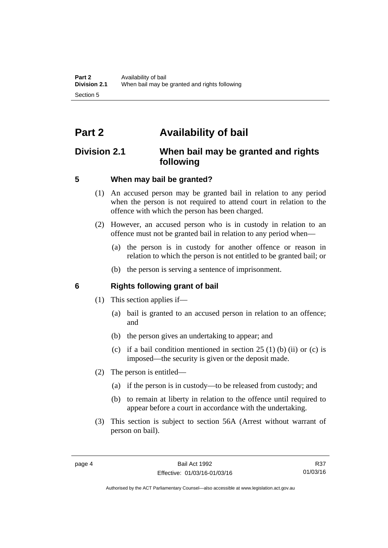# <span id="page-11-0"></span>**Part 2 Availability of bail**

# <span id="page-11-1"></span>**Division 2.1 When bail may be granted and rights following**

# <span id="page-11-2"></span>**5 When may bail be granted?**

- (1) An accused person may be granted bail in relation to any period when the person is not required to attend court in relation to the offence with which the person has been charged.
- (2) However, an accused person who is in custody in relation to an offence must not be granted bail in relation to any period when—
	- (a) the person is in custody for another offence or reason in relation to which the person is not entitled to be granted bail; or
	- (b) the person is serving a sentence of imprisonment.

# <span id="page-11-3"></span>**6 Rights following grant of bail**

- (1) This section applies if—
	- (a) bail is granted to an accused person in relation to an offence; and
	- (b) the person gives an undertaking to appear; and
	- (c) if a bail condition mentioned in section  $25(1)$  (b) (ii) or (c) is imposed—the security is given or the deposit made.
- (2) The person is entitled—
	- (a) if the person is in custody—to be released from custody; and
	- (b) to remain at liberty in relation to the offence until required to appear before a court in accordance with the undertaking.
- (3) This section is subject to section 56A (Arrest without warrant of person on bail).

Authorised by the ACT Parliamentary Counsel—also accessible at www.legislation.act.gov.au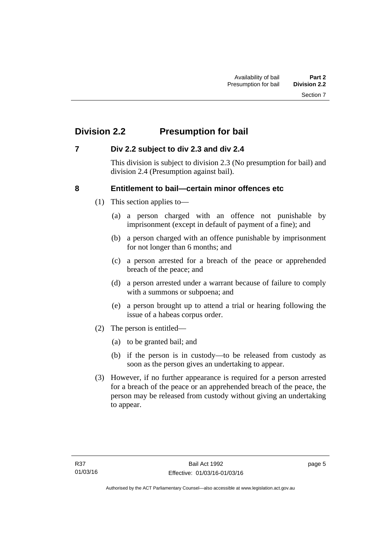# <span id="page-12-0"></span>**Division 2.2 Presumption for bail**

# <span id="page-12-1"></span>**7 Div 2.2 subject to div 2.3 and div 2.4**

This division is subject to division 2.3 (No presumption for bail) and division 2.4 (Presumption against bail).

# <span id="page-12-2"></span>**8 Entitlement to bail—certain minor offences etc**

- (1) This section applies to—
	- (a) a person charged with an offence not punishable by imprisonment (except in default of payment of a fine); and
	- (b) a person charged with an offence punishable by imprisonment for not longer than 6 months; and
	- (c) a person arrested for a breach of the peace or apprehended breach of the peace; and
	- (d) a person arrested under a warrant because of failure to comply with a summons or subpoena; and
	- (e) a person brought up to attend a trial or hearing following the issue of a habeas corpus order.
- (2) The person is entitled—
	- (a) to be granted bail; and
	- (b) if the person is in custody—to be released from custody as soon as the person gives an undertaking to appear.
- (3) However, if no further appearance is required for a person arrested for a breach of the peace or an apprehended breach of the peace, the person may be released from custody without giving an undertaking to appear.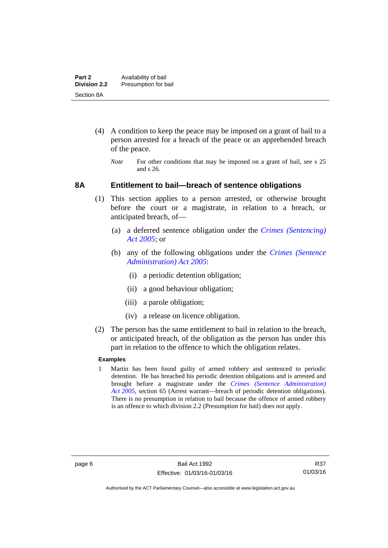- (4) A condition to keep the peace may be imposed on a grant of bail to a person arrested for a breach of the peace or an apprehended breach of the peace.
	- *Note* For other conditions that may be imposed on a grant of bail, see s 25 and s 26.

### <span id="page-13-0"></span>**8A Entitlement to bail—breach of sentence obligations**

- (1) This section applies to a person arrested, or otherwise brought before the court or a magistrate, in relation to a breach, or anticipated breach, of—
	- (a) a deferred sentence obligation under the *[Crimes \(Sentencing\)](http://www.legislation.act.gov.au/a/2005-58)  [Act 2005](http://www.legislation.act.gov.au/a/2005-58)*; or
	- (b) any of the following obligations under the *[Crimes \(Sentence](http://www.legislation.act.gov.au/a/2005-59)  [Administration\) Act 2005](http://www.legislation.act.gov.au/a/2005-59)*:
		- (i) a periodic detention obligation;
		- (ii) a good behaviour obligation;
		- (iii) a parole obligation;
		- (iv) a release on licence obligation.
- (2) The person has the same entitlement to bail in relation to the breach, or anticipated breach, of the obligation as the person has under this part in relation to the offence to which the obligation relates.

### **Examples**

1 Martin has been found guilty of armed robbery and sentenced to periodic detention. He has breached his periodic detention obligations and is arrested and brought before a magistrate under the *[Crimes \(Sentence Administration\)](http://www.legislation.act.gov.au/a/2005-59)  [Act 2005](http://www.legislation.act.gov.au/a/2005-59)*, section 65 (Arrest warrant—breach of periodic detention obligations). There is no presumption in relation to bail because the offence of armed robbery is an offence to which division 2.2 (Presumption for bail) does not apply.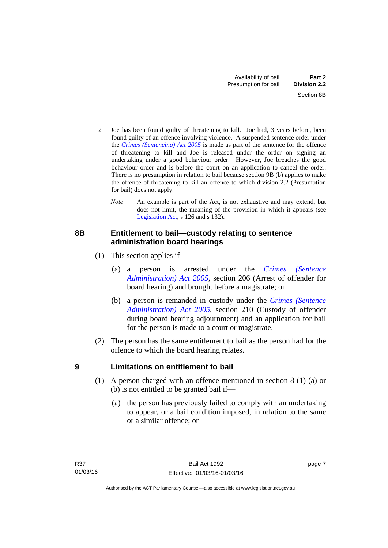- 2 Joe has been found guilty of threatening to kill. Joe had, 3 years before, been found guilty of an offence involving violence. A suspended sentence order under the *[Crimes \(Sentencing\) Act 2005](http://www.legislation.act.gov.au/a/2005-58)* is made as part of the sentence for the offence of threatening to kill and Joe is released under the order on signing an undertaking under a good behaviour order. However, Joe breaches the good behaviour order and is before the court on an application to cancel the order. There is no presumption in relation to bail because section 9B (b) applies to make the offence of threatening to kill an offence to which division 2.2 (Presumption for bail) does not apply.
	- *Note* An example is part of the Act, is not exhaustive and may extend, but does not limit, the meaning of the provision in which it appears (see [Legislation Act,](http://www.legislation.act.gov.au/a/2001-14) s 126 and s 132).

# <span id="page-14-0"></span>**8B Entitlement to bail—custody relating to sentence administration board hearings**

- (1) This section applies if—
	- (a) a person is arrested under the *[Crimes \(Sentence](http://www.legislation.act.gov.au/a/2005-59)  [Administration\) Act 2005](http://www.legislation.act.gov.au/a/2005-59)*, section 206 (Arrest of offender for board hearing) and brought before a magistrate; or
	- (b) a person is remanded in custody under the *[Crimes \(Sentence](http://www.legislation.act.gov.au/a/2005-59)  [Administration\) Act 2005](http://www.legislation.act.gov.au/a/2005-59)*, section 210 (Custody of offender during board hearing adjournment) and an application for bail for the person is made to a court or magistrate.
- (2) The person has the same entitlement to bail as the person had for the offence to which the board hearing relates.

# <span id="page-14-1"></span>**9 Limitations on entitlement to bail**

- (1) A person charged with an offence mentioned in section 8 (1) (a) or (b) is not entitled to be granted bail if—
	- (a) the person has previously failed to comply with an undertaking to appear, or a bail condition imposed, in relation to the same or a similar offence; or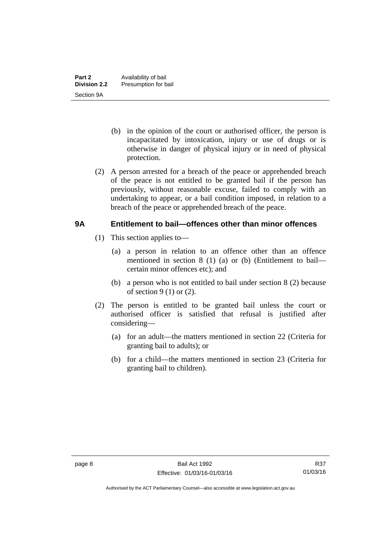- (b) in the opinion of the court or authorised officer, the person is incapacitated by intoxication, injury or use of drugs or is otherwise in danger of physical injury or in need of physical protection.
- (2) A person arrested for a breach of the peace or apprehended breach of the peace is not entitled to be granted bail if the person has previously, without reasonable excuse, failed to comply with an undertaking to appear, or a bail condition imposed, in relation to a breach of the peace or apprehended breach of the peace.

# <span id="page-15-0"></span>**9A Entitlement to bail—offences other than minor offences**

- (1) This section applies to—
	- (a) a person in relation to an offence other than an offence mentioned in section 8 (1) (a) or (b) (Entitlement to bail certain minor offences etc); and
	- (b) a person who is not entitled to bail under section 8 (2) because of section  $9(1)$  or  $(2)$ .
- (2) The person is entitled to be granted bail unless the court or authorised officer is satisfied that refusal is justified after considering—
	- (a) for an adult—the matters mentioned in section 22 (Criteria for granting bail to adults); or
	- (b) for a child—the matters mentioned in section 23 (Criteria for granting bail to children).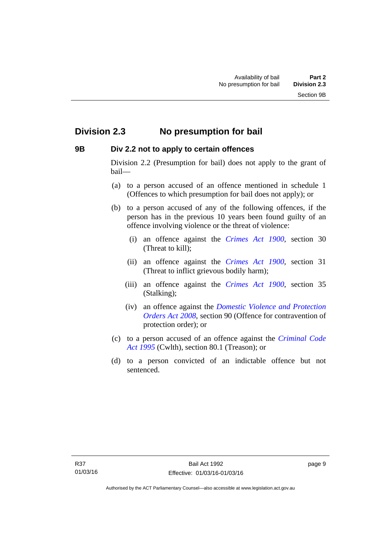# <span id="page-16-0"></span>**Division 2.3 No presumption for bail**

# <span id="page-16-1"></span>**9B Div 2.2 not to apply to certain offences**

Division 2.2 (Presumption for bail) does not apply to the grant of bail—

- (a) to a person accused of an offence mentioned in schedule 1 (Offences to which presumption for bail does not apply); or
- (b) to a person accused of any of the following offences, if the person has in the previous 10 years been found guilty of an offence involving violence or the threat of violence:
	- (i) an offence against the *[Crimes Act 1900](http://www.legislation.act.gov.au/a/1900-40)*, section 30 (Threat to kill);
	- (ii) an offence against the *[Crimes Act 1900](http://www.legislation.act.gov.au/a/1900-40)*, section 31 (Threat to inflict grievous bodily harm);
	- (iii) an offence against the *[Crimes Act 1900](http://www.legislation.act.gov.au/a/1900-40)*, section 35 (Stalking);
	- (iv) an offence against the *[Domestic Violence and Protection](http://www.legislation.act.gov.au/a/2008-46)  [Orders Act 2008](http://www.legislation.act.gov.au/a/2008-46)*, section 90 (Offence for contravention of protection order); or
- (c) to a person accused of an offence against the *[Criminal Code](http://www.comlaw.gov.au/Details/C2013C00138)  [Act 1995](http://www.comlaw.gov.au/Details/C2013C00138)* (Cwlth), section 80.1 (Treason); or
- (d) to a person convicted of an indictable offence but not sentenced.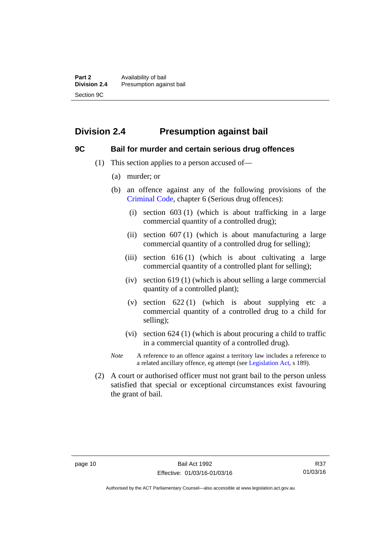# <span id="page-17-0"></span>**Division 2.4 Presumption against bail**

### <span id="page-17-1"></span>**9C Bail for murder and certain serious drug offences**

- (1) This section applies to a person accused of—
	- (a) murder; or
	- (b) an offence against any of the following provisions of the [Criminal Code,](http://www.legislation.act.gov.au/a/2002-51) chapter 6 (Serious drug offences):
		- (i) section 603 (1) (which is about trafficking in a large commercial quantity of a controlled drug);
		- (ii) section  $607(1)$  (which is about manufacturing a large commercial quantity of a controlled drug for selling);
		- (iii) section 616 (1) (which is about cultivating a large commercial quantity of a controlled plant for selling);
		- (iv) section 619 (1) (which is about selling a large commercial quantity of a controlled plant);
		- (v) section  $622(1)$  (which is about supplying etc a commercial quantity of a controlled drug to a child for selling);
		- (vi) section 624 (1) (which is about procuring a child to traffic in a commercial quantity of a controlled drug).
	- *Note* A reference to an offence against a territory law includes a reference to a related ancillary offence, eg attempt (see [Legislation Act](http://www.legislation.act.gov.au/a/2001-14), s 189).
- (2) A court or authorised officer must not grant bail to the person unless satisfied that special or exceptional circumstances exist favouring the grant of bail.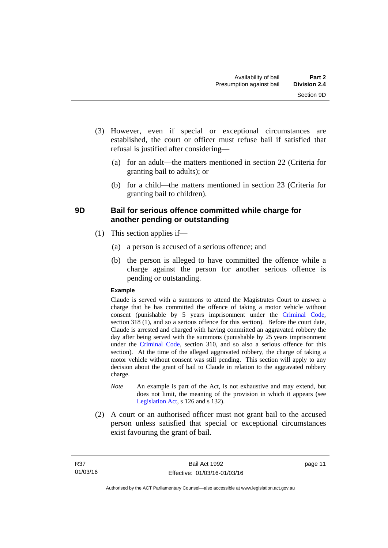- (3) However, even if special or exceptional circumstances are established, the court or officer must refuse bail if satisfied that refusal is justified after considering—
	- (a) for an adult—the matters mentioned in section 22 (Criteria for granting bail to adults); or
	- (b) for a child—the matters mentioned in section 23 (Criteria for granting bail to children).

# <span id="page-18-0"></span>**9D Bail for serious offence committed while charge for another pending or outstanding**

- (1) This section applies if—
	- (a) a person is accused of a serious offence; and
	- (b) the person is alleged to have committed the offence while a charge against the person for another serious offence is pending or outstanding.

### **Example**

Claude is served with a summons to attend the Magistrates Court to answer a charge that he has committed the offence of taking a motor vehicle without consent (punishable by 5 years imprisonment under the [Criminal Code,](http://www.legislation.act.gov.au/a/2002-51) section 318 (1), and so a serious offence for this section). Before the court date, Claude is arrested and charged with having committed an aggravated robbery the day after being served with the summons (punishable by 25 years imprisonment under the [Criminal Code](http://www.legislation.act.gov.au/a/2002-51), section 310, and so also a serious offence for this section). At the time of the alleged aggravated robbery, the charge of taking a motor vehicle without consent was still pending. This section will apply to any decision about the grant of bail to Claude in relation to the aggravated robbery charge.

- *Note* An example is part of the Act, is not exhaustive and may extend, but does not limit, the meaning of the provision in which it appears (see [Legislation Act,](http://www.legislation.act.gov.au/a/2001-14) s 126 and s 132).
- (2) A court or an authorised officer must not grant bail to the accused person unless satisfied that special or exceptional circumstances exist favouring the grant of bail.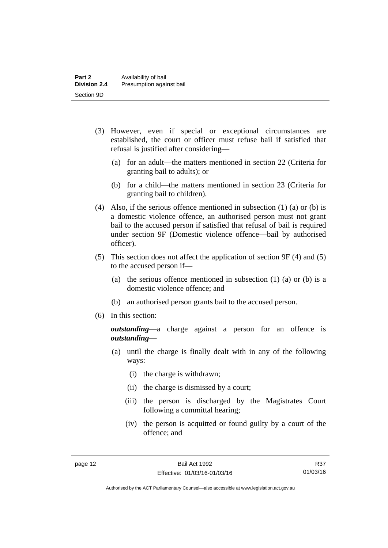- (3) However, even if special or exceptional circumstances are established, the court or officer must refuse bail if satisfied that refusal is justified after considering—
	- (a) for an adult—the matters mentioned in section 22 (Criteria for granting bail to adults); or
	- (b) for a child—the matters mentioned in section 23 (Criteria for granting bail to children).
- (4) Also, if the serious offence mentioned in subsection (1) (a) or (b) is a domestic violence offence, an authorised person must not grant bail to the accused person if satisfied that refusal of bail is required under section 9F (Domestic violence offence—bail by authorised officer).
- (5) This section does not affect the application of section 9F (4) and (5) to the accused person if—
	- (a) the serious offence mentioned in subsection (1) (a) or (b) is a domestic violence offence; and
	- (b) an authorised person grants bail to the accused person.
- (6) In this section:

*outstanding*—a charge against a person for an offence is *outstanding*—

- (a) until the charge is finally dealt with in any of the following ways:
	- (i) the charge is withdrawn;
	- (ii) the charge is dismissed by a court;
	- (iii) the person is discharged by the Magistrates Court following a committal hearing;
	- (iv) the person is acquitted or found guilty by a court of the offence; and

R37 01/03/16

Authorised by the ACT Parliamentary Counsel—also accessible at www.legislation.act.gov.au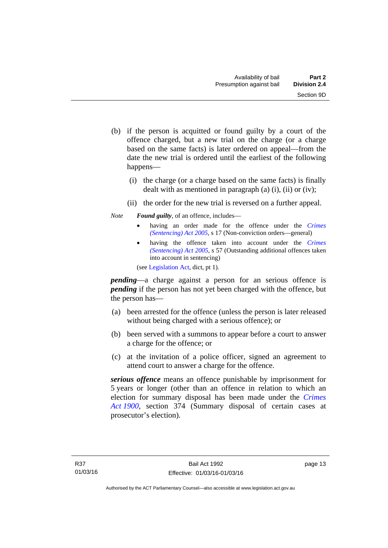- (b) if the person is acquitted or found guilty by a court of the offence charged, but a new trial on the charge (or a charge based on the same facts) is later ordered on appeal—from the date the new trial is ordered until the earliest of the following happens—
	- (i) the charge (or a charge based on the same facts) is finally dealt with as mentioned in paragraph (a)  $(i)$ ,  $(ii)$  or  $(iv)$ ;
	- (ii) the order for the new trial is reversed on a further appeal.

### *Note Found guilty*, of an offence, includes—

- having an order made for the offence under the *[Crimes](http://www.legislation.act.gov.au/a/2005-58)  [\(Sentencing\) Act 2005](http://www.legislation.act.gov.au/a/2005-58)*, s 17 (Non-conviction orders—general)
- having the offence taken into account under the *[Crimes](http://www.legislation.act.gov.au/a/2005-58)  [\(Sentencing\) Act 2005](http://www.legislation.act.gov.au/a/2005-58)*, s 57 (Outstanding additional offences taken into account in sentencing)

(see [Legislation Act,](http://www.legislation.act.gov.au/a/2001-14) dict, pt 1).

*pending*—a charge against a person for an serious offence is *pending* if the person has not yet been charged with the offence, but the person has—

- (a) been arrested for the offence (unless the person is later released without being charged with a serious offence); or
- (b) been served with a summons to appear before a court to answer a charge for the offence; or
- (c) at the invitation of a police officer, signed an agreement to attend court to answer a charge for the offence.

*serious offence* means an offence punishable by imprisonment for 5 years or longer (other than an offence in relation to which an election for summary disposal has been made under the *[Crimes](http://www.legislation.act.gov.au/a/1900-40)  [Act 1900](http://www.legislation.act.gov.au/a/1900-40)*, section 374 (Summary disposal of certain cases at prosecutor's election).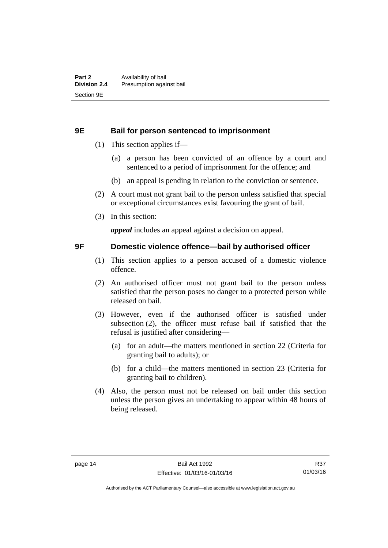### <span id="page-21-0"></span>**9E Bail for person sentenced to imprisonment**

- (1) This section applies if—
	- (a) a person has been convicted of an offence by a court and sentenced to a period of imprisonment for the offence; and
	- (b) an appeal is pending in relation to the conviction or sentence.
- (2) A court must not grant bail to the person unless satisfied that special or exceptional circumstances exist favouring the grant of bail.
- (3) In this section:

*appeal* includes an appeal against a decision on appeal.

### <span id="page-21-1"></span>**9F Domestic violence offence—bail by authorised officer**

- (1) This section applies to a person accused of a domestic violence offence.
- (2) An authorised officer must not grant bail to the person unless satisfied that the person poses no danger to a protected person while released on bail.
- (3) However, even if the authorised officer is satisfied under subsection (2), the officer must refuse bail if satisfied that the refusal is justified after considering—
	- (a) for an adult—the matters mentioned in section 22 (Criteria for granting bail to adults); or
	- (b) for a child—the matters mentioned in section 23 (Criteria for granting bail to children).
- (4) Also, the person must not be released on bail under this section unless the person gives an undertaking to appear within 48 hours of being released.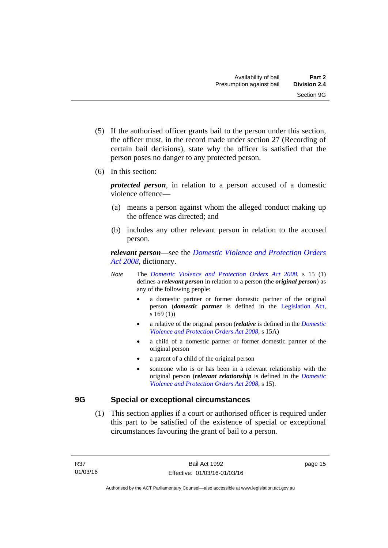- (5) If the authorised officer grants bail to the person under this section, the officer must, in the record made under section 27 (Recording of certain bail decisions), state why the officer is satisfied that the person poses no danger to any protected person.
- (6) In this section:

*protected person*, in relation to a person accused of a domestic violence offence—

- (a) means a person against whom the alleged conduct making up the offence was directed; and
- (b) includes any other relevant person in relation to the accused person.

*relevant person*—see the *[Domestic Violence and Protection Orders](http://www.legislation.act.gov.au/a/2008-46)  [Act 2008](http://www.legislation.act.gov.au/a/2008-46)*, dictionary.

- *Note* The *[Domestic Violence and Protection Orders Act 2008](http://www.legislation.act.gov.au/a/2008-46)*, s 15 (1) defines a *relevant person* in relation to a person (the *original person*) as any of the following people:
	- a domestic partner or former domestic partner of the original person (*domestic partner* is defined in the [Legislation Act,](http://www.legislation.act.gov.au/a/2001-14) s 169 (1))
	- a relative of the original person (*relative* is defined in the *[Domestic](http://www.legislation.act.gov.au/a/2008-46)  [Violence and Protection Orders Act 2008](http://www.legislation.act.gov.au/a/2008-46)*, s 15A)
	- a child of a domestic partner or former domestic partner of the original person
	- a parent of a child of the original person
	- someone who is or has been in a relevant relationship with the original person (*relevant relationship* is defined in the *[Domestic](http://www.legislation.act.gov.au/a/2008-46)  [Violence and Protection Orders Act 2008](http://www.legislation.act.gov.au/a/2008-46)*, s 15).

## <span id="page-22-0"></span>**9G Special or exceptional circumstances**

 (1) This section applies if a court or authorised officer is required under this part to be satisfied of the existence of special or exceptional circumstances favouring the grant of bail to a person.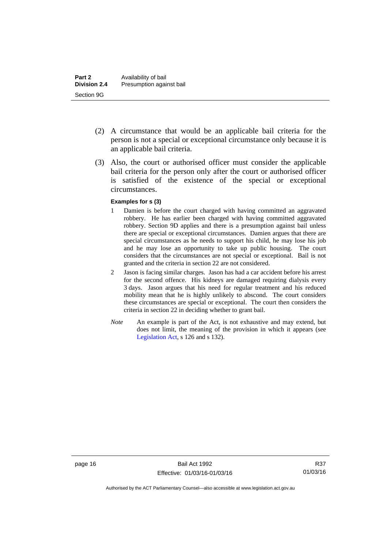- (2) A circumstance that would be an applicable bail criteria for the person is not a special or exceptional circumstance only because it is an applicable bail criteria.
- (3) Also, the court or authorised officer must consider the applicable bail criteria for the person only after the court or authorised officer is satisfied of the existence of the special or exceptional circumstances.

#### **Examples for s (3)**

- 1 Damien is before the court charged with having committed an aggravated robbery. He has earlier been charged with having committed aggravated robbery. Section 9D applies and there is a presumption against bail unless there are special or exceptional circumstances. Damien argues that there are special circumstances as he needs to support his child, he may lose his job and he may lose an opportunity to take up public housing. The court considers that the circumstances are not special or exceptional. Bail is not granted and the criteria in section 22 are not considered.
- 2 Jason is facing similar charges. Jason has had a car accident before his arrest for the second offence. His kidneys are damaged requiring dialysis every 3 days. Jason argues that his need for regular treatment and his reduced mobility mean that he is highly unlikely to abscond. The court considers these circumstances are special or exceptional. The court then considers the criteria in section 22 in deciding whether to grant bail.
- *Note* An example is part of the Act, is not exhaustive and may extend, but does not limit, the meaning of the provision in which it appears (see [Legislation Act,](http://www.legislation.act.gov.au/a/2001-14) s 126 and s 132).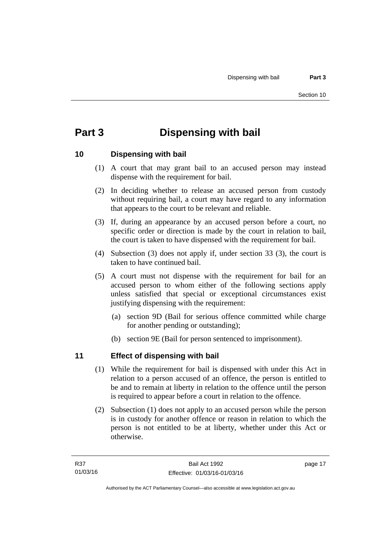# <span id="page-24-0"></span>**Part 3 Dispensing with bail**

# <span id="page-24-1"></span>**10 Dispensing with bail**

- (1) A court that may grant bail to an accused person may instead dispense with the requirement for bail.
- (2) In deciding whether to release an accused person from custody without requiring bail, a court may have regard to any information that appears to the court to be relevant and reliable.
- (3) If, during an appearance by an accused person before a court, no specific order or direction is made by the court in relation to bail, the court is taken to have dispensed with the requirement for bail.
- (4) Subsection (3) does not apply if, under section 33 (3), the court is taken to have continued bail.
- (5) A court must not dispense with the requirement for bail for an accused person to whom either of the following sections apply unless satisfied that special or exceptional circumstances exist justifying dispensing with the requirement:
	- (a) section 9D (Bail for serious offence committed while charge for another pending or outstanding);
	- (b) section 9E (Bail for person sentenced to imprisonment).

# <span id="page-24-2"></span>**11 Effect of dispensing with bail**

- (1) While the requirement for bail is dispensed with under this Act in relation to a person accused of an offence, the person is entitled to be and to remain at liberty in relation to the offence until the person is required to appear before a court in relation to the offence.
- (2) Subsection (1) does not apply to an accused person while the person is in custody for another offence or reason in relation to which the person is not entitled to be at liberty, whether under this Act or otherwise.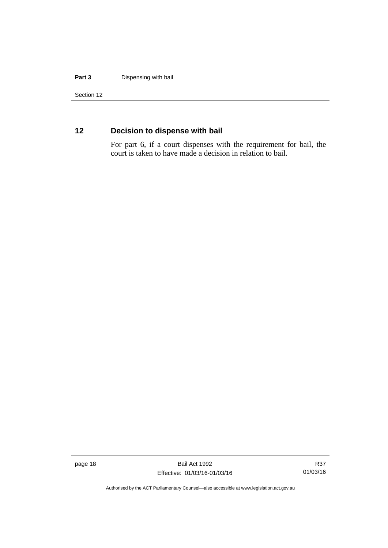#### **Part 3** Dispensing with bail

Section 12

# <span id="page-25-0"></span>**12 Decision to dispense with bail**

For part 6, if a court dispenses with the requirement for bail, the court is taken to have made a decision in relation to bail.

page 18 Bail Act 1992 Effective: 01/03/16-01/03/16

R37 01/03/16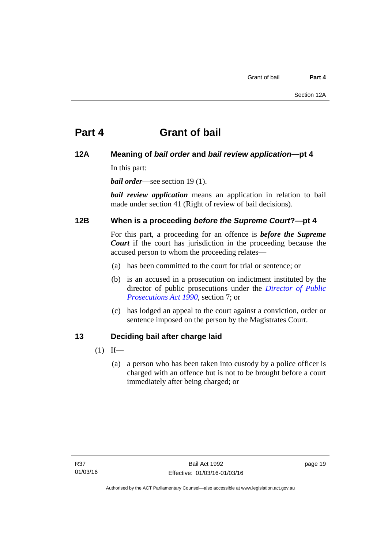# <span id="page-26-0"></span>**Part 4 Grant of bail**

# <span id="page-26-1"></span>**12A Meaning of** *bail order* **and** *bail review application***—pt 4**

In this part:

*bail order*—see section 19(1).

*bail review application* means an application in relation to bail made under section 41 (Right of review of bail decisions).

# <span id="page-26-2"></span>**12B When is a proceeding** *before the Supreme Court***?—pt 4**

For this part, a proceeding for an offence is *before the Supreme Court* if the court has jurisdiction in the proceeding because the accused person to whom the proceeding relates—

- (a) has been committed to the court for trial or sentence; or
- (b) is an accused in a prosecution on indictment instituted by the director of public prosecutions under the *[Director of Public](http://www.legislation.act.gov.au/a/1990-22)  [Prosecutions Act 1990](http://www.legislation.act.gov.au/a/1990-22)*, section 7; or
- (c) has lodged an appeal to the court against a conviction, order or sentence imposed on the person by the Magistrates Court.

# <span id="page-26-3"></span>**13 Deciding bail after charge laid**

- $(1)$  If—
	- (a) a person who has been taken into custody by a police officer is charged with an offence but is not to be brought before a court immediately after being charged; or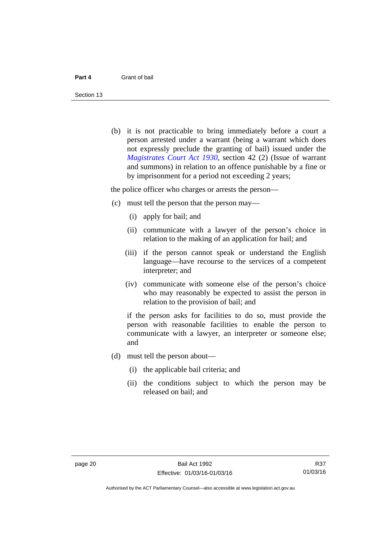Section 13

 (b) it is not practicable to bring immediately before a court a person arrested under a warrant (being a warrant which does not expressly preclude the granting of bail) issued under the *[Magistrates Court Act 1930](http://www.legislation.act.gov.au/a/1930-21)*, section 42 (2) (Issue of warrant and summons) in relation to an offence punishable by a fine or by imprisonment for a period not exceeding 2 years;

the police officer who charges or arrests the person—

- (c) must tell the person that the person may—
	- (i) apply for bail; and
	- (ii) communicate with a lawyer of the person's choice in relation to the making of an application for bail; and
	- (iii) if the person cannot speak or understand the English language—have recourse to the services of a competent interpreter; and
	- (iv) communicate with someone else of the person's choice who may reasonably be expected to assist the person in relation to the provision of bail; and

if the person asks for facilities to do so, must provide the person with reasonable facilities to enable the person to communicate with a lawyer, an interpreter or someone else; and

- (d) must tell the person about—
	- (i) the applicable bail criteria; and
	- (ii) the conditions subject to which the person may be released on bail; and

R37 01/03/16

Authorised by the ACT Parliamentary Counsel—also accessible at www.legislation.act.gov.au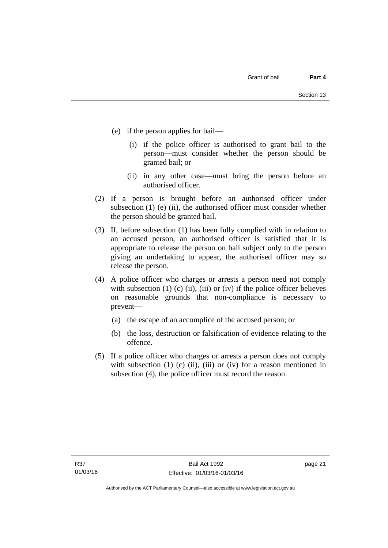- (e) if the person applies for bail—
	- (i) if the police officer is authorised to grant bail to the person—must consider whether the person should be granted bail; or
	- (ii) in any other case—must bring the person before an authorised officer.
- (2) If a person is brought before an authorised officer under subsection (1) (e) (ii), the authorised officer must consider whether the person should be granted bail.
- (3) If, before subsection (1) has been fully complied with in relation to an accused person, an authorised officer is satisfied that it is appropriate to release the person on bail subject only to the person giving an undertaking to appear, the authorised officer may so release the person.
- (4) A police officer who charges or arrests a person need not comply with subsection  $(1)$   $(c)$   $(ii)$ ,  $(iii)$  or  $(iv)$  if the police officer believes on reasonable grounds that non-compliance is necessary to prevent—
	- (a) the escape of an accomplice of the accused person; or
	- (b) the loss, destruction or falsification of evidence relating to the offence.
- (5) If a police officer who charges or arrests a person does not comply with subsection  $(1)$   $(c)$   $(ii)$ ,  $(iii)$  or  $(iv)$  for a reason mentioned in subsection (4), the police officer must record the reason.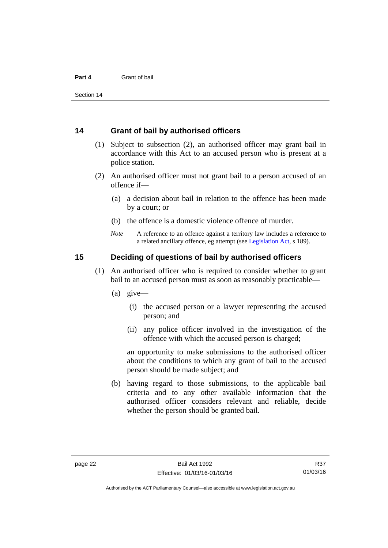### <span id="page-29-0"></span>**14 Grant of bail by authorised officers**

- (1) Subject to subsection (2), an authorised officer may grant bail in accordance with this Act to an accused person who is present at a police station.
- (2) An authorised officer must not grant bail to a person accused of an offence if—
	- (a) a decision about bail in relation to the offence has been made by a court; or
	- (b) the offence is a domestic violence offence of murder.
	- *Note* A reference to an offence against a territory law includes a reference to a related ancillary offence, eg attempt (see [Legislation Act](http://www.legislation.act.gov.au/a/2001-14), s 189).

## <span id="page-29-1"></span>**15 Deciding of questions of bail by authorised officers**

- (1) An authorised officer who is required to consider whether to grant bail to an accused person must as soon as reasonably practicable—
	- (a) give—
		- (i) the accused person or a lawyer representing the accused person; and
		- (ii) any police officer involved in the investigation of the offence with which the accused person is charged;

an opportunity to make submissions to the authorised officer about the conditions to which any grant of bail to the accused person should be made subject; and

 (b) having regard to those submissions, to the applicable bail criteria and to any other available information that the authorised officer considers relevant and reliable, decide whether the person should be granted bail.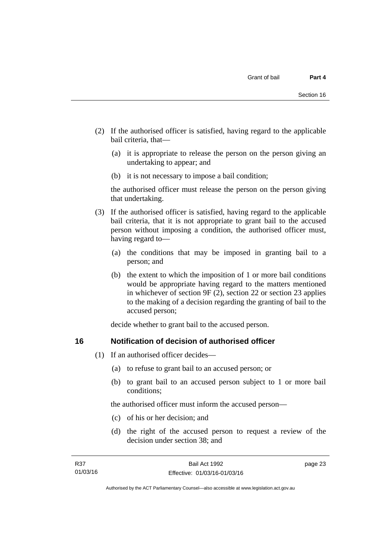- (2) If the authorised officer is satisfied, having regard to the applicable bail criteria, that—
	- (a) it is appropriate to release the person on the person giving an undertaking to appear; and
	- (b) it is not necessary to impose a bail condition;

the authorised officer must release the person on the person giving that undertaking.

- (3) If the authorised officer is satisfied, having regard to the applicable bail criteria, that it is not appropriate to grant bail to the accused person without imposing a condition, the authorised officer must, having regard to—
	- (a) the conditions that may be imposed in granting bail to a person; and
	- (b) the extent to which the imposition of 1 or more bail conditions would be appropriate having regard to the matters mentioned in whichever of section 9F (2), section 22 or section 23 applies to the making of a decision regarding the granting of bail to the accused person;

decide whether to grant bail to the accused person.

# <span id="page-30-0"></span>**16 Notification of decision of authorised officer**

- (1) If an authorised officer decides—
	- (a) to refuse to grant bail to an accused person; or
	- (b) to grant bail to an accused person subject to 1 or more bail conditions;

the authorised officer must inform the accused person—

- (c) of his or her decision; and
- (d) the right of the accused person to request a review of the decision under section 38; and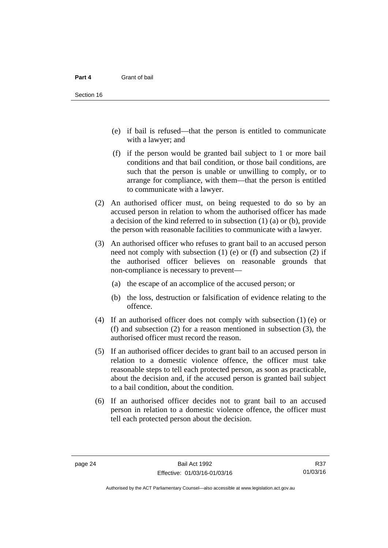- (e) if bail is refused—that the person is entitled to communicate with a lawyer; and
- (f) if the person would be granted bail subject to 1 or more bail conditions and that bail condition, or those bail conditions, are such that the person is unable or unwilling to comply, or to arrange for compliance, with them—that the person is entitled to communicate with a lawyer.
- (2) An authorised officer must, on being requested to do so by an accused person in relation to whom the authorised officer has made a decision of the kind referred to in subsection (1) (a) or (b), provide the person with reasonable facilities to communicate with a lawyer.
- (3) An authorised officer who refuses to grant bail to an accused person need not comply with subsection  $(1)$  (e) or  $(f)$  and subsection  $(2)$  if the authorised officer believes on reasonable grounds that non-compliance is necessary to prevent—
	- (a) the escape of an accomplice of the accused person; or
	- (b) the loss, destruction or falsification of evidence relating to the offence.
- (4) If an authorised officer does not comply with subsection (1) (e) or (f) and subsection (2) for a reason mentioned in subsection (3), the authorised officer must record the reason.
- (5) If an authorised officer decides to grant bail to an accused person in relation to a domestic violence offence, the officer must take reasonable steps to tell each protected person, as soon as practicable, about the decision and, if the accused person is granted bail subject to a bail condition, about the condition.
- (6) If an authorised officer decides not to grant bail to an accused person in relation to a domestic violence offence, the officer must tell each protected person about the decision.

R37 01/03/16

Authorised by the ACT Parliamentary Counsel—also accessible at www.legislation.act.gov.au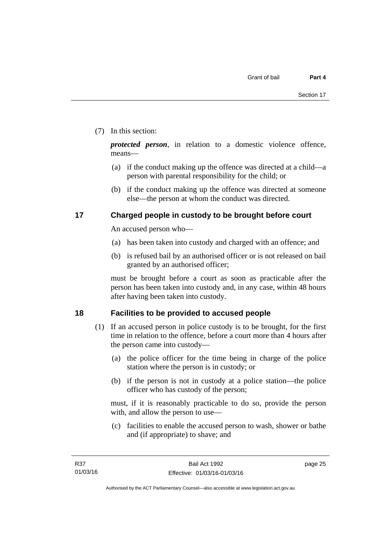## (7) In this section:

*protected person*, in relation to a domestic violence offence, means—

- (a) if the conduct making up the offence was directed at a child—a person with parental responsibility for the child; or
- (b) if the conduct making up the offence was directed at someone else—the person at whom the conduct was directed.

# <span id="page-32-0"></span>**17 Charged people in custody to be brought before court**

An accused person who—

- (a) has been taken into custody and charged with an offence; and
- (b) is refused bail by an authorised officer or is not released on bail granted by an authorised officer;

must be brought before a court as soon as practicable after the person has been taken into custody and, in any case, within 48 hours after having been taken into custody.

# <span id="page-32-1"></span>**18 Facilities to be provided to accused people**

- (1) If an accused person in police custody is to be brought, for the first time in relation to the offence, before a court more than 4 hours after the person came into custody—
	- (a) the police officer for the time being in charge of the police station where the person is in custody; or
	- (b) if the person is not in custody at a police station—the police officer who has custody of the person;

must, if it is reasonably practicable to do so, provide the person with, and allow the person to use—

 (c) facilities to enable the accused person to wash, shower or bathe and (if appropriate) to shave; and

page 25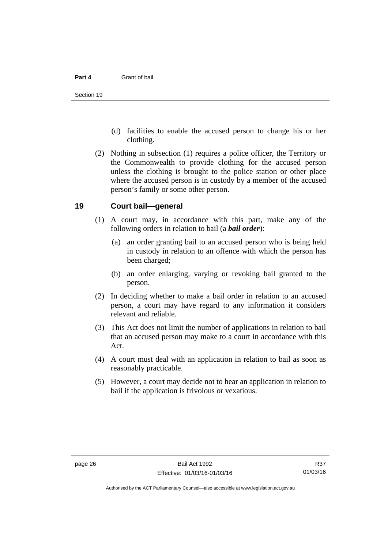- (d) facilities to enable the accused person to change his or her clothing.
- (2) Nothing in subsection (1) requires a police officer, the Territory or the Commonwealth to provide clothing for the accused person unless the clothing is brought to the police station or other place where the accused person is in custody by a member of the accused person's family or some other person.

### <span id="page-33-0"></span>**19 Court bail—general**

- (1) A court may, in accordance with this part, make any of the following orders in relation to bail (a *bail order*):
	- (a) an order granting bail to an accused person who is being held in custody in relation to an offence with which the person has been charged;
	- (b) an order enlarging, varying or revoking bail granted to the person.
- (2) In deciding whether to make a bail order in relation to an accused person, a court may have regard to any information it considers relevant and reliable.
- (3) This Act does not limit the number of applications in relation to bail that an accused person may make to a court in accordance with this Act.
- (4) A court must deal with an application in relation to bail as soon as reasonably practicable.
- (5) However, a court may decide not to hear an application in relation to bail if the application is frivolous or vexatious.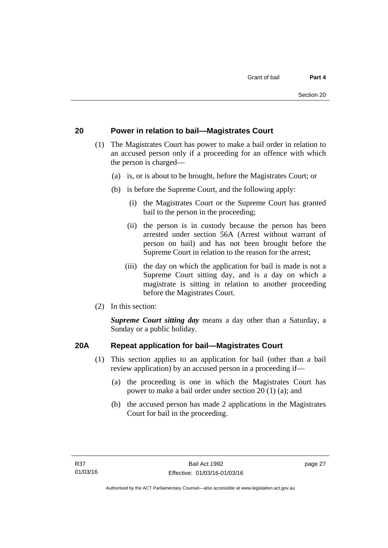# <span id="page-34-0"></span>**20 Power in relation to bail—Magistrates Court**

- (1) The Magistrates Court has power to make a bail order in relation to an accused person only if a proceeding for an offence with which the person is charged—
	- (a) is, or is about to be brought, before the Magistrates Court; or
	- (b) is before the Supreme Court, and the following apply:
		- (i) the Magistrates Court or the Supreme Court has granted bail to the person in the proceeding;
		- (ii) the person is in custody because the person has been arrested under section 56A (Arrest without warrant of person on bail) and has not been brought before the Supreme Court in relation to the reason for the arrest;
		- (iii) the day on which the application for bail is made is not a Supreme Court sitting day, and is a day on which a magistrate is sitting in relation to another proceeding before the Magistrates Court.
- (2) In this section:

*Supreme Court sitting day* means a day other than a Saturday, a Sunday or a public holiday.

# <span id="page-34-1"></span>**20A Repeat application for bail—Magistrates Court**

- (1) This section applies to an application for bail (other than a bail review application) by an accused person in a proceeding if—
	- (a) the proceeding is one in which the Magistrates Court has power to make a bail order under section 20 (1) (a); and
	- (b) the accused person has made 2 applications in the Magistrates Court for bail in the proceeding.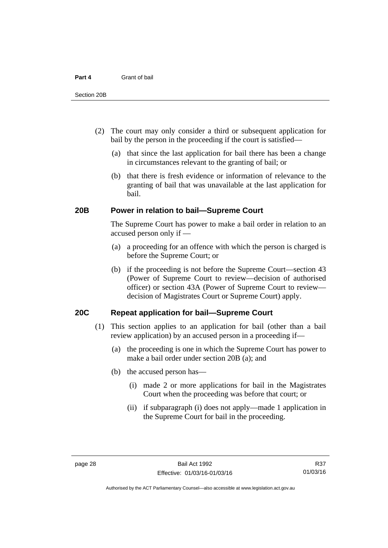- (2) The court may only consider a third or subsequent application for bail by the person in the proceeding if the court is satisfied—
	- (a) that since the last application for bail there has been a change in circumstances relevant to the granting of bail; or
	- (b) that there is fresh evidence or information of relevance to the granting of bail that was unavailable at the last application for bail.

### <span id="page-35-0"></span>**20B Power in relation to bail—Supreme Court**

 The Supreme Court has power to make a bail order in relation to an accused person only if —

- (a) a proceeding for an offence with which the person is charged is before the Supreme Court; or
- (b) if the proceeding is not before the Supreme Court—section 43 (Power of Supreme Court to review—decision of authorised officer) or section 43A (Power of Supreme Court to review decision of Magistrates Court or Supreme Court) apply.

# <span id="page-35-1"></span>**20C Repeat application for bail—Supreme Court**

- (1) This section applies to an application for bail (other than a bail review application) by an accused person in a proceeding if—
	- (a) the proceeding is one in which the Supreme Court has power to make a bail order under section 20B (a); and
	- (b) the accused person has—
		- (i) made 2 or more applications for bail in the Magistrates Court when the proceeding was before that court; or
		- (ii) if subparagraph (i) does not apply—made 1 application in the Supreme Court for bail in the proceeding.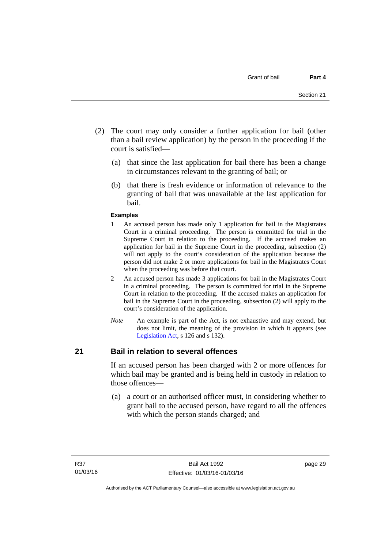- (2) The court may only consider a further application for bail (other than a bail review application) by the person in the proceeding if the court is satisfied—
	- (a) that since the last application for bail there has been a change in circumstances relevant to the granting of bail; or
	- (b) that there is fresh evidence or information of relevance to the granting of bail that was unavailable at the last application for bail.

#### **Examples**

- 1 An accused person has made only 1 application for bail in the Magistrates Court in a criminal proceeding. The person is committed for trial in the Supreme Court in relation to the proceeding. If the accused makes an application for bail in the Supreme Court in the proceeding, subsection (2) will not apply to the court's consideration of the application because the person did not make 2 or more applications for bail in the Magistrates Court when the proceeding was before that court.
- 2 An accused person has made 3 applications for bail in the Magistrates Court in a criminal proceeding. The person is committed for trial in the Supreme Court in relation to the proceeding. If the accused makes an application for bail in the Supreme Court in the proceeding, subsection (2) will apply to the court's consideration of the application.
- *Note* An example is part of the Act, is not exhaustive and may extend, but does not limit, the meaning of the provision in which it appears (see [Legislation Act,](http://www.legislation.act.gov.au/a/2001-14) s 126 and s 132).

#### **21 Bail in relation to several offences**

If an accused person has been charged with 2 or more offences for which bail may be granted and is being held in custody in relation to those offences—

 (a) a court or an authorised officer must, in considering whether to grant bail to the accused person, have regard to all the offences with which the person stands charged; and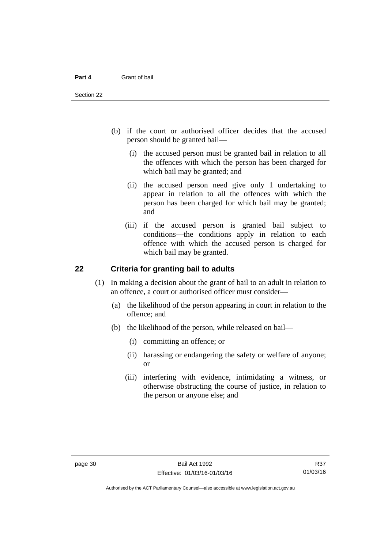- (b) if the court or authorised officer decides that the accused person should be granted bail—
	- (i) the accused person must be granted bail in relation to all the offences with which the person has been charged for which bail may be granted; and
	- (ii) the accused person need give only 1 undertaking to appear in relation to all the offences with which the person has been charged for which bail may be granted; and
	- (iii) if the accused person is granted bail subject to conditions—the conditions apply in relation to each offence with which the accused person is charged for which bail may be granted.

#### **22 Criteria for granting bail to adults**

- (1) In making a decision about the grant of bail to an adult in relation to an offence, a court or authorised officer must consider—
	- (a) the likelihood of the person appearing in court in relation to the offence; and
	- (b) the likelihood of the person, while released on bail—
		- (i) committing an offence; or
		- (ii) harassing or endangering the safety or welfare of anyone; or
		- (iii) interfering with evidence, intimidating a witness, or otherwise obstructing the course of justice, in relation to the person or anyone else; and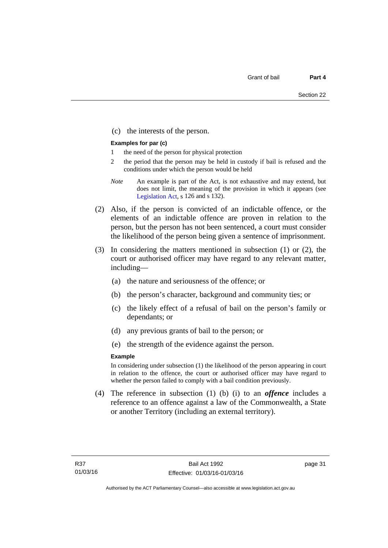(c) the interests of the person.

#### **Examples for par (c)**

- 1 the need of the person for physical protection
- 2 the period that the person may be held in custody if bail is refused and the conditions under which the person would be held
- *Note* An example is part of the Act, is not exhaustive and may extend, but does not limit, the meaning of the provision in which it appears (see [Legislation Act,](http://www.legislation.act.gov.au/a/2001-14) s 126 and s 132).
- (2) Also, if the person is convicted of an indictable offence, or the elements of an indictable offence are proven in relation to the person, but the person has not been sentenced, a court must consider the likelihood of the person being given a sentence of imprisonment.
- (3) In considering the matters mentioned in subsection (1) or (2), the court or authorised officer may have regard to any relevant matter, including—
	- (a) the nature and seriousness of the offence; or
	- (b) the person's character, background and community ties; or
	- (c) the likely effect of a refusal of bail on the person's family or dependants; or
	- (d) any previous grants of bail to the person; or
	- (e) the strength of the evidence against the person.

#### **Example**

In considering under subsection (1) the likelihood of the person appearing in court in relation to the offence, the court or authorised officer may have regard to whether the person failed to comply with a bail condition previously.

 (4) The reference in subsection (1) (b) (i) to an *offence* includes a reference to an offence against a law of the Commonwealth, a State or another Territory (including an external territory).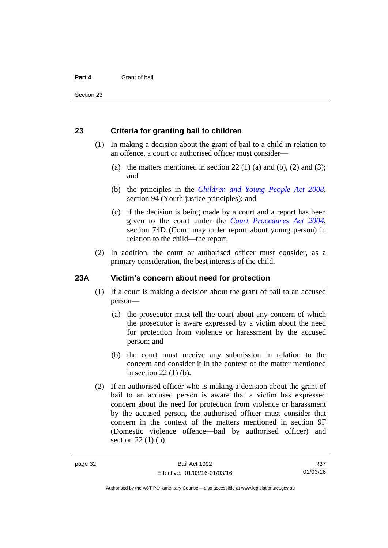#### **23 Criteria for granting bail to children**

- (1) In making a decision about the grant of bail to a child in relation to an offence, a court or authorised officer must consider—
	- (a) the matters mentioned in section 22 (1) (a) and (b), (2) and (3); and
	- (b) the principles in the *[Children and Young People Act 2008](http://www.legislation.act.gov.au/a/2008-19)*, section 94 (Youth justice principles); and
	- (c) if the decision is being made by a court and a report has been given to the court under the *[Court Procedures Act 2004](http://www.legislation.act.gov.au/a/2004-59)*, section 74D (Court may order report about young person) in relation to the child—the report.
- (2) In addition, the court or authorised officer must consider, as a primary consideration, the best interests of the child.

#### **23A Victim's concern about need for protection**

- (1) If a court is making a decision about the grant of bail to an accused person—
	- (a) the prosecutor must tell the court about any concern of which the prosecutor is aware expressed by a victim about the need for protection from violence or harassment by the accused person; and
	- (b) the court must receive any submission in relation to the concern and consider it in the context of the matter mentioned in section 22 (1) (b).
- (2) If an authorised officer who is making a decision about the grant of bail to an accused person is aware that a victim has expressed concern about the need for protection from violence or harassment by the accused person, the authorised officer must consider that concern in the context of the matters mentioned in section 9F (Domestic violence offence—bail by authorised officer) and section 22 (1) (b).

R37 01/03/16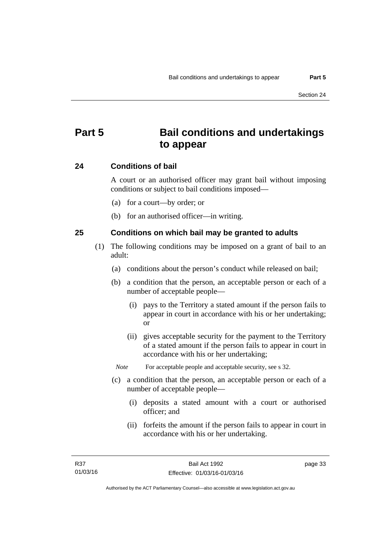# **Part 5 Bail conditions and undertakings to appear**

#### **24 Conditions of bail**

A court or an authorised officer may grant bail without imposing conditions or subject to bail conditions imposed—

- (a) for a court—by order; or
- (b) for an authorised officer—in writing.

#### **25 Conditions on which bail may be granted to adults**

- (1) The following conditions may be imposed on a grant of bail to an adult:
	- (a) conditions about the person's conduct while released on bail;
	- (b) a condition that the person, an acceptable person or each of a number of acceptable people—
		- (i) pays to the Territory a stated amount if the person fails to appear in court in accordance with his or her undertaking; or
		- (ii) gives acceptable security for the payment to the Territory of a stated amount if the person fails to appear in court in accordance with his or her undertaking;

*Note* For acceptable people and acceptable security, see s 32.

- (c) a condition that the person, an acceptable person or each of a number of acceptable people—
	- (i) deposits a stated amount with a court or authorised officer; and
	- (ii) forfeits the amount if the person fails to appear in court in accordance with his or her undertaking.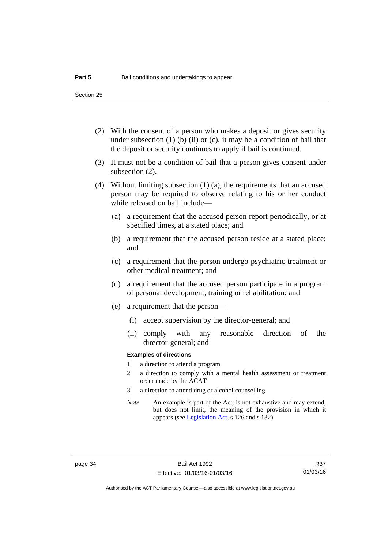Section 25

- (2) With the consent of a person who makes a deposit or gives security under subsection  $(1)$  (b)  $(ii)$  or  $(c)$ , it may be a condition of bail that the deposit or security continues to apply if bail is continued.
- (3) It must not be a condition of bail that a person gives consent under subsection (2).
- (4) Without limiting subsection (1) (a), the requirements that an accused person may be required to observe relating to his or her conduct while released on bail include—
	- (a) a requirement that the accused person report periodically, or at specified times, at a stated place; and
	- (b) a requirement that the accused person reside at a stated place; and
	- (c) a requirement that the person undergo psychiatric treatment or other medical treatment; and
	- (d) a requirement that the accused person participate in a program of personal development, training or rehabilitation; and
	- (e) a requirement that the person—
		- (i) accept supervision by the director-general; and
		- (ii) comply with any reasonable direction of the director-general; and

#### **Examples of directions**

- 1 a direction to attend a program
- 2 a direction to comply with a mental health assessment or treatment order made by the ACAT
- 3 a direction to attend drug or alcohol counselling
- *Note* An example is part of the Act, is not exhaustive and may extend, but does not limit, the meaning of the provision in which it appears (see [Legislation Act,](http://www.legislation.act.gov.au/a/2001-14) s 126 and s 132).

R37 01/03/16

Authorised by the ACT Parliamentary Counsel—also accessible at www.legislation.act.gov.au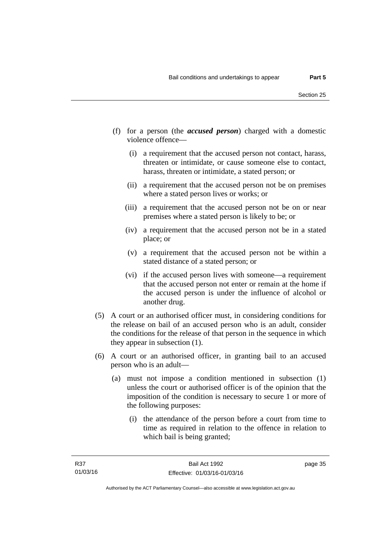- (f) for a person (the *accused person*) charged with a domestic violence offence—
	- (i) a requirement that the accused person not contact, harass, threaten or intimidate, or cause someone else to contact, harass, threaten or intimidate, a stated person; or
	- (ii) a requirement that the accused person not be on premises where a stated person lives or works; or
	- (iii) a requirement that the accused person not be on or near premises where a stated person is likely to be; or
	- (iv) a requirement that the accused person not be in a stated place; or
	- (v) a requirement that the accused person not be within a stated distance of a stated person; or
	- (vi) if the accused person lives with someone—a requirement that the accused person not enter or remain at the home if the accused person is under the influence of alcohol or another drug.
- (5) A court or an authorised officer must, in considering conditions for the release on bail of an accused person who is an adult, consider the conditions for the release of that person in the sequence in which they appear in subsection (1).
- (6) A court or an authorised officer, in granting bail to an accused person who is an adult—
	- (a) must not impose a condition mentioned in subsection (1) unless the court or authorised officer is of the opinion that the imposition of the condition is necessary to secure 1 or more of the following purposes:
		- (i) the attendance of the person before a court from time to time as required in relation to the offence in relation to which bail is being granted;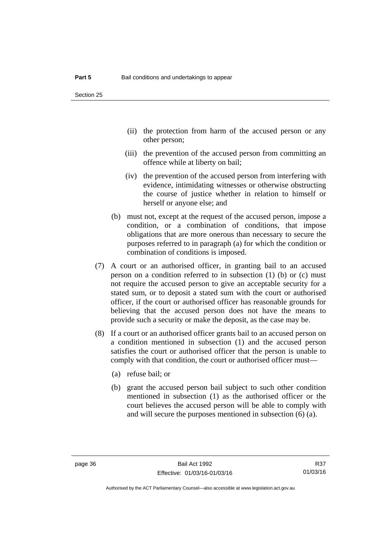- (ii) the protection from harm of the accused person or any other person;
- (iii) the prevention of the accused person from committing an offence while at liberty on bail;
- (iv) the prevention of the accused person from interfering with evidence, intimidating witnesses or otherwise obstructing the course of justice whether in relation to himself or herself or anyone else; and
- (b) must not, except at the request of the accused person, impose a condition, or a combination of conditions, that impose obligations that are more onerous than necessary to secure the purposes referred to in paragraph (a) for which the condition or combination of conditions is imposed.
- (7) A court or an authorised officer, in granting bail to an accused person on a condition referred to in subsection (1) (b) or (c) must not require the accused person to give an acceptable security for a stated sum, or to deposit a stated sum with the court or authorised officer, if the court or authorised officer has reasonable grounds for believing that the accused person does not have the means to provide such a security or make the deposit, as the case may be.
- (8) If a court or an authorised officer grants bail to an accused person on a condition mentioned in subsection (1) and the accused person satisfies the court or authorised officer that the person is unable to comply with that condition, the court or authorised officer must—
	- (a) refuse bail; or
	- (b) grant the accused person bail subject to such other condition mentioned in subsection (1) as the authorised officer or the court believes the accused person will be able to comply with and will secure the purposes mentioned in subsection (6) (a).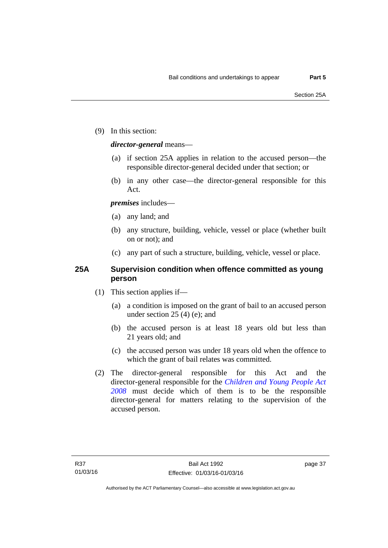(9) In this section:

#### *director-general* means—

- (a) if section 25A applies in relation to the accused person—the responsible director-general decided under that section; or
- (b) in any other case—the director-general responsible for this Act.

#### *premises* includes—

- (a) any land; and
- (b) any structure, building, vehicle, vessel or place (whether built on or not); and
- (c) any part of such a structure, building, vehicle, vessel or place.

#### **25A Supervision condition when offence committed as young person**

- (1) This section applies if—
	- (a) a condition is imposed on the grant of bail to an accused person under section 25 (4) (e); and
	- (b) the accused person is at least 18 years old but less than 21 years old; and
	- (c) the accused person was under 18 years old when the offence to which the grant of bail relates was committed.
- (2) The director-general responsible for this Act and the director-general responsible for the *[Children and Young People Act](http://www.legislation.act.gov.au/a/2008-19)  [2008](http://www.legislation.act.gov.au/a/2008-19)* must decide which of them is to be the responsible director-general for matters relating to the supervision of the accused person.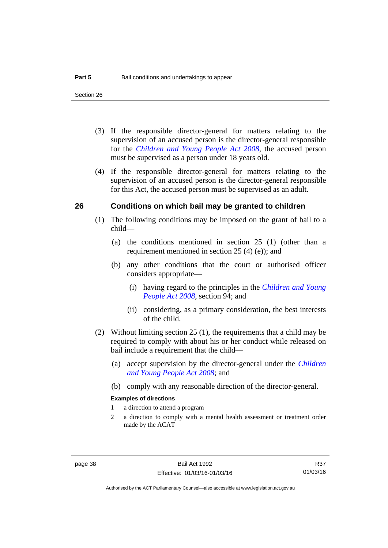- (3) If the responsible director-general for matters relating to the supervision of an accused person is the director-general responsible for the *[Children and Young People Act 2008](http://www.legislation.act.gov.au/a/2008-19)*, the accused person must be supervised as a person under 18 years old.
- (4) If the responsible director-general for matters relating to the supervision of an accused person is the director-general responsible for this Act, the accused person must be supervised as an adult.

#### **26 Conditions on which bail may be granted to children**

- (1) The following conditions may be imposed on the grant of bail to a child—
	- (a) the conditions mentioned in section 25 (1) (other than a requirement mentioned in section 25 (4) (e)); and
	- (b) any other conditions that the court or authorised officer considers appropriate—
		- (i) having regard to the principles in the *[Children and Young](http://www.legislation.act.gov.au/a/2008-19)  [People Act 2008](http://www.legislation.act.gov.au/a/2008-19)*, section 94; and
		- (ii) considering, as a primary consideration, the best interests of the child.
- (2) Without limiting section 25 (1), the requirements that a child may be required to comply with about his or her conduct while released on bail include a requirement that the child—
	- (a) accept supervision by the director-general under the *[Children](http://www.legislation.act.gov.au/a/2008-19)  [and Young People Act 2008](http://www.legislation.act.gov.au/a/2008-19)*; and
	- (b) comply with any reasonable direction of the director-general.

#### **Examples of directions**

- 1 a direction to attend a program
- 2 a direction to comply with a mental health assessment or treatment order made by the ACAT

R37 01/03/16

Authorised by the ACT Parliamentary Counsel—also accessible at www.legislation.act.gov.au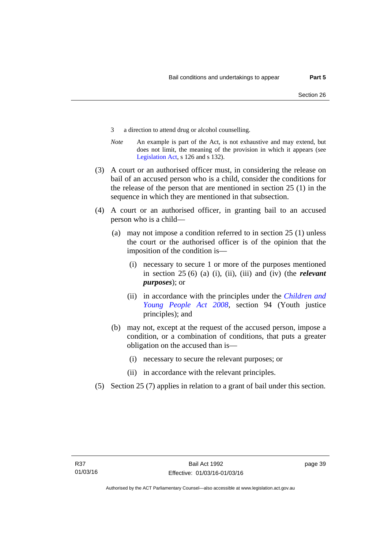- 3 a direction to attend drug or alcohol counselling.
- *Note* An example is part of the Act, is not exhaustive and may extend, but does not limit, the meaning of the provision in which it appears (see [Legislation Act,](http://www.legislation.act.gov.au/a/2001-14) s 126 and s 132).
- (3) A court or an authorised officer must, in considering the release on bail of an accused person who is a child, consider the conditions for the release of the person that are mentioned in section 25 (1) in the sequence in which they are mentioned in that subsection.
- (4) A court or an authorised officer, in granting bail to an accused person who is a child—
	- (a) may not impose a condition referred to in section 25 (1) unless the court or the authorised officer is of the opinion that the imposition of the condition is—
		- (i) necessary to secure 1 or more of the purposes mentioned in section 25 (6) (a) (i), (ii), (iii) and (iv) (the *relevant purposes*); or
		- (ii) in accordance with the principles under the *[Children and](http://www.legislation.act.gov.au/a/2008-19)  [Young People Act 2008](http://www.legislation.act.gov.au/a/2008-19)*, section 94 (Youth justice principles); and
	- (b) may not, except at the request of the accused person, impose a condition, or a combination of conditions, that puts a greater obligation on the accused than is—
		- (i) necessary to secure the relevant purposes; or
		- (ii) in accordance with the relevant principles.
- (5) Section 25 (7) applies in relation to a grant of bail under this section.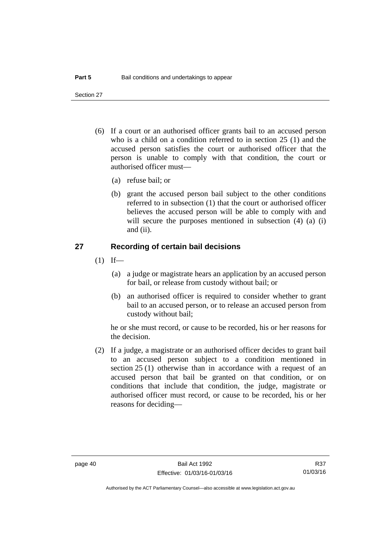Section 27

- (6) If a court or an authorised officer grants bail to an accused person who is a child on a condition referred to in section 25 (1) and the accused person satisfies the court or authorised officer that the person is unable to comply with that condition, the court or authorised officer must—
	- (a) refuse bail; or
	- (b) grant the accused person bail subject to the other conditions referred to in subsection (1) that the court or authorised officer believes the accused person will be able to comply with and will secure the purposes mentioned in subsection (4) (a) (i) and (ii).

#### **27 Recording of certain bail decisions**

- $(1)$  If—
	- (a) a judge or magistrate hears an application by an accused person for bail, or release from custody without bail; or
	- (b) an authorised officer is required to consider whether to grant bail to an accused person, or to release an accused person from custody without bail;

he or she must record, or cause to be recorded, his or her reasons for the decision.

 (2) If a judge, a magistrate or an authorised officer decides to grant bail to an accused person subject to a condition mentioned in section 25 (1) otherwise than in accordance with a request of an accused person that bail be granted on that condition, or on conditions that include that condition, the judge, magistrate or authorised officer must record, or cause to be recorded, his or her reasons for deciding—

Authorised by the ACT Parliamentary Counsel—also accessible at www.legislation.act.gov.au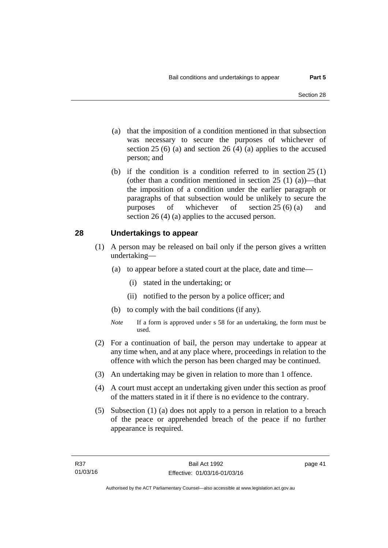- (a) that the imposition of a condition mentioned in that subsection was necessary to secure the purposes of whichever of section  $25(6)$  (a) and section  $26(4)$  (a) applies to the accused person; and
- (b) if the condition is a condition referred to in section 25 (1) (other than a condition mentioned in section  $25(1)(a)$ —that the imposition of a condition under the earlier paragraph or paragraphs of that subsection would be unlikely to secure the purposes of whichever of section 25 (6) (a) and section 26 (4) (a) applies to the accused person.

#### **28 Undertakings to appear**

- (1) A person may be released on bail only if the person gives a written undertaking—
	- (a) to appear before a stated court at the place, date and time—
		- (i) stated in the undertaking; or
		- (ii) notified to the person by a police officer; and
	- (b) to comply with the bail conditions (if any).
	- *Note* If a form is approved under s 58 for an undertaking, the form must be used.
- (2) For a continuation of bail, the person may undertake to appear at any time when, and at any place where, proceedings in relation to the offence with which the person has been charged may be continued.
- (3) An undertaking may be given in relation to more than 1 offence.
- (4) A court must accept an undertaking given under this section as proof of the matters stated in it if there is no evidence to the contrary.
- (5) Subsection (1) (a) does not apply to a person in relation to a breach of the peace or apprehended breach of the peace if no further appearance is required.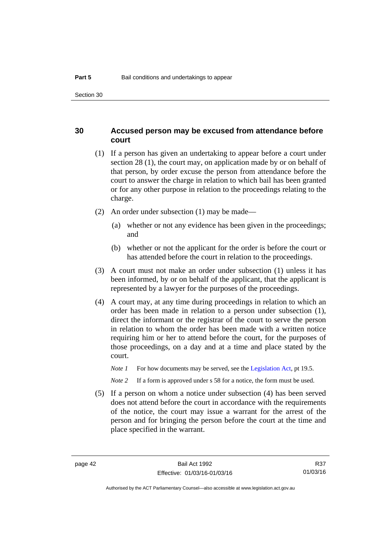#### **30 Accused person may be excused from attendance before court**

- (1) If a person has given an undertaking to appear before a court under section 28 (1), the court may, on application made by or on behalf of that person, by order excuse the person from attendance before the court to answer the charge in relation to which bail has been granted or for any other purpose in relation to the proceedings relating to the charge.
- (2) An order under subsection (1) may be made—
	- (a) whether or not any evidence has been given in the proceedings; and
	- (b) whether or not the applicant for the order is before the court or has attended before the court in relation to the proceedings.
- (3) A court must not make an order under subsection (1) unless it has been informed, by or on behalf of the applicant, that the applicant is represented by a lawyer for the purposes of the proceedings.
- (4) A court may, at any time during proceedings in relation to which an order has been made in relation to a person under subsection (1), direct the informant or the registrar of the court to serve the person in relation to whom the order has been made with a written notice requiring him or her to attend before the court, for the purposes of those proceedings, on a day and at a time and place stated by the court.
	- *Note 1* For how documents may be served, see the [Legislation Act,](http://www.legislation.act.gov.au/a/2001-14) pt 19.5.

*Note* 2 If a form is approved under s 58 for a notice, the form must be used.

 (5) If a person on whom a notice under subsection (4) has been served does not attend before the court in accordance with the requirements of the notice, the court may issue a warrant for the arrest of the person and for bringing the person before the court at the time and place specified in the warrant.

R37 01/03/16

Authorised by the ACT Parliamentary Counsel—also accessible at www.legislation.act.gov.au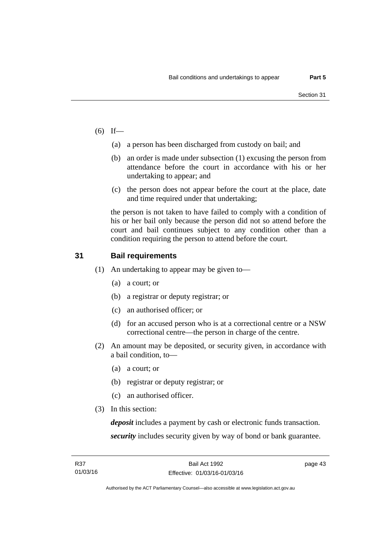- $(6)$  If—
	- (a) a person has been discharged from custody on bail; and
	- (b) an order is made under subsection (1) excusing the person from attendance before the court in accordance with his or her undertaking to appear; and
	- (c) the person does not appear before the court at the place, date and time required under that undertaking;

the person is not taken to have failed to comply with a condition of his or her bail only because the person did not so attend before the court and bail continues subject to any condition other than a condition requiring the person to attend before the court.

### **31 Bail requirements**

- (1) An undertaking to appear may be given to—
	- (a) a court; or
	- (b) a registrar or deputy registrar; or
	- (c) an authorised officer; or
	- (d) for an accused person who is at a correctional centre or a NSW correctional centre—the person in charge of the centre.
- (2) An amount may be deposited, or security given, in accordance with a bail condition, to—
	- (a) a court; or
	- (b) registrar or deputy registrar; or
	- (c) an authorised officer.
- (3) In this section:

*deposit* includes a payment by cash or electronic funds transaction. *security* includes security given by way of bond or bank guarantee.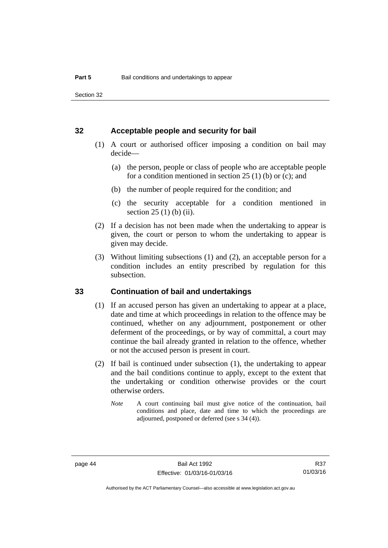Section 32

#### **32 Acceptable people and security for bail**

- (1) A court or authorised officer imposing a condition on bail may decide—
	- (a) the person, people or class of people who are acceptable people for a condition mentioned in section  $25(1)$  (b) or (c); and
	- (b) the number of people required for the condition; and
	- (c) the security acceptable for a condition mentioned in section 25 (1) (b) (ii).
- (2) If a decision has not been made when the undertaking to appear is given, the court or person to whom the undertaking to appear is given may decide.
- (3) Without limiting subsections (1) and (2), an acceptable person for a condition includes an entity prescribed by regulation for this subsection.

#### **33 Continuation of bail and undertakings**

- (1) If an accused person has given an undertaking to appear at a place, date and time at which proceedings in relation to the offence may be continued, whether on any adjournment, postponement or other deferment of the proceedings, or by way of committal, a court may continue the bail already granted in relation to the offence, whether or not the accused person is present in court.
- (2) If bail is continued under subsection (1), the undertaking to appear and the bail conditions continue to apply, except to the extent that the undertaking or condition otherwise provides or the court otherwise orders.
	- *Note* A court continuing bail must give notice of the continuation, bail conditions and place, date and time to which the proceedings are adjourned, postponed or deferred (see s 34 (4)).

R37 01/03/16

Authorised by the ACT Parliamentary Counsel—also accessible at www.legislation.act.gov.au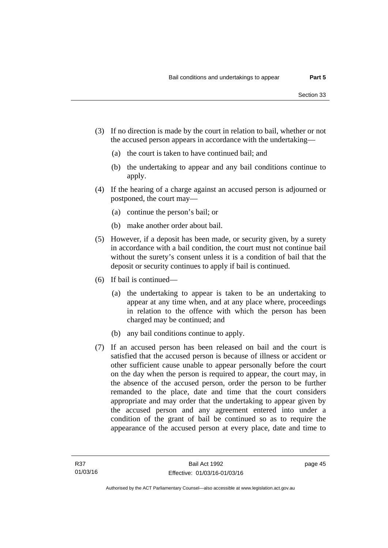- (3) If no direction is made by the court in relation to bail, whether or not the accused person appears in accordance with the undertaking—
	- (a) the court is taken to have continued bail; and
	- (b) the undertaking to appear and any bail conditions continue to apply.
- (4) If the hearing of a charge against an accused person is adjourned or postponed, the court may—
	- (a) continue the person's bail; or
	- (b) make another order about bail.
- (5) However, if a deposit has been made, or security given, by a surety in accordance with a bail condition, the court must not continue bail without the surety's consent unless it is a condition of bail that the deposit or security continues to apply if bail is continued.
- (6) If bail is continued—
	- (a) the undertaking to appear is taken to be an undertaking to appear at any time when, and at any place where, proceedings in relation to the offence with which the person has been charged may be continued; and
	- (b) any bail conditions continue to apply.
- (7) If an accused person has been released on bail and the court is satisfied that the accused person is because of illness or accident or other sufficient cause unable to appear personally before the court on the day when the person is required to appear, the court may, in the absence of the accused person, order the person to be further remanded to the place, date and time that the court considers appropriate and may order that the undertaking to appear given by the accused person and any agreement entered into under a condition of the grant of bail be continued so as to require the appearance of the accused person at every place, date and time to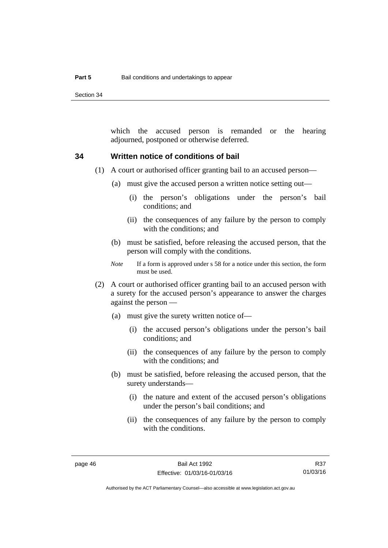Section 34

which the accused person is remanded or the hearing adjourned, postponed or otherwise deferred.

#### **34 Written notice of conditions of bail**

- (1) A court or authorised officer granting bail to an accused person—
	- (a) must give the accused person a written notice setting out—
		- (i) the person's obligations under the person's bail conditions; and
		- (ii) the consequences of any failure by the person to comply with the conditions; and
	- (b) must be satisfied, before releasing the accused person, that the person will comply with the conditions.
	- *Note* If a form is approved under s 58 for a notice under this section, the form must be used.
- (2) A court or authorised officer granting bail to an accused person with a surety for the accused person's appearance to answer the charges against the person —
	- (a) must give the surety written notice of—
		- (i) the accused person's obligations under the person's bail conditions; and
		- (ii) the consequences of any failure by the person to comply with the conditions; and
	- (b) must be satisfied, before releasing the accused person, that the surety understands—
		- (i) the nature and extent of the accused person's obligations under the person's bail conditions; and
		- (ii) the consequences of any failure by the person to comply with the conditions.

Authorised by the ACT Parliamentary Counsel—also accessible at www.legislation.act.gov.au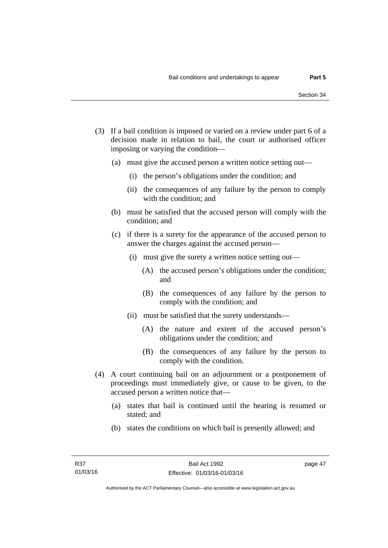- (3) If a bail condition is imposed or varied on a review under part 6 of a decision made in relation to bail, the court or authorised officer imposing or varying the condition—
	- (a) must give the accused person a written notice setting out—
		- (i) the person's obligations under the condition; and
		- (ii) the consequences of any failure by the person to comply with the condition; and
	- (b) must be satisfied that the accused person will comply with the condition; and
	- (c) if there is a surety for the appearance of the accused person to answer the charges against the accused person—
		- (i) must give the surety a written notice setting out—
			- (A) the accused person's obligations under the condition; and
			- (B) the consequences of any failure by the person to comply with the condition; and
		- (ii) must be satisfied that the surety understands—
			- (A) the nature and extent of the accused person's obligations under the condition; and
			- (B) the consequences of any failure by the person to comply with the condition.
- (4) A court continuing bail on an adjournment or a postponement of proceedings must immediately give, or cause to be given, to the accused person a written notice that—
	- (a) states that bail is continued until the hearing is resumed or stated; and
	- (b) states the conditions on which bail is presently allowed; and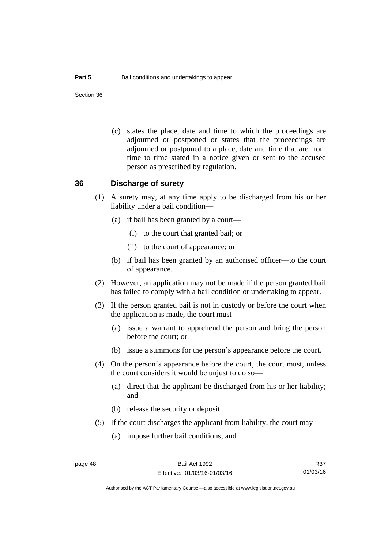Section 36

 (c) states the place, date and time to which the proceedings are adjourned or postponed or states that the proceedings are adjourned or postponed to a place, date and time that are from time to time stated in a notice given or sent to the accused person as prescribed by regulation.

#### **36 Discharge of surety**

- (1) A surety may, at any time apply to be discharged from his or her liability under a bail condition—
	- (a) if bail has been granted by a court—
		- (i) to the court that granted bail; or
		- (ii) to the court of appearance; or
	- (b) if bail has been granted by an authorised officer—to the court of appearance.
- (2) However, an application may not be made if the person granted bail has failed to comply with a bail condition or undertaking to appear.
- (3) If the person granted bail is not in custody or before the court when the application is made, the court must—
	- (a) issue a warrant to apprehend the person and bring the person before the court; or
	- (b) issue a summons for the person's appearance before the court.
- (4) On the person's appearance before the court, the court must, unless the court considers it would be unjust to do so—
	- (a) direct that the applicant be discharged from his or her liability; and
	- (b) release the security or deposit.
- (5) If the court discharges the applicant from liability, the court may—
	- (a) impose further bail conditions; and

R37 01/03/16

Authorised by the ACT Parliamentary Counsel—also accessible at www.legislation.act.gov.au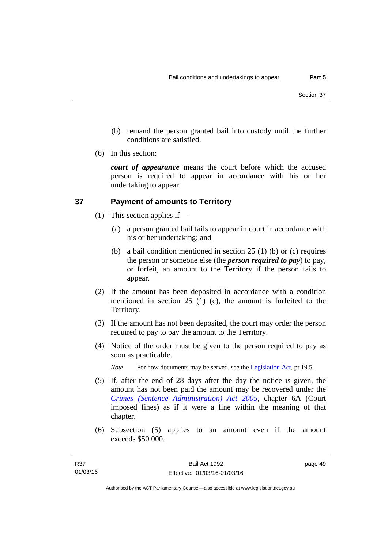- (b) remand the person granted bail into custody until the further conditions are satisfied.
- (6) In this section:

*court of appearance* means the court before which the accused person is required to appear in accordance with his or her undertaking to appear.

## **37 Payment of amounts to Territory**

- (1) This section applies if—
	- (a) a person granted bail fails to appear in court in accordance with his or her undertaking; and
	- (b) a bail condition mentioned in section 25 (1) (b) or (c) requires the person or someone else (the *person required to pay*) to pay, or forfeit, an amount to the Territory if the person fails to appear.
- (2) If the amount has been deposited in accordance with a condition mentioned in section 25 (1) (c), the amount is forfeited to the Territory.
- (3) If the amount has not been deposited, the court may order the person required to pay to pay the amount to the Territory.
- (4) Notice of the order must be given to the person required to pay as soon as practicable.

*Note* For how documents may be served, see the [Legislation Act,](http://www.legislation.act.gov.au/a/2001-14) pt 19.5.

- (5) If, after the end of 28 days after the day the notice is given, the amount has not been paid the amount may be recovered under the *[Crimes \(Sentence Administration\) Act 2005](http://www.legislation.act.gov.au/a/2005-59)*, chapter 6A (Court imposed fines) as if it were a fine within the meaning of that chapter.
- (6) Subsection (5) applies to an amount even if the amount exceeds \$50 000.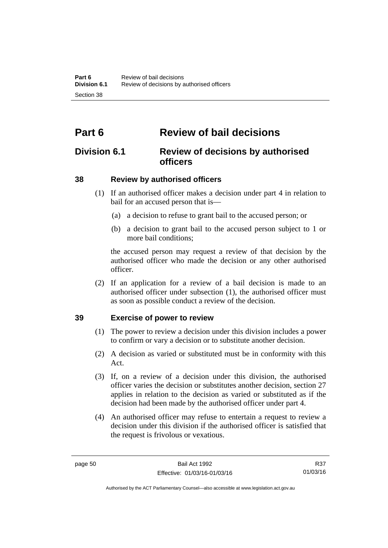# **Part 6 Review of bail decisions**

## **Division 6.1 Review of decisions by authorised officers**

## **38 Review by authorised officers**

- (1) If an authorised officer makes a decision under part 4 in relation to bail for an accused person that is—
	- (a) a decision to refuse to grant bail to the accused person; or
	- (b) a decision to grant bail to the accused person subject to 1 or more bail conditions;

the accused person may request a review of that decision by the authorised officer who made the decision or any other authorised officer.

 (2) If an application for a review of a bail decision is made to an authorised officer under subsection (1), the authorised officer must as soon as possible conduct a review of the decision.

### **39 Exercise of power to review**

- (1) The power to review a decision under this division includes a power to confirm or vary a decision or to substitute another decision.
- (2) A decision as varied or substituted must be in conformity with this Act.
- (3) If, on a review of a decision under this division, the authorised officer varies the decision or substitutes another decision, section 27 applies in relation to the decision as varied or substituted as if the decision had been made by the authorised officer under part 4.
- (4) An authorised officer may refuse to entertain a request to review a decision under this division if the authorised officer is satisfied that the request is frivolous or vexatious.

R37 01/03/16

Authorised by the ACT Parliamentary Counsel—also accessible at www.legislation.act.gov.au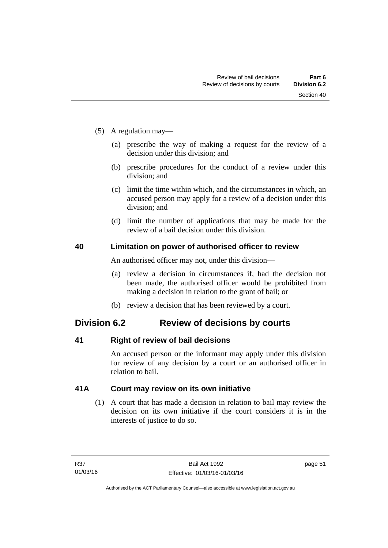- (5) A regulation may—
	- (a) prescribe the way of making a request for the review of a decision under this division; and
	- (b) prescribe procedures for the conduct of a review under this division; and
	- (c) limit the time within which, and the circumstances in which, an accused person may apply for a review of a decision under this division; and
	- (d) limit the number of applications that may be made for the review of a bail decision under this division.

#### **40 Limitation on power of authorised officer to review**

An authorised officer may not, under this division—

- (a) review a decision in circumstances if, had the decision not been made, the authorised officer would be prohibited from making a decision in relation to the grant of bail; or
- (b) review a decision that has been reviewed by a court.

## **Division 6.2 Review of decisions by courts**

#### **41 Right of review of bail decisions**

An accused person or the informant may apply under this division for review of any decision by a court or an authorised officer in relation to bail.

#### **41A Court may review on its own initiative**

 (1) A court that has made a decision in relation to bail may review the decision on its own initiative if the court considers it is in the interests of justice to do so.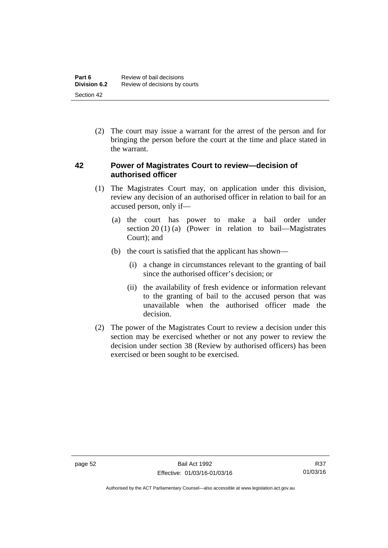(2) The court may issue a warrant for the arrest of the person and for bringing the person before the court at the time and place stated in the warrant.

#### **42 Power of Magistrates Court to review—decision of authorised officer**

- (1) The Magistrates Court may, on application under this division, review any decision of an authorised officer in relation to bail for an accused person, only if—
	- (a) the court has power to make a bail order under section 20 (1) (a) (Power in relation to bail—Magistrates Court); and
	- (b) the court is satisfied that the applicant has shown—
		- (i) a change in circumstances relevant to the granting of bail since the authorised officer's decision; or
		- (ii) the availability of fresh evidence or information relevant to the granting of bail to the accused person that was unavailable when the authorised officer made the decision.
- (2) The power of the Magistrates Court to review a decision under this section may be exercised whether or not any power to review the decision under section 38 (Review by authorised officers) has been exercised or been sought to be exercised.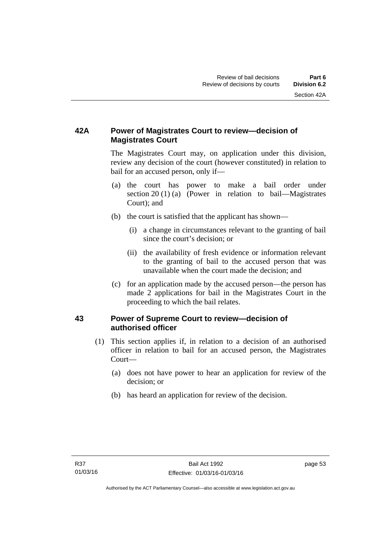## **42A Power of Magistrates Court to review—decision of Magistrates Court**

 The Magistrates Court may, on application under this division, review any decision of the court (however constituted) in relation to bail for an accused person, only if—

- (a) the court has power to make a bail order under section 20 (1) (a) (Power in relation to bail—Magistrates Court); and
- (b) the court is satisfied that the applicant has shown—
	- (i) a change in circumstances relevant to the granting of bail since the court's decision; or
	- (ii) the availability of fresh evidence or information relevant to the granting of bail to the accused person that was unavailable when the court made the decision; and
- (c) for an application made by the accused person—the person has made 2 applications for bail in the Magistrates Court in the proceeding to which the bail relates.

### **43 Power of Supreme Court to review—decision of authorised officer**

- (1) This section applies if, in relation to a decision of an authorised officer in relation to bail for an accused person, the Magistrates Court—
	- (a) does not have power to hear an application for review of the decision; or
	- (b) has heard an application for review of the decision.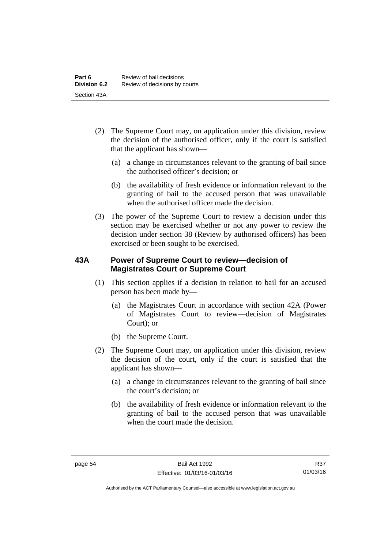- (2) The Supreme Court may, on application under this division, review the decision of the authorised officer, only if the court is satisfied that the applicant has shown—
	- (a) a change in circumstances relevant to the granting of bail since the authorised officer's decision; or
	- (b) the availability of fresh evidence or information relevant to the granting of bail to the accused person that was unavailable when the authorised officer made the decision.
- (3) The power of the Supreme Court to review a decision under this section may be exercised whether or not any power to review the decision under section 38 (Review by authorised officers) has been exercised or been sought to be exercised.

### **43A Power of Supreme Court to review—decision of Magistrates Court or Supreme Court**

- (1) This section applies if a decision in relation to bail for an accused person has been made by—
	- (a) the Magistrates Court in accordance with section 42A (Power of Magistrates Court to review—decision of Magistrates Court); or
	- (b) the Supreme Court.
- (2) The Supreme Court may, on application under this division, review the decision of the court, only if the court is satisfied that the applicant has shown—
	- (a) a change in circumstances relevant to the granting of bail since the court's decision; or
	- (b) the availability of fresh evidence or information relevant to the granting of bail to the accused person that was unavailable when the court made the decision.

Authorised by the ACT Parliamentary Counsel—also accessible at www.legislation.act.gov.au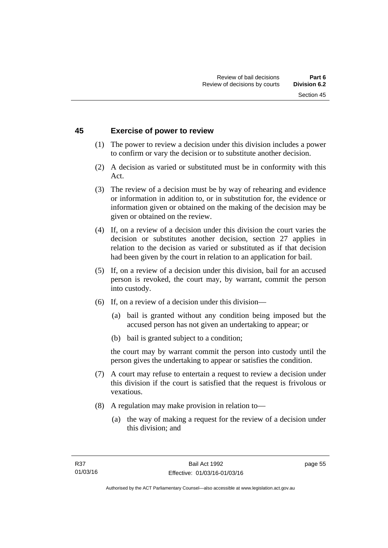#### **45 Exercise of power to review**

- (1) The power to review a decision under this division includes a power to confirm or vary the decision or to substitute another decision.
- (2) A decision as varied or substituted must be in conformity with this Act.
- (3) The review of a decision must be by way of rehearing and evidence or information in addition to, or in substitution for, the evidence or information given or obtained on the making of the decision may be given or obtained on the review.
- (4) If, on a review of a decision under this division the court varies the decision or substitutes another decision, section 27 applies in relation to the decision as varied or substituted as if that decision had been given by the court in relation to an application for bail.
- (5) If, on a review of a decision under this division, bail for an accused person is revoked, the court may, by warrant, commit the person into custody.
- (6) If, on a review of a decision under this division—
	- (a) bail is granted without any condition being imposed but the accused person has not given an undertaking to appear; or
	- (b) bail is granted subject to a condition;

the court may by warrant commit the person into custody until the person gives the undertaking to appear or satisfies the condition.

- (7) A court may refuse to entertain a request to review a decision under this division if the court is satisfied that the request is frivolous or vexatious.
- (8) A regulation may make provision in relation to—
	- (a) the way of making a request for the review of a decision under this division; and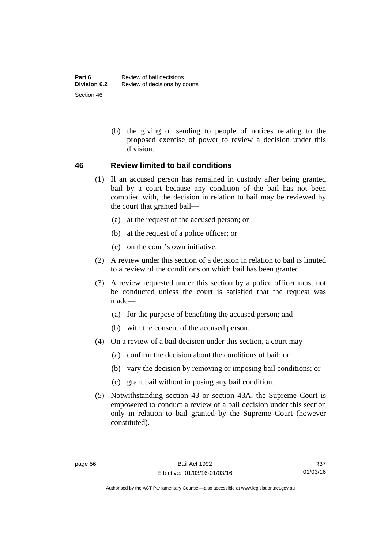(b) the giving or sending to people of notices relating to the proposed exercise of power to review a decision under this division.

#### **46 Review limited to bail conditions**

- (1) If an accused person has remained in custody after being granted bail by a court because any condition of the bail has not been complied with, the decision in relation to bail may be reviewed by the court that granted bail—
	- (a) at the request of the accused person; or
	- (b) at the request of a police officer; or
	- (c) on the court's own initiative.
- (2) A review under this section of a decision in relation to bail is limited to a review of the conditions on which bail has been granted.
- (3) A review requested under this section by a police officer must not be conducted unless the court is satisfied that the request was made—
	- (a) for the purpose of benefiting the accused person; and
	- (b) with the consent of the accused person.
- (4) On a review of a bail decision under this section, a court may—
	- (a) confirm the decision about the conditions of bail; or
	- (b) vary the decision by removing or imposing bail conditions; or
	- (c) grant bail without imposing any bail condition.
- (5) Notwithstanding section 43 or section 43A, the Supreme Court is empowered to conduct a review of a bail decision under this section only in relation to bail granted by the Supreme Court (however constituted).

Authorised by the ACT Parliamentary Counsel—also accessible at www.legislation.act.gov.au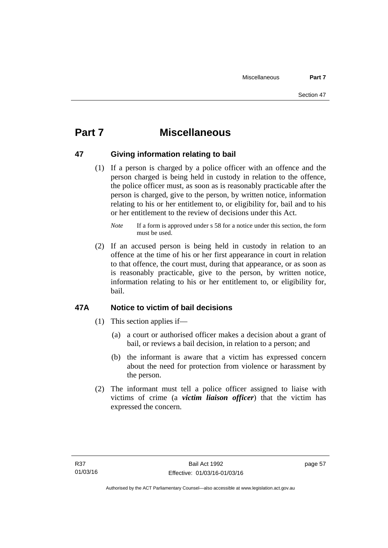# **Part 7 Miscellaneous**

### **47 Giving information relating to bail**

 (1) If a person is charged by a police officer with an offence and the person charged is being held in custody in relation to the offence, the police officer must, as soon as is reasonably practicable after the person is charged, give to the person, by written notice, information relating to his or her entitlement to, or eligibility for, bail and to his or her entitlement to the review of decisions under this Act.

 (2) If an accused person is being held in custody in relation to an offence at the time of his or her first appearance in court in relation to that offence, the court must, during that appearance, or as soon as is reasonably practicable, give to the person, by written notice, information relating to his or her entitlement to, or eligibility for, bail.

### **47A Notice to victim of bail decisions**

- (1) This section applies if—
	- (a) a court or authorised officer makes a decision about a grant of bail, or reviews a bail decision, in relation to a person; and
	- (b) the informant is aware that a victim has expressed concern about the need for protection from violence or harassment by the person.
- (2) The informant must tell a police officer assigned to liaise with victims of crime (a *victim liaison officer*) that the victim has expressed the concern.

*Note* If a form is approved under s 58 for a notice under this section, the form must be used.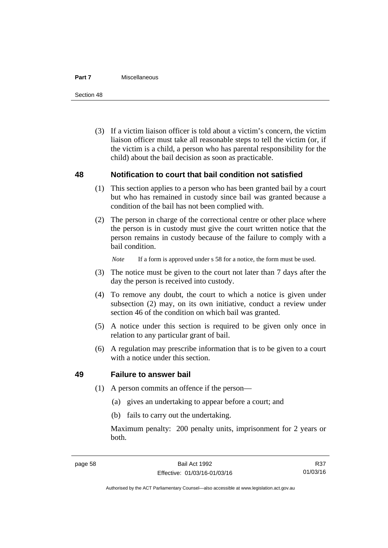#### **Part 7** Miscellaneous

Section 48

 (3) If a victim liaison officer is told about a victim's concern, the victim liaison officer must take all reasonable steps to tell the victim (or, if the victim is a child, a person who has parental responsibility for the child) about the bail decision as soon as practicable.

#### **48 Notification to court that bail condition not satisfied**

- (1) This section applies to a person who has been granted bail by a court but who has remained in custody since bail was granted because a condition of the bail has not been complied with.
- (2) The person in charge of the correctional centre or other place where the person is in custody must give the court written notice that the person remains in custody because of the failure to comply with a bail condition.

*Note* If a form is approved under s 58 for a notice, the form must be used.

- (3) The notice must be given to the court not later than 7 days after the day the person is received into custody.
- (4) To remove any doubt, the court to which a notice is given under subsection (2) may, on its own initiative, conduct a review under section 46 of the condition on which bail was granted.
- (5) A notice under this section is required to be given only once in relation to any particular grant of bail.
- (6) A regulation may prescribe information that is to be given to a court with a notice under this section.

#### **49 Failure to answer bail**

- (1) A person commits an offence if the person—
	- (a) gives an undertaking to appear before a court; and
	- (b) fails to carry out the undertaking.

Maximum penalty: 200 penalty units, imprisonment for 2 years or both.

Authorised by the ACT Parliamentary Counsel—also accessible at www.legislation.act.gov.au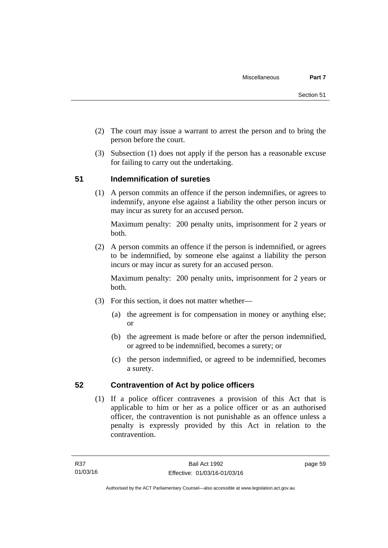- (2) The court may issue a warrant to arrest the person and to bring the person before the court.
- (3) Subsection (1) does not apply if the person has a reasonable excuse for failing to carry out the undertaking.

## **51 Indemnification of sureties**

(1) A person commits an offence if the person indemnifies, or agrees to indemnify, anyone else against a liability the other person incurs or may incur as surety for an accused person.

Maximum penalty: 200 penalty units, imprisonment for 2 years or both.

 (2) A person commits an offence if the person is indemnified, or agrees to be indemnified, by someone else against a liability the person incurs or may incur as surety for an accused person.

Maximum penalty: 200 penalty units, imprisonment for 2 years or both.

- (3) For this section, it does not matter whether—
	- (a) the agreement is for compensation in money or anything else; or
	- (b) the agreement is made before or after the person indemnified, or agreed to be indemnified, becomes a surety; or
	- (c) the person indemnified, or agreed to be indemnified, becomes a surety.

### **52 Contravention of Act by police officers**

(1) If a police officer contravenes a provision of this Act that is applicable to him or her as a police officer or as an authorised officer, the contravention is not punishable as an offence unless a penalty is expressly provided by this Act in relation to the contravention.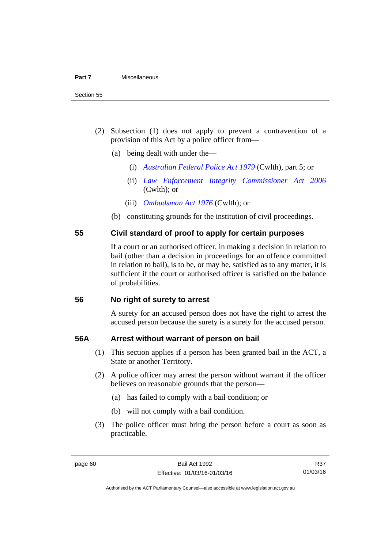- (2) Subsection (1) does not apply to prevent a contravention of a provision of this Act by a police officer from—
	- (a) being dealt with under the—
		- (i) *[Australian Federal Police Act 1979](http://www.comlaw.gov.au/Series/C2004A02068)* (Cwlth), part 5; or
		- (ii) *[Law Enforcement Integrity Commissioner Act 2006](http://www.comlaw.gov.au/Series/C2006A00085)* (Cwlth); or
		- (iii) *[Ombudsman Act 1976](http://www.comlaw.gov.au/Series/C2004A01611)* (Cwlth); or
	- (b) constituting grounds for the institution of civil proceedings.

#### **55 Civil standard of proof to apply for certain purposes**

If a court or an authorised officer, in making a decision in relation to bail (other than a decision in proceedings for an offence committed in relation to bail), is to be, or may be, satisfied as to any matter, it is sufficient if the court or authorised officer is satisfied on the balance of probabilities.

#### **56 No right of surety to arrest**

A surety for an accused person does not have the right to arrest the accused person because the surety is a surety for the accused person.

#### **56A Arrest without warrant of person on bail**

- (1) This section applies if a person has been granted bail in the ACT, a State or another Territory.
- (2) A police officer may arrest the person without warrant if the officer believes on reasonable grounds that the person—
	- (a) has failed to comply with a bail condition; or
	- (b) will not comply with a bail condition.
- (3) The police officer must bring the person before a court as soon as practicable.

R37 01/03/16

Authorised by the ACT Parliamentary Counsel—also accessible at www.legislation.act.gov.au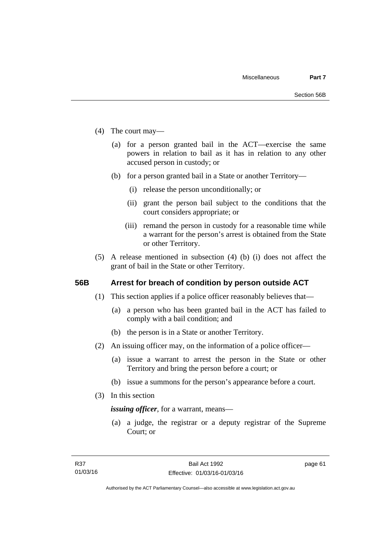- (4) The court may—
	- (a) for a person granted bail in the ACT—exercise the same powers in relation to bail as it has in relation to any other accused person in custody; or
	- (b) for a person granted bail in a State or another Territory—
		- (i) release the person unconditionally; or
		- (ii) grant the person bail subject to the conditions that the court considers appropriate; or
		- (iii) remand the person in custody for a reasonable time while a warrant for the person's arrest is obtained from the State or other Territory.
- (5) A release mentioned in subsection (4) (b) (i) does not affect the grant of bail in the State or other Territory.

#### **56B Arrest for breach of condition by person outside ACT**

- (1) This section applies if a police officer reasonably believes that—
	- (a) a person who has been granted bail in the ACT has failed to comply with a bail condition; and
	- (b) the person is in a State or another Territory.
- (2) An issuing officer may, on the information of a police officer—
	- (a) issue a warrant to arrest the person in the State or other Territory and bring the person before a court; or
	- (b) issue a summons for the person's appearance before a court.
- (3) In this section

*issuing officer*, for a warrant, means—

 (a) a judge, the registrar or a deputy registrar of the Supreme Court; or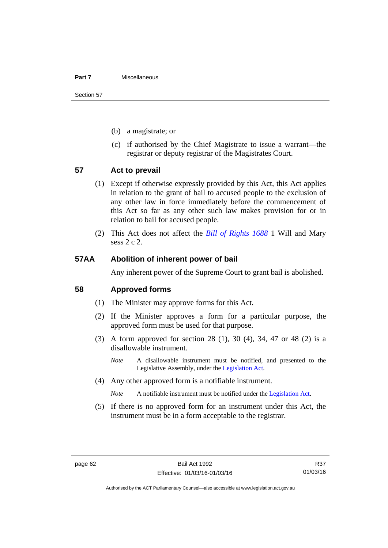#### **Part 7** Miscellaneous

Section 57

- (b) a magistrate; or
- (c) if authorised by the Chief Magistrate to issue a warrant—the registrar or deputy registrar of the Magistrates Court.

#### **57 Act to prevail**

- (1) Except if otherwise expressly provided by this Act, this Act applies in relation to the grant of bail to accused people to the exclusion of any other law in force immediately before the commencement of this Act so far as any other such law makes provision for or in relation to bail for accused people.
- (2) This Act does not affect the *[Bill of Rights 1688](http://www.legislation.act.gov.au/a/db_1792/default.asp)* 1 Will and Mary sess 2 c 2.

#### **57AA Abolition of inherent power of bail**

Any inherent power of the Supreme Court to grant bail is abolished.

#### **58 Approved forms**

- (1) The Minister may approve forms for this Act.
- (2) If the Minister approves a form for a particular purpose, the approved form must be used for that purpose.
- (3) A form approved for section 28 (1), 30 (4), 34, 47 or 48 (2) is a disallowable instrument.
	- *Note* A disallowable instrument must be notified, and presented to the Legislative Assembly, under the [Legislation Act.](http://www.legislation.act.gov.au/a/2001-14)
- (4) Any other approved form is a notifiable instrument.

*Note* A notifiable instrument must be notified under the [Legislation Act](http://www.legislation.act.gov.au/a/2001-14).

 (5) If there is no approved form for an instrument under this Act, the instrument must be in a form acceptable to the registrar.

R37 01/03/16

Authorised by the ACT Parliamentary Counsel—also accessible at www.legislation.act.gov.au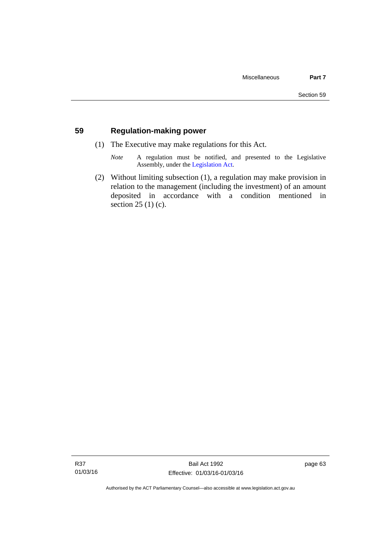### **59 Regulation-making power**

- (1) The Executive may make regulations for this Act.
	- *Note* A regulation must be notified, and presented to the Legislative Assembly, under the [Legislation Act](http://www.legislation.act.gov.au/a/2001-14).
- (2) Without limiting subsection (1), a regulation may make provision in relation to the management (including the investment) of an amount deposited in accordance with a condition mentioned in section 25 (1) (c).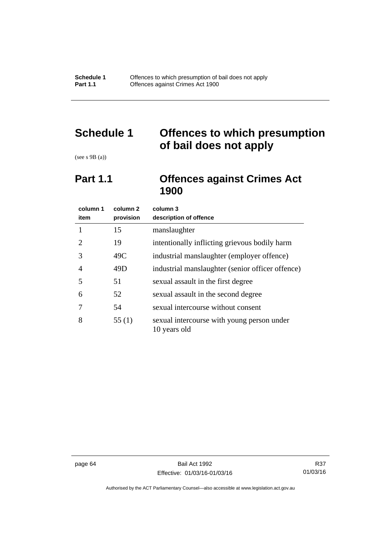# **Schedule 1 Offences to which presumption of bail does not apply**

(see s 9B (a))

## **Part 1.1 Offences against Crimes Act 1900**

| column 1<br>item      | column <sub>2</sub><br>provision | column 3<br>description of offence                         |
|-----------------------|----------------------------------|------------------------------------------------------------|
|                       | 15                               | manslaughter                                               |
| $\mathcal{D}_{\cdot}$ | 19                               | intentionally inflicting grievous bodily harm              |
| 3                     | 49C                              | industrial manslaughter (employer offence)                 |
| 4                     | 49D                              | industrial manslaughter (senior officer offence)           |
| 5                     | 51                               | sexual assault in the first degree                         |
| 6                     | 52                               | sexual assault in the second degree                        |
|                       | 54                               | sexual intercourse without consent                         |
| 8                     | 55(1)                            | sexual intercourse with young person under<br>10 years old |

page 64 Bail Act 1992 Effective: 01/03/16-01/03/16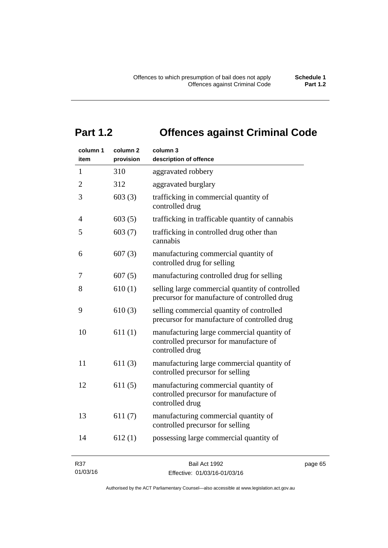# **Part 1.2 Offences against Criminal Code**

| column 1<br>item | column <sub>2</sub><br>provision | column 3<br>description of offence                                                                       |
|------------------|----------------------------------|----------------------------------------------------------------------------------------------------------|
| $\mathbf{1}$     | 310                              | aggravated robbery                                                                                       |
| $\overline{2}$   | 312                              | aggravated burglary                                                                                      |
| 3                | 603(3)                           | trafficking in commercial quantity of<br>controlled drug                                                 |
| $\overline{4}$   | 603(5)                           | trafficking in trafficable quantity of cannabis                                                          |
| 5                | 603(7)                           | trafficking in controlled drug other than<br>cannabis                                                    |
| 6                | 607(3)                           | manufacturing commercial quantity of<br>controlled drug for selling                                      |
| 7                | 607(5)                           | manufacturing controlled drug for selling                                                                |
| 8                | 610(1)                           | selling large commercial quantity of controlled<br>precursor for manufacture of controlled drug          |
| 9                | 610(3)                           | selling commercial quantity of controlled<br>precursor for manufacture of controlled drug                |
| 10               | 611(1)                           | manufacturing large commercial quantity of<br>controlled precursor for manufacture of<br>controlled drug |
| 11               | 611(3)                           | manufacturing large commercial quantity of<br>controlled precursor for selling                           |
| 12               | 611(5)                           | manufacturing commercial quantity of<br>controlled precursor for manufacture of<br>controlled drug       |
| 13               | 611(7)                           | manufacturing commercial quantity of<br>controlled precursor for selling                                 |
| 14               | 612(1)                           | possessing large commercial quantity of                                                                  |
|                  |                                  |                                                                                                          |

R37 01/03/16

## Bail Act 1992 Effective: 01/03/16-01/03/16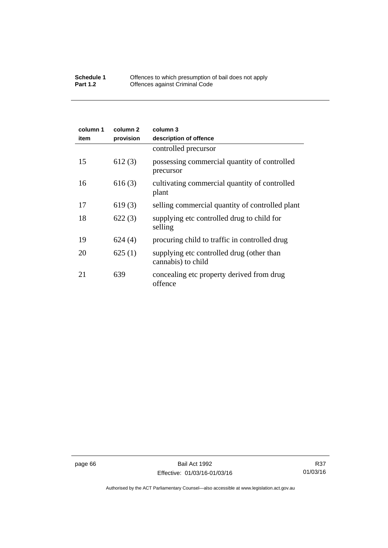#### **Schedule 1** Offences to which presumption of bail does not apply **Part 1.2 C** Offences against Criminal Code

| column 1<br>item | column 2<br>provision | column 3<br>description of offence                              |
|------------------|-----------------------|-----------------------------------------------------------------|
|                  |                       | controlled precursor                                            |
| 15               | 612(3)                | possessing commercial quantity of controlled<br>precursor       |
| 16               | 616(3)                | cultivating commercial quantity of controlled<br>plant          |
| 17               | 619(3)                | selling commercial quantity of controlled plant                 |
| 18               | 622(3)                | supplying etc controlled drug to child for<br>selling           |
| 19               | 624(4)                | procuring child to traffic in controlled drug                   |
| 20               | 625(1)                | supplying etc controlled drug (other than<br>cannabis) to child |
| 21               | 639                   | concealing etc property derived from drug<br>offence            |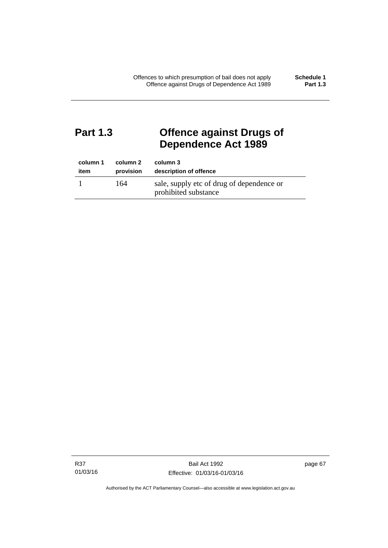## **Part 1.3 Offence against Drugs of Dependence Act 1989**

| column 1 | column 2  | column 3                                                          |
|----------|-----------|-------------------------------------------------------------------|
| item     | provision | description of offence                                            |
|          | 164       | sale, supply etc of drug of dependence or<br>prohibited substance |

R37 01/03/16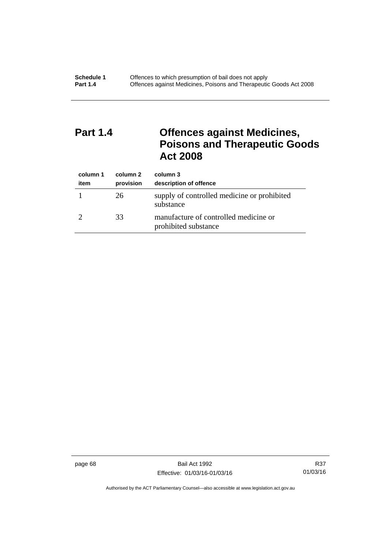# **Part 1.4 Offences against Medicines, Poisons and Therapeutic Goods Act 2008**

| column 1<br>item | column 2<br>provision | column 3<br>description of offence                            |
|------------------|-----------------------|---------------------------------------------------------------|
|                  | 26                    | supply of controlled medicine or prohibited<br>substance      |
|                  | 33                    | manufacture of controlled medicine or<br>prohibited substance |

page 68 Bail Act 1992 Effective: 01/03/16-01/03/16

R37 01/03/16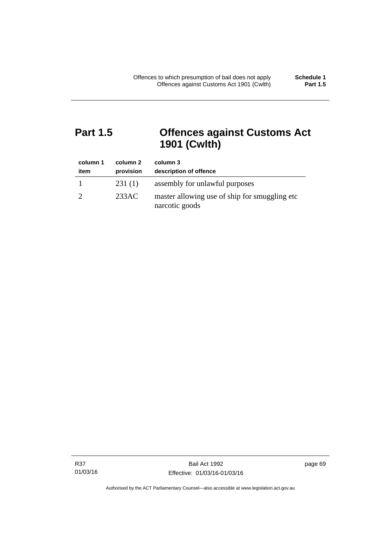# **Part 1.5 Offences against Customs Act 1901 (Cwlth)**

| column 1<br>item | column 2<br>provision | column 3<br>description of offence                               |
|------------------|-----------------------|------------------------------------------------------------------|
|                  | 231(1)                | assembly for unlawful purposes                                   |
|                  | 233AC                 | master allowing use of ship for smuggling etc.<br>narcotic goods |

R37 01/03/16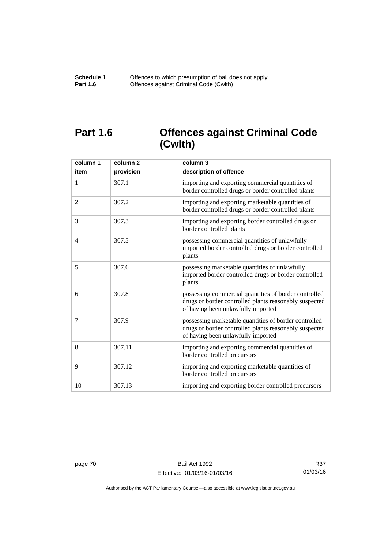# **Part 1.6 Offences against Criminal Code (Cwlth)**

| column 1<br>item | column <sub>2</sub><br>provision | column 3<br>description of offence                                                                                                                    |
|------------------|----------------------------------|-------------------------------------------------------------------------------------------------------------------------------------------------------|
| 1                | 307.1                            | importing and exporting commercial quantities of<br>border controlled drugs or border controlled plants                                               |
| 2                | 307.2                            | importing and exporting marketable quantities of<br>border controlled drugs or border controlled plants                                               |
| 3                | 307.3                            | importing and exporting border controlled drugs or<br>border controlled plants                                                                        |
| $\overline{4}$   | 307.5                            | possessing commercial quantities of unlawfully<br>imported border controlled drugs or border controlled<br>plants                                     |
| 5                | 307.6                            | possessing marketable quantities of unlawfully<br>imported border controlled drugs or border controlled<br>plants                                     |
| 6                | 307.8                            | possessing commercial quantities of border controlled<br>drugs or border controlled plants reasonably suspected<br>of having been unlawfully imported |
| 7                | 307.9                            | possessing marketable quantities of border controlled<br>drugs or border controlled plants reasonably suspected<br>of having been unlawfully imported |
| 8                | 307.11                           | importing and exporting commercial quantities of<br>border controlled precursors                                                                      |
| 9                | 307.12                           | importing and exporting marketable quantities of<br>border controlled precursors                                                                      |
| 10               | 307.13                           | importing and exporting border controlled precursors                                                                                                  |

R37 01/03/16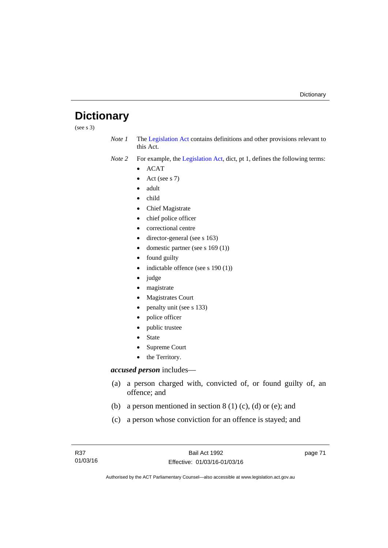# **Dictionary**

(see s 3)

*Note 1* The [Legislation Act](http://www.legislation.act.gov.au/a/2001-14) contains definitions and other provisions relevant to this Act.

*Note 2* For example, the [Legislation Act,](http://www.legislation.act.gov.au/a/2001-14) dict, pt 1, defines the following terms:

- $\bullet$  ACAT
- Act (see s 7)
- adult
- child
- Chief Magistrate
- chief police officer
- correctional centre
- director-general (see s 163)
- domestic partner (see s 169 (1))
- found guilty
- indictable offence (see s 190 (1))
- judge
- magistrate
- Magistrates Court
- penalty unit (see s 133)
- police officer
- public trustee
- State
- Supreme Court
- the Territory.

## *accused person* includes—

- (a) a person charged with, convicted of, or found guilty of, an offence; and
- (b) a person mentioned in section  $8(1)$  (c), (d) or (e); and
- (c) a person whose conviction for an offence is stayed; and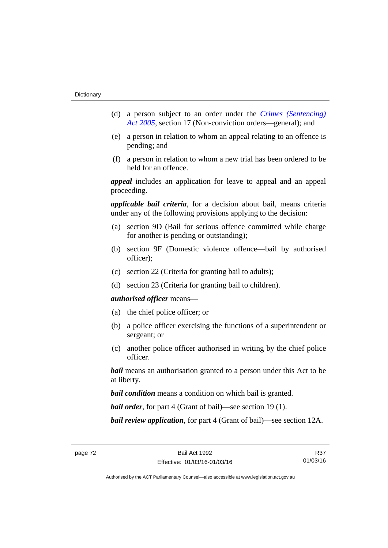- (d) a person subject to an order under the *[Crimes \(Sentencing\)](http://www.legislation.act.gov.au/a/2005-58)  [Act 2005](http://www.legislation.act.gov.au/a/2005-58)*, section 17 (Non-conviction orders—general); and
- (e) a person in relation to whom an appeal relating to an offence is pending; and
- (f) a person in relation to whom a new trial has been ordered to be held for an offence.

*appeal* includes an application for leave to appeal and an appeal proceeding.

*applicable bail criteria*, for a decision about bail, means criteria under any of the following provisions applying to the decision:

- (a) section 9D (Bail for serious offence committed while charge for another is pending or outstanding);
- (b) section 9F (Domestic violence offence—bail by authorised officer);
- (c) section 22 (Criteria for granting bail to adults);
- (d) section 23 (Criteria for granting bail to children).

### *authorised officer* means—

- (a) the chief police officer; or
- (b) a police officer exercising the functions of a superintendent or sergeant; or
- (c) another police officer authorised in writing by the chief police officer.

*bail* means an authorisation granted to a person under this Act to be at liberty.

*bail condition* means a condition on which bail is granted.

*bail order*, for part 4 (Grant of bail)—see section 19 (1).

*bail review application*, for part 4 (Grant of bail)—see section 12A.

R37 01/03/16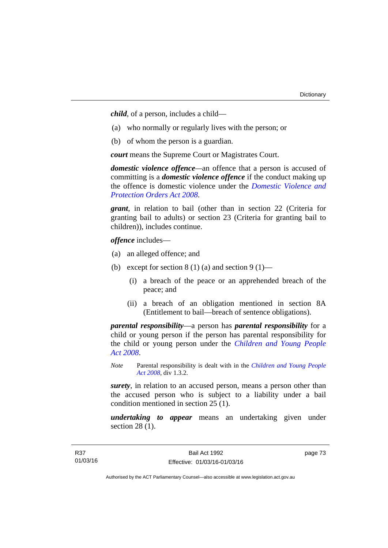*child*, of a person, includes a child—

- (a) who normally or regularly lives with the person; or
- (b) of whom the person is a guardian.

*court* means the Supreme Court or Magistrates Court.

*domestic violence offence—*an offence that a person is accused of committing is a *domestic violence offence* if the conduct making up the offence is domestic violence under the *[Domestic Violence and](http://www.legislation.act.gov.au/a/2008-46)  [Protection Orders Act 2008](http://www.legislation.act.gov.au/a/2008-46)*.

*grant*, in relation to bail (other than in section 22 (Criteria for granting bail to adults) or section 23 (Criteria for granting bail to children)), includes continue.

*offence* includes—

- (a) an alleged offence; and
- (b) except for section  $8(1)(a)$  and section  $9(1)$ 
	- (i) a breach of the peace or an apprehended breach of the peace; and
	- (ii) a breach of an obligation mentioned in section 8A (Entitlement to bail—breach of sentence obligations).

*parental responsibility*—a person has *parental responsibility* for a child or young person if the person has parental responsibility for the child or young person under the *[Children and Young People](http://www.legislation.act.gov.au/a/2008-19)  [Act 2008](http://www.legislation.act.gov.au/a/2008-19)*.

*Note* Parental responsibility is dealt with in the *[Children and Young People](http://www.legislation.act.gov.au/a/2008-19)  [Act 2008](http://www.legislation.act.gov.au/a/2008-19)*, div 1.3.2.

*surety*, in relation to an accused person, means a person other than the accused person who is subject to a liability under a bail condition mentioned in section 25 (1).

*undertaking to appear* means an undertaking given under section 28 (1).

page 73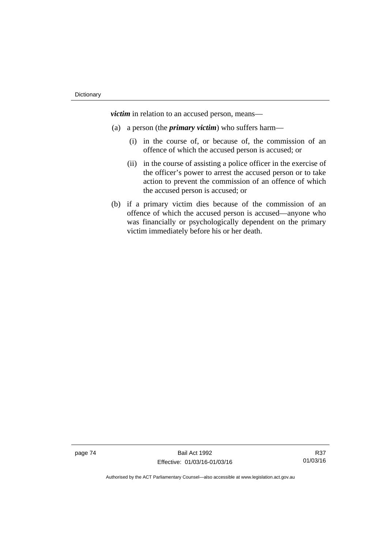*victim* in relation to an accused person, means—

- (a) a person (the *primary victim*) who suffers harm—
	- (i) in the course of, or because of, the commission of an offence of which the accused person is accused; or
	- (ii) in the course of assisting a police officer in the exercise of the officer's power to arrest the accused person or to take action to prevent the commission of an offence of which the accused person is accused; or
- (b) if a primary victim dies because of the commission of an offence of which the accused person is accused—anyone who was financially or psychologically dependent on the primary victim immediately before his or her death.

page 74 Bail Act 1992 Effective: 01/03/16-01/03/16

R37 01/03/16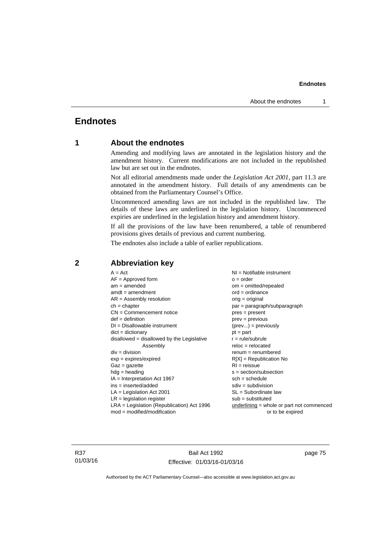## **Endnotes**

## **1 About the endnotes**

Amending and modifying laws are annotated in the legislation history and the amendment history. Current modifications are not included in the republished law but are set out in the endnotes.

Not all editorial amendments made under the *Legislation Act 2001*, part 11.3 are annotated in the amendment history. Full details of any amendments can be obtained from the Parliamentary Counsel's Office.

Uncommenced amending laws are not included in the republished law. The details of these laws are underlined in the legislation history. Uncommenced expiries are underlined in the legislation history and amendment history.

If all the provisions of the law have been renumbered, a table of renumbered provisions gives details of previous and current numbering.

The endnotes also include a table of earlier republications.

| $A = Act$                                    | $NI = Notifiable$ instrument                |
|----------------------------------------------|---------------------------------------------|
| $AF =$ Approved form                         | $o = order$                                 |
| $am = amended$                               | $om = omitted/repealed$                     |
| $amdt = amendment$                           | $ord = ordinance$                           |
| $AR = Assembly resolution$                   | $orig = original$                           |
| $ch = chapter$                               | par = paragraph/subparagraph                |
| $CN =$ Commencement notice                   | $pres = present$                            |
| $def = definition$                           | $prev = previous$                           |
| $DI = Disallowable instrument$               | $(\text{prev}) = \text{previously}$         |
| $dict = dictionary$                          | $pt = part$                                 |
| $disallowed = disallowed by the Legislative$ | $r = rule/subrule$                          |
| Assembly                                     | $reloc = relocated$                         |
| $div =$ division                             | $remum = renumbered$                        |
| $exp = expires/expired$                      | $R[X]$ = Republication No                   |
| $Gaz = gazette$                              | $RI = reissue$                              |
| $h dq =$ heading                             | $s = section/subsection$                    |
| $IA = Interpretation Act 1967$               | $sch = schedule$                            |
| ins = inserted/added                         | $sdiv = subdivision$                        |
| $LA =$ Legislation Act 2001                  | $SL = Subordinate$ law                      |
| $LR =$ legislation register                  | $sub =$ substituted                         |
| $LRA =$ Legislation (Republication) Act 1996 | $underlining = whole or part not commenced$ |
| $mod = modified/modification$                | or to be expired                            |
|                                              |                                             |

## **2 Abbreviation key**

R37 01/03/16

Bail Act 1992 Effective: 01/03/16-01/03/16 page 75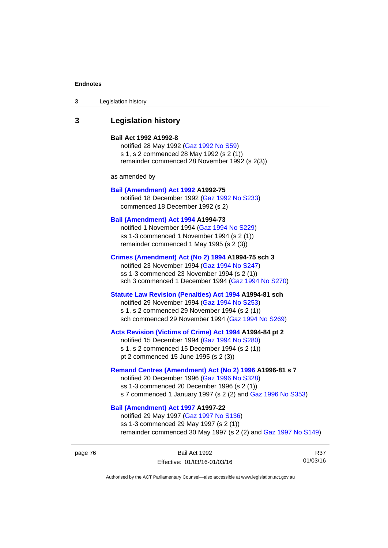| Legislation history<br>3 |  |
|--------------------------|--|
|--------------------------|--|

## **3 Legislation history**

#### **Bail Act 1992 A1992-8**

notified 28 May 1992 ([Gaz 1992 No S59](http://www.legislation.act.gov.au/gaz/1992-S59/default.asp)) s 1, s 2 commenced 28 May 1992 (s 2 (1)) remainder commenced 28 November 1992 (s 2(3))

as amended by

#### **[Bail \(Amendment\) Act 1992](http://www.legislation.act.gov.au/a/1992-75) A1992-75**

notified 18 December 1992 [\(Gaz 1992 No S233](http://www.legislation.act.gov.au/gaz/1992-S233/default.asp)) commenced 18 December 1992 (s 2)

#### **[Bail \(Amendment\) Act 1994](http://www.legislation.act.gov.au/a/1994-73) A1994-73**

notified 1 November 1994 ([Gaz 1994 No S229\)](http://www.legislation.act.gov.au/gaz/1994-S229/default.asp) ss 1-3 commenced 1 November 1994 (s 2 (1)) remainder commenced 1 May 1995 (s 2 (3))

#### **[Crimes \(Amendment\) Act \(No 2\) 1994](http://www.legislation.act.gov.au/a/1994-75) A1994-75 sch 3**

notified 23 November 1994 [\(Gaz 1994 No S247](http://www.legislation.act.gov.au/gaz/1994-S247/default.asp)) ss 1-3 commenced 23 November 1994 (s 2 (1)) sch 3 commenced 1 December 1994 ([Gaz 1994 No S270\)](http://www.legislation.act.gov.au/gaz/1994-S270/default.asp)

## **[Statute Law Revision \(Penalties\) Act 1994](http://www.legislation.act.gov.au/a/1994-81) A1994-81 sch**

notified 29 November 1994 [\(Gaz 1994 No S253](http://www.legislation.act.gov.au/gaz/1994-S253/default.asp)) s 1, s 2 commenced 29 November 1994 (s 2 (1)) sch commenced 29 November 1994 ([Gaz 1994 No S269\)](http://www.legislation.act.gov.au/gaz/1994-S269/default.asp)

#### **[Acts Revision \(Victims of Crime\) Act 1994](http://www.legislation.act.gov.au/a/1994-84) A1994-84 pt 2**

notified 15 December 1994 [\(Gaz 1994 No S280](http://www.legislation.act.gov.au/gaz/1994-S280/default.asp)) s 1, s 2 commenced 15 December 1994 (s 2 (1)) pt 2 commenced 15 June 1995 (s 2 (3))

#### **[Remand Centres \(Amendment\) Act \(No 2\) 1996](http://www.legislation.act.gov.au/a/1996-81) A1996-81 s 7**

notified 20 December 1996 [\(Gaz 1996 No S328](http://www.legislation.act.gov.au/gaz/1996-S328/default.asp)) ss 1-3 commenced 20 December 1996 (s 2 (1)) s 7 commenced 1 January 1997 (s 2 (2) and [Gaz 1996 No S353](http://www.legislation.act.gov.au/gaz/1996-S353/default.asp))

## **[Bail \(Amendment\) Act 1997](http://www.legislation.act.gov.au/a/1997-22) A1997-22**

notified 29 May 1997 ([Gaz 1997 No S136](http://www.legislation.act.gov.au/gaz/1997-S136/default.asp)) ss 1-3 commenced 29 May 1997 (s 2 (1)) remainder commenced 30 May 1997 (s 2 (2) and [Gaz 1997 No S149\)](http://www.legislation.act.gov.au/gaz/1997-S149/default.asp)

R37 01/03/16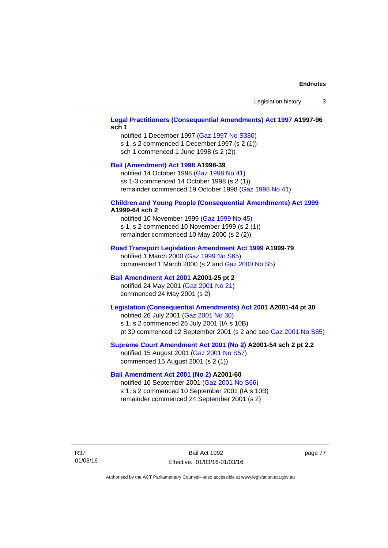## **[Legal Practitioners \(Consequential Amendments\) Act 1997](http://www.legislation.act.gov.au/a/1997-96) A1997-96 sch 1**

notified 1 December 1997 ([Gaz 1997 No S380\)](http://www.legislation.act.gov.au/gaz/1997-S380/default.asp) s 1, s 2 commenced 1 December 1997 (s 2 (1)) sch 1 commenced 1 June 1998 (s 2 (2))

## **[Bail \(Amendment\) Act 1998](http://www.legislation.act.gov.au/a/1998-39) A1998-39**

notified 14 October 1998 ([Gaz 1998 No 41](http://www.legislation.act.gov.au/gaz/1998-41/default.asp)) ss 1-3 commenced 14 October 1998 (s 2 (1)) remainder commenced 19 October 1998 ([Gaz 1998 No 41\)](http://www.legislation.act.gov.au/gaz/1998-41/default.asp)

#### **[Children and Young People \(Consequential Amendments\) Act 1999](http://www.legislation.act.gov.au/a/1999-64) A1999-64 sch 2**

notified 10 November 1999 [\(Gaz 1999 No 45](http://www.legislation.act.gov.au/gaz/1999-45/default.asp)) s 1, s 2 commenced 10 November 1999 (s 2 (1)) remainder commenced 10 May 2000 (s 2 (2))

#### **[Road Transport Legislation Amendment Act 1999](http://www.legislation.act.gov.au/a/1999-79) A1999-79**

notified 1 March 2000 [\(Gaz 1999 No S65\)](http://www.legislation.act.gov.au/gaz/1999-S65/default.asp) commenced 1 March 2000 (s 2 and [Gaz 2000 No S5](http://www.legislation.act.gov.au/gaz/2000-S5/default.asp))

## **[Bail Amendment Act 2001](http://www.legislation.act.gov.au/a/2001-25) A2001-25 pt 2**

notified 24 May 2001 ([Gaz 2001 No 21\)](http://www.legislation.act.gov.au/gaz/2001-21/default.asp) commenced 24 May 2001 (s 2)

## **[Legislation \(Consequential Amendments\) Act 2001](http://www.legislation.act.gov.au/a/2001-44) A2001-44 pt 30**

notified 26 July 2001 ([Gaz 2001 No 30\)](http://www.legislation.act.gov.au/gaz/2001-30/default.asp) s 1, s 2 commenced 26 July 2001 (IA s 10B) pt 30 commenced 12 September 2001 (s 2 and see [Gaz 2001 No S65](http://www.legislation.act.gov.au/gaz/2001-S65/default.asp))

#### **[Supreme Court Amendment Act 2001 \(No 2\)](http://www.legislation.act.gov.au/a/2001-54) A2001-54 sch 2 pt 2.2**

notified 15 August 2001 [\(Gaz 2001 No S57\)](http://www.legislation.act.gov.au/gaz/2001-S57/default.asp) commenced 15 August 2001 (s 2 (1))

#### **[Bail Amendment Act 2001 \(No 2\)](http://www.legislation.act.gov.au/a/2001-60) A2001-60**

notified 10 September 2001 [\(Gaz 2001 No S66\)](http://www.legislation.act.gov.au/gaz/2001-S66/default.asp) s 1, s 2 commenced 10 September 2001 (IA s 10B) remainder commenced 24 September 2001 (s 2)

R37 01/03/16

Bail Act 1992 Effective: 01/03/16-01/03/16 page 77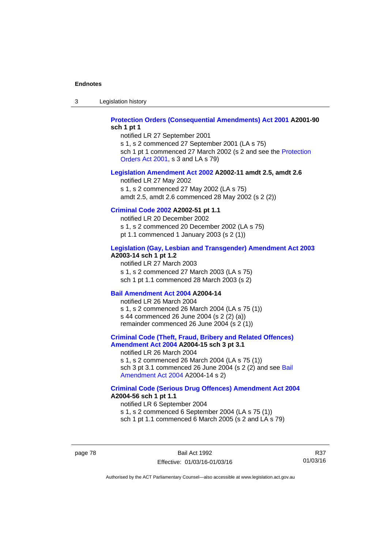3 Legislation history

## **[Protection Orders \(Consequential Amendments\) Act 2001](http://www.legislation.act.gov.au/a/2001-90) A2001-90 sch 1 pt 1**

notified LR 27 September 2001 s 1, s 2 commenced 27 September 2001 (LA s 75)

sch 1 pt 1 commenced 27 March 2002 (s 2 and see the [Protection](http://www.legislation.act.gov.au/a/2001-89)  [Orders Act 2001,](http://www.legislation.act.gov.au/a/2001-89) s 3 and LA s 79)

#### **[Legislation Amendment Act 2002](http://www.legislation.act.gov.au/a/2002-11) A2002-11 amdt 2.5, amdt 2.6**

notified LR 27 May 2002 s 1, s 2 commenced 27 May 2002 (LA s 75) amdt 2.5, amdt 2.6 commenced 28 May 2002 (s 2 (2))

## **[Criminal Code 2002](http://www.legislation.act.gov.au/a/2002-51) A2002-51 pt 1.1**

notified LR 20 December 2002 s 1, s 2 commenced 20 December 2002 (LA s 75) pt 1.1 commenced 1 January 2003 (s 2 (1))

#### **[Legislation \(Gay, Lesbian and Transgender\) Amendment Act 2003](http://www.legislation.act.gov.au/a/2003-14) A2003-14 sch 1 pt 1.2**

notified LR 27 March 2003 s 1, s 2 commenced 27 March 2003 (LA s 75) sch 1 pt 1.1 commenced 28 March 2003 (s 2)

#### **[Bail Amendment Act 2004](http://www.legislation.act.gov.au/a/2004-14) A2004-14**

notified LR 26 March 2004 s 1, s 2 commenced 26 March 2004 (LA s 75 (1)) s 44 commenced 26 June 2004 (s 2 (2) (a)) remainder commenced 26 June 2004 (s 2 (1))

## **[Criminal Code \(Theft, Fraud, Bribery and Related Offences\)](http://www.legislation.act.gov.au/a/2004-15)  [Amendment Act 2004](http://www.legislation.act.gov.au/a/2004-15) A2004-15 sch 3 pt 3.1**

notified LR 26 March 2004 s 1, s 2 commenced 26 March 2004 (LA s 75 (1)) sch 3 pt 3.1 commenced 26 June 2004 (s 2 (2) and see Bail [Amendment Act 2004](http://www.legislation.act.gov.au/a/2004-14) A2004-14 s 2)

#### **[Criminal Code \(Serious Drug Offences\) Amendment Act 2004](http://www.legislation.act.gov.au/a/2004-56) A2004-56 sch 1 pt 1.1**

notified LR 6 September 2004 s 1, s 2 commenced 6 September 2004 (LA s 75 (1)) sch 1 pt 1.1 commenced 6 March 2005 (s 2 and LA s 79)

page 78 Bail Act 1992 Effective: 01/03/16-01/03/16

R37 01/03/16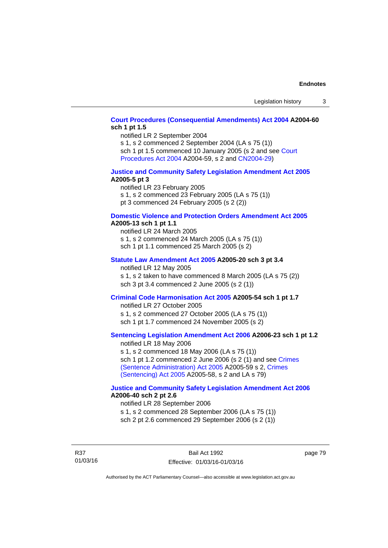## **[Court Procedures \(Consequential Amendments\) Act 2004](http://www.legislation.act.gov.au/a/2004-60) A2004-60 sch 1 pt 1.5**

notified LR 2 September 2004

s 1, s 2 commenced 2 September 2004 (LA s 75 (1)) sch 1 pt 1.5 commenced 10 January 2005 (s 2 and see [Court](http://www.legislation.act.gov.au/a/2004-59) 

[Procedures Act 2004](http://www.legislation.act.gov.au/a/2004-59) A2004-59, s 2 and [CN2004-29\)](http://www.legislation.act.gov.au/cn/2004-29/default.asp)

#### **[Justice and Community Safety Legislation Amendment Act 2005](http://www.legislation.act.gov.au/a/2005-5) A2005-5 pt 3**

notified LR 23 February 2005 s 1, s 2 commenced 23 February 2005 (LA s 75 (1)) pt 3 commenced 24 February 2005 (s 2 (2))

#### **[Domestic Violence and Protection Orders Amendment Act 2005](http://www.legislation.act.gov.au/a/2005-13) A2005-13 sch 1 pt 1.1**

notified LR 24 March 2005 s 1, s 2 commenced 24 March 2005 (LA s 75 (1)) sch 1 pt 1.1 commenced 25 March 2005 (s 2)

#### **[Statute Law Amendment Act 2005](http://www.legislation.act.gov.au/a/2005-20) A2005-20 sch 3 pt 3.4**

notified LR 12 May 2005 s 1, s 2 taken to have commenced 8 March 2005 (LA s 75 (2)) sch 3 pt 3.4 commenced 2 June 2005 (s 2 (1))

## **[Criminal Code Harmonisation Act 2005](http://www.legislation.act.gov.au/a/2005-54) A2005-54 sch 1 pt 1.7**

notified LR 27 October 2005 s 1, s 2 commenced 27 October 2005 (LA s 75 (1)) sch 1 pt 1.7 commenced 24 November 2005 (s 2)

## **[Sentencing Legislation Amendment Act 2006](http://www.legislation.act.gov.au/a/2006-23) A2006-23 sch 1 pt 1.2**

notified LR 18 May 2006 s 1, s 2 commenced 18 May 2006 (LA s 75 (1)) sch 1 pt 1.2 commenced 2 June 2006 (s 2 (1) and see [Crimes](http://www.legislation.act.gov.au/a/2005-59)  [\(Sentence Administration\) Act 2005](http://www.legislation.act.gov.au/a/2005-59) A2005-59 s 2, [Crimes](http://www.legislation.act.gov.au/a/2005-58)  [\(Sentencing\) Act 2005](http://www.legislation.act.gov.au/a/2005-58) A2005-58, s 2 and LA s 79)

#### **[Justice and Community Safety Legislation Amendment Act 2006](http://www.legislation.act.gov.au/a/2006-40) A2006-40 sch 2 pt 2.6**

notified LR 28 September 2006 s 1, s 2 commenced 28 September 2006 (LA s 75 (1)) sch 2 pt 2.6 commenced 29 September 2006 (s 2 (1))

R37 01/03/16 page 79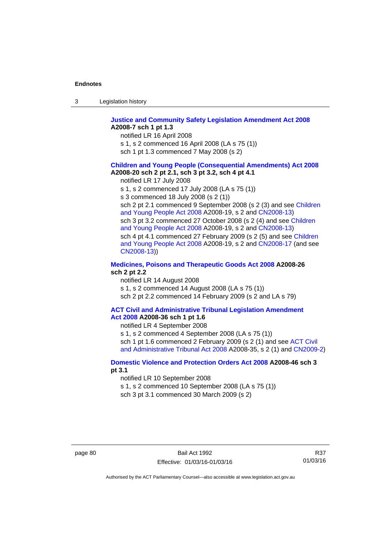| -3 | Legislation history |  |
|----|---------------------|--|
|----|---------------------|--|

#### **[Justice and Community Safety Legislation Amendment Act 2008](http://www.legislation.act.gov.au/a/2008-7) A2008-7 sch 1 pt 1.3**

notified LR 16 April 2008

- s 1, s 2 commenced 16 April 2008 (LA s 75 (1))
- sch 1 pt 1.3 commenced 7 May 2008 (s 2)

#### **[Children and Young People \(Consequential Amendments\) Act 2008](http://www.legislation.act.gov.au/a/2008-20) A2008-20 sch 2 pt 2.1, sch 3 pt 3.2, sch 4 pt 4.1**

notified LR 17 July 2008

s 1, s 2 commenced 17 July 2008 (LA s 75 (1))

s 3 commenced 18 July 2008 (s 2 (1))

sch 2 pt 2.1 commenced 9 September 2008 (s 2 (3) and see [Children](http://www.legislation.act.gov.au/a/2008-19)  [and Young People Act 2008](http://www.legislation.act.gov.au/a/2008-19) A2008-19, s 2 and [CN2008-13](http://www.legislation.act.gov.au/cn/2008-13/default.asp)) sch 3 pt 3.2 commenced 27 October 2008 (s 2 (4) and see Children [and Young People Act 2008](http://www.legislation.act.gov.au/a/2008-19) A2008-19, s 2 and [CN2008-13](http://www.legislation.act.gov.au/cn/2008-13/default.asp)) sch 4 pt 4.1 commenced 27 February 2009 (s 2 (5) and see [Children](http://www.legislation.act.gov.au/a/2008-19)  [and Young People Act 2008](http://www.legislation.act.gov.au/a/2008-19) A2008-19, s 2 and [CN2008-17 \(](http://www.legislation.act.gov.au/cn/2008-17/default.asp)and see [CN2008-13](http://www.legislation.act.gov.au/cn/2008-13/default.asp)))

#### **[Medicines, Poisons and Therapeutic Goods Act 2008](http://www.legislation.act.gov.au/a/2008-26) A2008-26 sch 2 pt 2.2**

notified LR 14 August 2008 s 1, s 2 commenced 14 August 2008 (LA s 75 (1)) sch 2 pt 2.2 commenced 14 February 2009 (s 2 and LA s 79)

#### **[ACT Civil and Administrative Tribunal Legislation Amendment](http://www.legislation.act.gov.au/a/2008-36)  [Act 2008](http://www.legislation.act.gov.au/a/2008-36) A2008-36 sch 1 pt 1.6**

notified LR 4 September 2008

s 1, s 2 commenced 4 September 2008 (LA s 75 (1)) sch 1 pt 1.6 commenced 2 February 2009 (s 2 (1) and see [ACT Civil](http://www.legislation.act.gov.au/a/2008-35)  [and Administrative Tribunal Act 2008](http://www.legislation.act.gov.au/a/2008-35) A2008-35, s 2 (1) and [CN2009-2](http://www.legislation.act.gov.au/cn/2009-2/default.asp))

#### **[Domestic Violence and Protection Orders Act 2008](http://www.legislation.act.gov.au/a/2008-46) A2008-46 sch 3 pt 3.1**

notified LR 10 September 2008

s 1, s 2 commenced 10 September 2008 (LA s 75 (1))

sch 3 pt 3.1 commenced 30 March 2009 (s 2)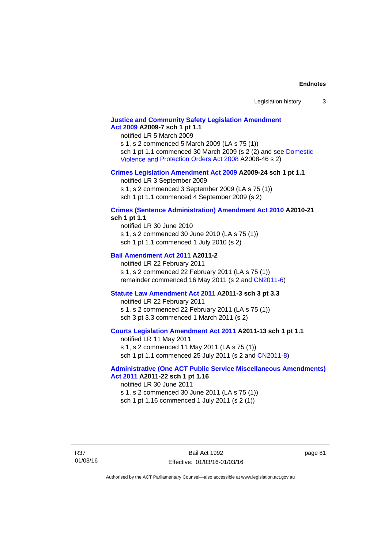## **[Justice and Community Safety Legislation Amendment](http://www.legislation.act.gov.au/a/2009-7)  [Act 2009](http://www.legislation.act.gov.au/a/2009-7) A2009-7 sch 1 pt 1.1**

notified LR 5 March 2009

s 1, s 2 commenced 5 March 2009 (LA s 75 (1)) sch 1 pt 1.1 commenced 30 March 2009 (s 2 (2) and see [Domestic](http://www.legislation.act.gov.au/a/2008-46)  [Violence and Protection Orders Act 2008](http://www.legislation.act.gov.au/a/2008-46) A2008-46 s 2)

#### **[Crimes Legislation Amendment Act 2009](http://www.legislation.act.gov.au/a/2009-24) A2009-24 sch 1 pt 1.1**

notified LR 3 September 2009 s 1, s 2 commenced 3 September 2009 (LA s 75 (1)) sch 1 pt 1.1 commenced 4 September 2009 (s 2)

## **[Crimes \(Sentence Administration\) Amendment Act 2010](http://www.legislation.act.gov.au/a/2010-21) A2010-21**

**sch 1 pt 1.1** 

notified LR 30 June 2010 s 1, s 2 commenced 30 June 2010 (LA s 75 (1)) sch 1 pt 1.1 commenced 1 July 2010 (s 2)

#### **[Bail Amendment Act 2011](http://www.legislation.act.gov.au/a/2011-2) A2011-2**

notified LR 22 February 2011 s 1, s 2 commenced 22 February 2011 (LA s 75 (1)) remainder commenced 16 May 2011 (s 2 and [CN2011-6](http://www.legislation.act.gov.au/cn/2011-6/default.asp))

#### **[Statute Law Amendment Act 2011](http://www.legislation.act.gov.au/a/2011-3) A2011-3 sch 3 pt 3.3**

notified LR 22 February 2011 s 1, s 2 commenced 22 February 2011 (LA s 75 (1)) sch 3 pt 3.3 commenced 1 March 2011 (s 2)

#### **[Courts Legislation Amendment Act 2011](http://www.legislation.act.gov.au/a/2011-13) A2011-13 sch 1 pt 1.1**

notified LR 11 May 2011 s 1, s 2 commenced 11 May 2011 (LA s 75 (1)) sch 1 pt 1.1 commenced 25 July 2011 (s 2 and [CN2011-8\)](http://www.legislation.act.gov.au/cn/2011-8/default.asp)

#### **[Administrative \(One ACT Public Service Miscellaneous Amendments\)](http://www.legislation.act.gov.au/a/2011-22)  [Act 2011](http://www.legislation.act.gov.au/a/2011-22) A2011-22 sch 1 pt 1.16**

notified LR 30 June 2011 s 1, s 2 commenced 30 June 2011 (LA s 75 (1)) sch 1 pt 1.16 commenced 1 July 2011 (s 2 (1))

R37 01/03/16

Bail Act 1992 Effective: 01/03/16-01/03/16 page 81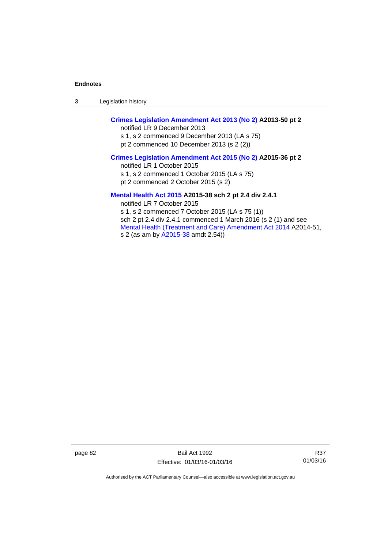3 Legislation history

## **[Crimes Legislation Amendment Act 2013 \(No 2\)](http://www.legislation.act.gov.au/a/2013-50) A2013-50 pt 2**

notified LR 9 December 2013 s 1, s 2 commenced 9 December 2013 (LA s 75) pt 2 commenced 10 December 2013 (s 2 (2))

## **[Crimes Legislation Amendment Act 2015 \(No 2\)](http://www.legislation.act.gov.au/a/2015-36) A2015-36 pt 2**

notified LR 1 October 2015

s 1, s 2 commenced 1 October 2015 (LA s 75)

pt 2 commenced 2 October 2015 (s 2)

## **[Mental Health Act 2015](http://www.legislation.act.gov.au/a/2015-38) A2015-38 sch 2 pt 2.4 div 2.4.1**

notified LR 7 October 2015 s 1, s 2 commenced 7 October 2015 (LA s 75 (1)) sch 2 pt 2.4 div 2.4.1 commenced 1 March 2016 (s 2 (1) and see [Mental Health \(Treatment and Care\) Amendment Act 2014](http://www.legislation.act.gov.au/a/2014-51/default.asp) A2014-51, s 2 (as am by [A2015-38](http://www.legislation.act.gov.au/a/2015-38) amdt 2.54))

page 82 Bail Act 1992 Effective: 01/03/16-01/03/16

R37 01/03/16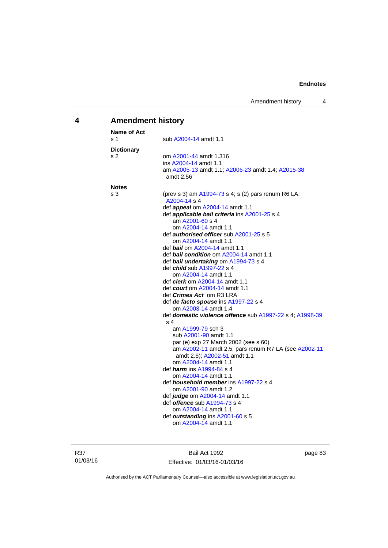## **4 Amendment history**

| <b>Name of Act</b> |                                                                            |
|--------------------|----------------------------------------------------------------------------|
| s 1                | sub A2004-14 amdt 1.1                                                      |
| <b>Dictionary</b>  |                                                                            |
| s 2                | om A2001-44 amdt 1.316                                                     |
|                    | ins A2004-14 amdt 1.1                                                      |
|                    | am A2005-13 amdt 1.1; A2006-23 amdt 1.4; A2015-38                          |
|                    | amdt 2.56                                                                  |
| <b>Notes</b>       |                                                                            |
| s 3                | (prev s 3) am A1994-73 s 4; s (2) pars renum R6 LA;<br>A2004-14 s 4        |
|                    | def <b>appeal</b> om A2004-14 amdt 1.1                                     |
|                    | def applicable bail criteria ins A2001-25 s 4                              |
|                    | am A2001-60 s 4                                                            |
|                    | om A2004-14 amdt 1.1                                                       |
|                    | def <b>authorised officer</b> sub A2001-25 s 5                             |
|                    | om A2004-14 amdt 1.1                                                       |
|                    | def <i>bail</i> om A2004-14 amdt 1.1                                       |
|                    | def <b>bail condition</b> om A2004-14 amdt 1.1                             |
|                    | def bail undertaking om A1994-73 s 4                                       |
|                    | def child sub A1997-22 s 4                                                 |
|                    | om A2004-14 amdt 1.1                                                       |
|                    | def <i>clerk</i> om A2004-14 amdt 1.1                                      |
|                    | def <i>court</i> om A2004-14 amdt 1.1                                      |
|                    | def <i>Crimes Act</i> om R3 LRA                                            |
|                    | def de facto spouse ins A1997-22 s 4                                       |
|                    | om A2003-14 amdt 1.4                                                       |
|                    | def domestic violence offence sub A1997-22 s 4; A1998-39<br>s <sub>4</sub> |
|                    | am A1999-79 sch 3                                                          |
|                    | sub A2001-90 amdt 1.1                                                      |
|                    | par (e) exp 27 March 2002 (see s 60)                                       |
|                    | am A2002-11 amdt 2.5; pars renum R7 LA (see A2002-11                       |
|                    | amdt 2.6); A2002-51 amdt 1.1                                               |
|                    | om A2004-14 amdt 1.1                                                       |
|                    | def <i>harm</i> ins A1994-84 s 4                                           |
|                    | om A2004-14 amdt 1.1                                                       |
|                    | def <i>household member</i> ins A1997-22 s 4                               |
|                    | om A2001-90 amdt 1.2                                                       |
|                    | def judge om A2004-14 amdt 1.1                                             |
|                    | def <b>offence</b> sub A1994-73 s 4                                        |
|                    | om A2004-14 amdt 1.1                                                       |
|                    | def outstanding ins A2001-60 s 5                                           |
|                    | om A2004-14 amdt 1.1                                                       |

R37 01/03/16

Bail Act 1992 Effective: 01/03/16-01/03/16 page 83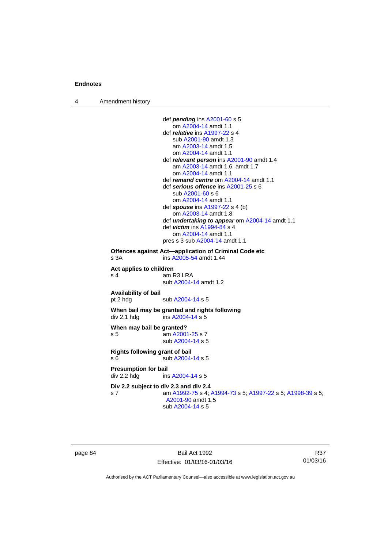4 Amendment history

```
 def pending ins A2001-60 s 5 
                     om A2004-14 amdt 1.1
                  def relative ins A1997-22 s 4 
                     sub A2001-90 amdt 1.3 
                     am A2003-14 amdt 1.5
                     om A2004-14 amdt 1.1
                  def relevant person ins A2001-90 amdt 1.4
                     am A2003-14 amdt 1.6, amdt 1.7 
                     om A2004-14 amdt 1.1
                  def remand centre om A2004-14 amdt 1.1
                  def serious offence ins A2001-25 s 6 
                     sub A2001-60 s 6 
                     om A2004-14 amdt 1.1
                  def spouse ins A1997-22 s 4 (b) 
                     om A2003-14 amdt 1.8
                  def undertaking to appear om A2004-14 amdt 1.1 
                  def victim ins A1994-84 s 4 
                     om A2004-14 amdt 1.1
                 pres s 3 sub A2004-14 amdt 1.1 
Offences against Act—application of Criminal Code etc 
s 3A ins A2005-54 amdt 1.44 
Act applies to children 
s 4 am R3 LRA
                  sub A2004-14 amdt 1.2 
Availability of bail 
                 A2004-14 s 5
When bail may be granted and rights following 
A2004-14 s 5
When may bail be granted? 
 A2001-25 s 7
                  sub A2004-14 s 5 
Rights following grant of bail 
s 6 sub A2004-14 s 5 
Presumption for bail 
A2004-14 s 5
Div 2.2 subject to div 2.3 and div 2.4
s 7 am A1992-75 s 4; A1994-73 s 5; A1997-22 s 5; A1998-39 s 5; 
                  A2001-90 amdt 1.5 
                  sub A2004-14 s 5
```
page 84 Bail Act 1992 Effective: 01/03/16-01/03/16

R37 01/03/16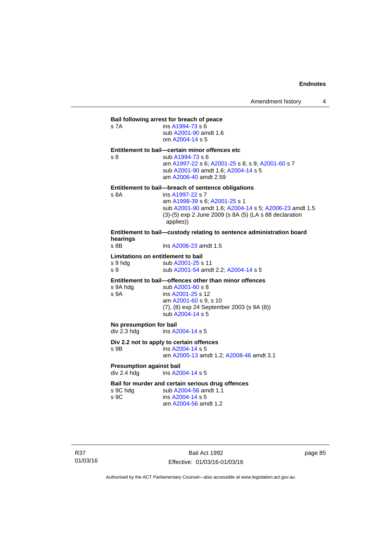## **Bail following arrest for breach of peace** s 7A ins [A1994-73](http://www.legislation.act.gov.au/a/1994-73) s 6 sub [A2001-90](http://www.legislation.act.gov.au/a/2001-90) amdt 1.6 om [A2004-14](http://www.legislation.act.gov.au/a/2004-14) s 5 **Entitlement to bail—certain minor offences etc** s 8 sub [A1994-73](http://www.legislation.act.gov.au/a/1994-73) s 6 am [A1997-22](http://www.legislation.act.gov.au/a/1997-22) s 6; [A2001-25](http://www.legislation.act.gov.au/a/2001-25) s 8, s 9; [A2001-60](http://www.legislation.act.gov.au/a/2001-60) s 7 sub [A2001-90](http://www.legislation.act.gov.au/a/2001-90) amdt 1.6; [A2004-14](http://www.legislation.act.gov.au/a/2004-14) s 5 am [A2006-40](http://www.legislation.act.gov.au/a/2006-40) amdt 2.59 **Entitlement to bail—breach of sentence obligations** s 8A ins [A1997-22](http://www.legislation.act.gov.au/a/1997-22) s 7 am [A1998-39](http://www.legislation.act.gov.au/a/1998-39) s 6; [A2001-25](http://www.legislation.act.gov.au/a/2001-25) s 1 sub [A2001-90](http://www.legislation.act.gov.au/a/2001-90) amdt 1.6; [A2004-14](http://www.legislation.act.gov.au/a/2004-14) s 5; [A2006-23](http://www.legislation.act.gov.au/a/2006-23) amdt 1.5 (3)-(5) exp 2 June 2009 (s 8A (5) (LA s 88 declaration applies)) **Entitlement to bail—custody relating to sentence administration board hearings** ins [A2006-23](http://www.legislation.act.gov.au/a/2006-23) amdt 1.5 **Limitations on entitlement to bail**  s 9 hdg sub [A2001-25](http://www.legislation.act.gov.au/a/2001-25) s 11 s 9 sub [A2001-54](http://www.legislation.act.gov.au/a/2001-54) amdt 2.2; [A2004-14](http://www.legislation.act.gov.au/a/2004-14) s 5 **Entitlement to bail—offences other than minor offences**<br>s 9A hdg sub A2001-60 s 8 sub [A2001-60](http://www.legislation.act.gov.au/a/2001-60) s 8 s 9A ins [A2001-25](http://www.legislation.act.gov.au/a/2001-25) s 12 am [A2001-60](http://www.legislation.act.gov.au/a/2001-60) s 9, s 10 (7), (8) exp 24 September 2003 (s 9A (8)) sub [A2004-14](http://www.legislation.act.gov.au/a/2004-14) s 5 **No presumption for bail<br>div 2.3 hdg ins A2** ins [A2004-14](http://www.legislation.act.gov.au/a/2004-14) s 5 **Div 2.2 not to apply to certain offences**  s 9B ins [A2004-14](http://www.legislation.act.gov.au/a/2004-14) s 5 am [A2005-13](http://www.legislation.act.gov.au/a/2005-13) amdt 1.2; [A2008-46](http://www.legislation.act.gov.au/a/2008-46) amdt 3.1 **Presumption against bail**  div 2.4 hdg ins [A2004-14](http://www.legislation.act.gov.au/a/2004-14) s 5 **Bail for murder and certain serious drug offences**  s 9C hdg sub [A2004-56](http://www.legislation.act.gov.au/a/2004-56) amdt 1.1<br>s 9C ins A2004-14 s 5  $ins A2004-14 s 5$  $ins A2004-14 s 5$  $ins A2004-14 s 5$ am [A2004-56](http://www.legislation.act.gov.au/a/2004-56) amdt 1.2

R37 01/03/16

Bail Act 1992 Effective: 01/03/16-01/03/16 page 85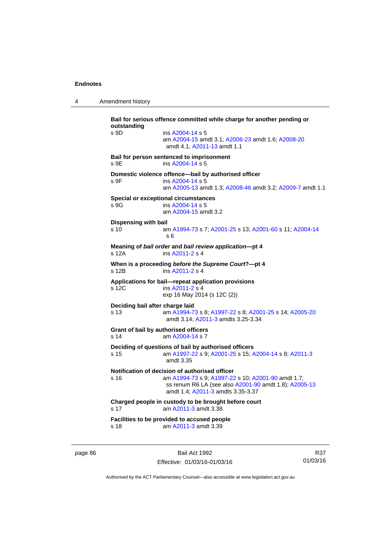4 Amendment history

**Bail for serious offence committed while charge for another pending or outstanding**  s 9D ins [A2004-14](http://www.legislation.act.gov.au/a/2004-14) s 5 am [A2004-15](http://www.legislation.act.gov.au/a/2004-15) amdt 3.1; [A2006-23](http://www.legislation.act.gov.au/a/2006-23) amdt 1.6; [A2008-20](http://www.legislation.act.gov.au/a/2008-20) amdt 4.1; [A2011-13](http://www.legislation.act.gov.au/a/2011-13) amdt 1.1 **Bail for person sentenced to imprisonment**  s 9E ins [A2004-14](http://www.legislation.act.gov.au/a/2004-14) s 5 **Domestic violence offence—bail by authorised officer**  s 9F ins [A2004-14](http://www.legislation.act.gov.au/a/2004-14) s 5 am [A2005-13](http://www.legislation.act.gov.au/a/2005-13) amdt 1.3; [A2008-46](http://www.legislation.act.gov.au/a/2008-46) amdt 3.2; [A2009-7](http://www.legislation.act.gov.au/a/2009-7) amdt 1.1 **Special or exceptional circumstances**  s 9G ins [A2004-14](http://www.legislation.act.gov.au/a/2004-14) s 5 am [A2004-15](http://www.legislation.act.gov.au/a/2004-15) amdt 3.2 **Dispensing with bail** s 10 am [A1994-73](http://www.legislation.act.gov.au/a/1994-73) s 7; [A2001-25](http://www.legislation.act.gov.au/a/2001-25) s 13; [A2001-60](http://www.legislation.act.gov.au/a/2001-60) s 11; [A2004-14](http://www.legislation.act.gov.au/a/2004-14) s 6 **Meaning of** *bail order* **and** *bail review application***—pt 4**  s 12A ins [A2011-2](http://www.legislation.act.gov.au/a/2011-2) s 4 **When is a proceeding** *before the Supreme Court***?—pt 4**  s 12B ins [A2011-2](http://www.legislation.act.gov.au/a/2011-2) s 4 **Applications for bail—repeat application provisions**  s 12C ins [A2011-2](http://www.legislation.act.gov.au/a/2011-2) s 4 exp 16 May 2014 (s 12C (2)) **Deciding bail after charge laid** s 13 am [A1994-73](http://www.legislation.act.gov.au/a/1994-73) s 8; [A1997-22](http://www.legislation.act.gov.au/a/1997-22) s 8; [A2001-25](http://www.legislation.act.gov.au/a/2001-25) s 14; [A2005-20](http://www.legislation.act.gov.au/a/2005-20) amdt 3.14; [A2011-3](http://www.legislation.act.gov.au/a/2011-3) amdts 3.25-3.34 **Grant of bail by authorised officers**  s 14 am [A2004-14](http://www.legislation.act.gov.au/a/2004-14) s 7 **Deciding of questions of bail by authorised officers** s 15 am [A1997-22](http://www.legislation.act.gov.au/a/1997-22) s 9; [A2001-25](http://www.legislation.act.gov.au/a/2001-25) s 15; [A2004-14](http://www.legislation.act.gov.au/a/2004-14) s 8; [A2011-3](http://www.legislation.act.gov.au/a/2011-3) amdt 3.35 **Notification of decision of authorised officer** s 16 am [A1994-73](http://www.legislation.act.gov.au/a/1994-73) s 9; [A1997-22](http://www.legislation.act.gov.au/a/1997-22) s 10; [A2001-90](http://www.legislation.act.gov.au/a/2001-90) amdt 1.7; ss renum R6 LA (see also [A2001-90](http://www.legislation.act.gov.au/a/2001-90) amdt 1.8); [A2005-13](http://www.legislation.act.gov.au/a/2005-13) amdt 1.4; [A2011-3](http://www.legislation.act.gov.au/a/2011-3) amdts 3.35-3.37 **Charged people in custody to be brought before court**  s 17 am [A2011-3](http://www.legislation.act.gov.au/a/2011-3) amdt 3.38 **Facilities to be provided to accused people**  s 18 am [A2011-3](http://www.legislation.act.gov.au/a/2011-3) amdt 3.39

page 86 Bail Act 1992 Effective: 01/03/16-01/03/16

R37 01/03/16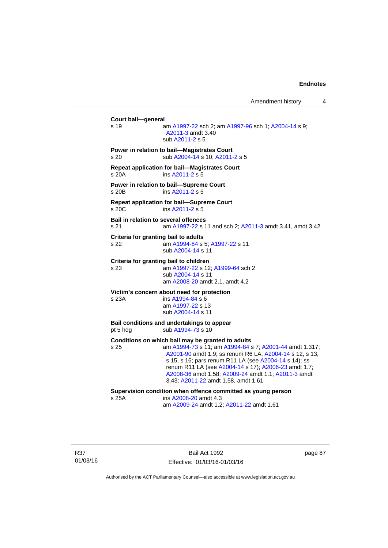Amendment history 4

**Court bail—general**  s 19 am [A1997-22](http://www.legislation.act.gov.au/a/1997-22) sch 2; am [A1997-96](http://www.legislation.act.gov.au/a/1997-96) sch 1; [A2004-14](http://www.legislation.act.gov.au/a/2004-14) s 9; [A2011-3](http://www.legislation.act.gov.au/a/2011-3) amdt 3.40 sub [A2011-2](http://www.legislation.act.gov.au/a/2011-2) s 5 **Power in relation to bail—Magistrates Court**  s 20 sub [A2004-14](http://www.legislation.act.gov.au/a/2004-14) s 10; [A2011-2](http://www.legislation.act.gov.au/a/2011-2) s 5 **Repeat application for bail—Magistrates Court**  s 20A ins [A2011-2](http://www.legislation.act.gov.au/a/2011-2) s 5 **Power in relation to bail—Supreme Court**  s 20B ins [A2011-2](http://www.legislation.act.gov.au/a/2011-2) s 5 **Repeat application for bail—Supreme Court**  s 20C ins [A2011-2](http://www.legislation.act.gov.au/a/2011-2) s 5 **Bail in relation to several offences** s 21 am [A1997-22](http://www.legislation.act.gov.au/a/1997-22) s 11 and sch 2; [A2011-3](http://www.legislation.act.gov.au/a/2011-3) amdt 3.41, amdt 3.42 **Criteria for granting bail to adults** s 22 am [A1994-84](http://www.legislation.act.gov.au/a/1994-84) s 5; [A1997-22](http://www.legislation.act.gov.au/a/1997-22) s 11 sub [A2004-14](http://www.legislation.act.gov.au/a/2004-14) s 11 **Criteria for granting bail to children** s 23 am [A1997-22](http://www.legislation.act.gov.au/a/1997-22) s 12; [A1999-64](http://www.legislation.act.gov.au/a/1999-64) sch 2 sub [A2004-14](http://www.legislation.act.gov.au/a/2004-14) s 11 am [A2008-20](http://www.legislation.act.gov.au/a/2008-20) amdt 2.1, amdt 4.2 **Victim's concern about need for protection** s 23A ins [A1994-84](http://www.legislation.act.gov.au/a/1994-84) s 6 am [A1997-22](http://www.legislation.act.gov.au/a/1997-22) s 13 sub [A2004-14](http://www.legislation.act.gov.au/a/2004-14) s 11 **Bail conditions and undertakings to appear** pt 5 hdg sub [A1994-73](http://www.legislation.act.gov.au/a/1994-73) s 10 **Conditions on which bail may be granted to adults** s 25 am [A1994-73](http://www.legislation.act.gov.au/a/1994-73) s 11; am [A1994-84](http://www.legislation.act.gov.au/a/1994-84) s 7; [A2001-44](http://www.legislation.act.gov.au/a/2001-44) amdt 1.317; [A2001-90](http://www.legislation.act.gov.au/a/2001-90) amdt 1.9; ss renum R6 LA; [A2004-14](http://www.legislation.act.gov.au/a/2004-14) s 12, s 13, s 15, s 16; pars renum R11 LA (see [A2004-14](http://www.legislation.act.gov.au/a/2004-14) s 14); ss renum R11 LA (see [A2004-14](http://www.legislation.act.gov.au/a/2004-14) s 17); [A2006-23](http://www.legislation.act.gov.au/a/2006-23) amdt 1.7; [A2008-36](http://www.legislation.act.gov.au/a/2008-36) amdt 1.58; [A2009-24](http://www.legislation.act.gov.au/a/2009-24) amdt 1.1; [A2011-3](http://www.legislation.act.gov.au/a/2011-3) amdt 3.43; [A2011-22](http://www.legislation.act.gov.au/a/2011-22) amdt 1.58, amdt 1.61 **Supervision condition when offence committed as young person**  s 25A ins [A2008-20](http://www.legislation.act.gov.au/a/2008-20) amdt 4.3 am [A2009-24](http://www.legislation.act.gov.au/a/2009-24) amdt 1.2; [A2011-22](http://www.legislation.act.gov.au/a/2011-22) amdt 1.61

R37 01/03/16

Bail Act 1992 Effective: 01/03/16-01/03/16 page 87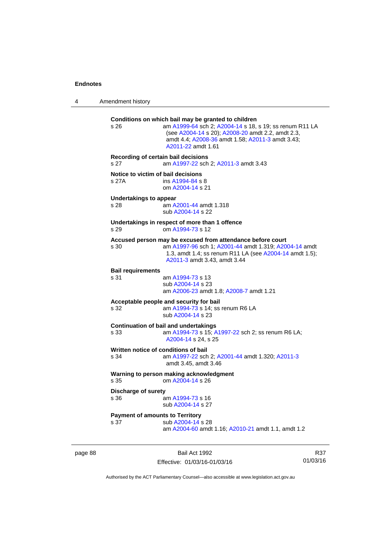page 88

4 Amendment history

| s 26                                           | Conditions on which bail may be granted to children<br>am A1999-64 sch 2; A2004-14 s 18, s 19; ss renum R11 LA<br>(see A2004-14 s 20); A2008-20 amdt 2.2, amdt 2.3,<br>amdt 4.4; A2008-36 amdt 1.58; A2011-3 amdt 3.43;<br>A2011-22 amdt 1.61 |                 |
|------------------------------------------------|-----------------------------------------------------------------------------------------------------------------------------------------------------------------------------------------------------------------------------------------------|-----------------|
| s 27                                           | Recording of certain bail decisions<br>am A1997-22 sch 2; A2011-3 amdt 3.43                                                                                                                                                                   |                 |
| Notice to victim of bail decisions<br>s 27A    | ins A1994-84 s 8<br>om A2004-14 s 21                                                                                                                                                                                                          |                 |
| <b>Undertakings to appear</b><br>s 28          | am A2001-44 amdt 1.318<br>sub A2004-14 s 22                                                                                                                                                                                                   |                 |
| s 29                                           | Undertakings in respect of more than 1 offence<br>om A1994-73 s 12                                                                                                                                                                            |                 |
| s 30                                           | Accused person may be excused from attendance before court<br>am A1997-96 sch 1; A2001-44 amdt 1.319; A2004-14 amdt<br>1.3, amdt 1.4; ss renum R11 LA (see A2004-14 amdt 1.5);<br>A2011-3 amdt 3.43, amdt 3.44                                |                 |
| <b>Bail requirements</b><br>s 31               | am A1994-73 s 13<br>sub A2004-14 s 23<br>am A2006-23 amdt 1.8; A2008-7 amdt 1.21                                                                                                                                                              |                 |
| s 32                                           | Acceptable people and security for bail<br>am A1994-73 s 14; ss renum R6 LA<br>sub A2004-14 s 23                                                                                                                                              |                 |
| s 33                                           | <b>Continuation of bail and undertakings</b><br>am A1994-73 s 15; A1997-22 sch 2; ss renum R6 LA;<br>A2004-14 s 24, s 25                                                                                                                      |                 |
| s 34                                           | Written notice of conditions of bail<br>am A1997-22 sch 2; A2001-44 amdt 1.320; A2011-3<br>amdt 3.45, amdt 3.46                                                                                                                               |                 |
| s 35                                           | Warning to person making acknowledgment<br>om A2004-14 s 26                                                                                                                                                                                   |                 |
| <b>Discharge of surety</b><br>s 36             | am A1994-73 s 16<br>sub A2004-14 s 27                                                                                                                                                                                                         |                 |
| <b>Payment of amounts to Territory</b><br>s 37 | sub A2004-14 s 28<br>am A2004-60 amdt 1.16; A2010-21 amdt 1.1, amdt 1.2                                                                                                                                                                       |                 |
|                                                | Bail Act 1992<br>Effective: 01/03/16-01/03/16                                                                                                                                                                                                 | R37<br>01/03/16 |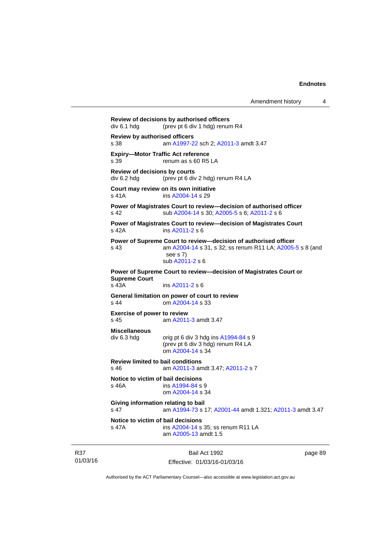```
Amendment history 4
```
**Review of decisions by authorised officers**  div 6.1 hdg (prev pt 6 div 1 hdg) renum R4 **Review by authorised officers** s 38 am [A1997-22](http://www.legislation.act.gov.au/a/1997-22) sch 2; [A2011-3](http://www.legislation.act.gov.au/a/2011-3) amdt 3.47 **Expiry—Motor Traffic Act reference**  s 39 renum as s 60 R5 LA **Review of decisions by courts**  div 6.2 hdg (prev pt 6 div 2 hdg) renum R4 LA **Court may review on its own initiative** s 41A **ins [A2004-14](http://www.legislation.act.gov.au/a/2004-14) s 29 Power of Magistrates Court to review—decision of authorised officer**  s 42 sub [A2004-14](http://www.legislation.act.gov.au/a/2004-14) s 30; [A2005-5](http://www.legislation.act.gov.au/a/2005-5) s 6; [A2011-2](http://www.legislation.act.gov.au/a/2011-2) s 6 **Power of Magistrates Court to review—decision of Magistrates Court**  s 42A ins [A2011-2](http://www.legislation.act.gov.au/a/2011-2) s 6 **Power of Supreme Court to review—decision of authorised officer**  s 43 am [A2004-14](http://www.legislation.act.gov.au/a/2004-14) s 31, s 32; ss renum R11 LA; [A2005-5](http://www.legislation.act.gov.au/a/2005-5) s 8 (and see s 7) sub [A2011-2](http://www.legislation.act.gov.au/a/2011-2) s 6 **Power of Supreme Court to review—decision of Magistrates Court or Supreme Court**  s 43A ins [A2011-2](http://www.legislation.act.gov.au/a/2011-2) s 6 **General limitation on power of court to review** s 44 om [A2004-14](http://www.legislation.act.gov.au/a/2004-14) s 33 **Exercise of power to review**  s 45 am [A2011-3](http://www.legislation.act.gov.au/a/2011-3) amdt 3.47 **Miscellaneous**   $div 6.3$  hdg orig pt 6 div 3 hdg ins  $A1994-84$  s 9 (prev pt 6 div 3 hdg) renum R4 LA om [A2004-14](http://www.legislation.act.gov.au/a/2004-14) s 34 **Review limited to bail conditions**  s 46 am [A2011-3](http://www.legislation.act.gov.au/a/2011-3) amdt 3.47; [A2011-2](http://www.legislation.act.gov.au/a/2011-2) s 7 **Notice to victim of bail decisions** s 46A ins [A1994-84](http://www.legislation.act.gov.au/a/1994-84) s 9 om [A2004-14](http://www.legislation.act.gov.au/a/2004-14) s 34 **Giving information relating to bail** s 47 am [A1994-73](http://www.legislation.act.gov.au/a/1994-73) s 17; [A2001-44](http://www.legislation.act.gov.au/a/2001-44) amdt 1.321; [A2011-3](http://www.legislation.act.gov.au/a/2011-3) amdt 3.47 **Notice to victim of bail decisions** s 47A ins [A2004-14](http://www.legislation.act.gov.au/a/2004-14) s 35; ss renum R11 LA am [A2005-13](http://www.legislation.act.gov.au/a/2005-13) amdt 1.5

R37 01/03/16

Bail Act 1992 Effective: 01/03/16-01/03/16 page 89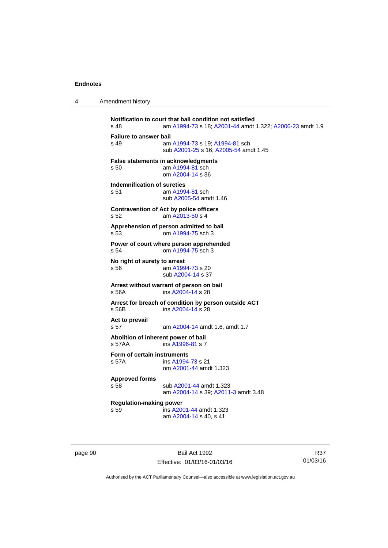| 4 | Amendment history |
|---|-------------------|
|---|-------------------|

```
Notification to court that bail condition not satisfied<br>s 48 am A1994-73 s 18: A2001-44 amdt
                 A1994-73A2001-44 A2006-23 amdt 1.9
Failure to answer bail
s 49 am A1994-73 s 19; A1994-81 sch 
                 sub A2001-25 s 16; A2005-54 amdt 1.45
False statements in acknowledgments
s 50 am A1994-81 sch 
                 om A2004-14 s 36 
Indemnification of sureties
 A1994-81 sch
                 sub A2005-54 amdt 1.46 
Contravention of Act by police officers 
s 52 am A2013-50 s 4 
Apprehension of person admitted to bail
s 53 om A1994-75 sch 3 
Power of court where person apprehended
s 54 om A1994-75 sch 3 
No right of surety to arrest
s 56 am A1994-73 s 20 
                 sub A2004-14 s 37 
Arrest without warrant of person on bail
s 56A ins A2004-14 s 28 
Arrest for breach of condition by person outside ACT
s 56B ins A2004-14 s 28 
Act to prevail 
s 57 am A2004-14 amdt 1.6, amdt 1.7 
Abolition of inherent power of bail
s 57AA  A1996-81 s 7
Form of certain instruments
s 57A ins A1994-73 s 21 
                 om A2001-44 amdt 1.323
Approved forms 
s 58 sub A2001-44 amdt 1.323 
                 am A2004-14 s 39; A2011-3 amdt 3.48 
Regulation-making power 
                A2001-44 amdt 1.323
                 am A2004-14 s 40, s 41
```
page 90 Bail Act 1992 Effective: 01/03/16-01/03/16

R37 01/03/16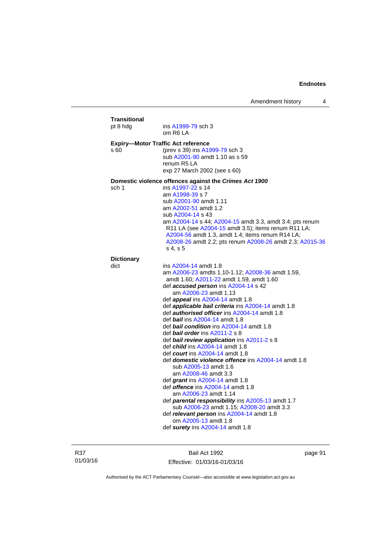| <b>Transitional</b><br>pt 8 hdg | ins A1999-79 sch 3<br>om R6 LA                                                                                                                                                                                                                                                                                                                                                                                                                                                                                                                                                                                                                                                                                                                                                                                                                                                                                                                                                                                                                      |
|---------------------------------|-----------------------------------------------------------------------------------------------------------------------------------------------------------------------------------------------------------------------------------------------------------------------------------------------------------------------------------------------------------------------------------------------------------------------------------------------------------------------------------------------------------------------------------------------------------------------------------------------------------------------------------------------------------------------------------------------------------------------------------------------------------------------------------------------------------------------------------------------------------------------------------------------------------------------------------------------------------------------------------------------------------------------------------------------------|
| s 60                            | <b>Expiry-Motor Traffic Act reference</b><br>(prev s 39) ins A1999-79 sch 3<br>sub A2001-90 amdt 1.10 as s 59<br>renum R <sub>5</sub> LA<br>exp 27 March 2002 (see s 60)                                                                                                                                                                                                                                                                                                                                                                                                                                                                                                                                                                                                                                                                                                                                                                                                                                                                            |
| sch 1                           | Domestic violence offences against the Crimes Act 1900<br>ins A1997-22 s 14<br>am A1998-39 s 7<br>sub A2001-90 amdt 1.11<br>am A2002-51 amdt 1.2<br>sub A2004-14 s 43<br>am A2004-14 s 44; A2004-15 amdt 3.3, amdt 3.4; pts renum<br>R11 LA (see A2004-15 amdt 3.5); items renum R11 LA;<br>A2004-56 amdt 1.3, amdt 1.4; items renum R14 LA;<br>A2008-26 amdt 2.2; pts renum A2008-26 amdt 2.3; A2015-36<br>s 4, s 5                                                                                                                                                                                                                                                                                                                                                                                                                                                                                                                                                                                                                                |
| <b>Dictionary</b>               |                                                                                                                                                                                                                                                                                                                                                                                                                                                                                                                                                                                                                                                                                                                                                                                                                                                                                                                                                                                                                                                     |
| dict                            | ins A2004-14 amdt 1.8<br>am A2006-23 amdts 1.10-1.12; A2008-36 amdt 1.59,<br>amdt 1.60; A2011-22 amdt 1.59, amdt 1.60<br>def <b>accused person</b> ins A2004-14 s 42<br>am A2006-23 amdt 1.13<br>def appeal ins A2004-14 amdt 1.8<br>def <b>applicable bail criteria</b> ins A2004-14 amdt 1.8<br>def <b>authorised officer</b> ins A2004-14 amdt 1.8<br>def bail ins A2004-14 amdt 1.8<br>def bail condition ins A2004-14 amdt 1.8<br>def bail order ins A2011-2 s 8<br>def <b>bail review application</b> ins A2011-2 s 8<br>def <i>child</i> ins A2004-14 amdt 1.8<br>def <i>court</i> ins A2004-14 amdt 1.8<br>def <b>domestic violence offence</b> ins A2004-14 amdt 1.8<br>sub A2005-13 amdt 1.6<br>am A2008-46 amdt 3.3<br>def grant ins $A2004-14$ amdt 1.8<br>def <i>offence</i> ins A2004-14 amdt 1.8<br>am A2006-23 amdt 1.14<br>def parental responsibility ins A2005-13 amdt 1.7<br>sub A2006-23 amdt 1.15; A2008-20 amdt 3.3<br>def relevant person ins A2004-14 amdt 1.8<br>om A2005-13 amdt 1.8<br>def surety ins A2004-14 amdt 1.8 |

R37 01/03/16

Bail Act 1992 Effective: 01/03/16-01/03/16 page 91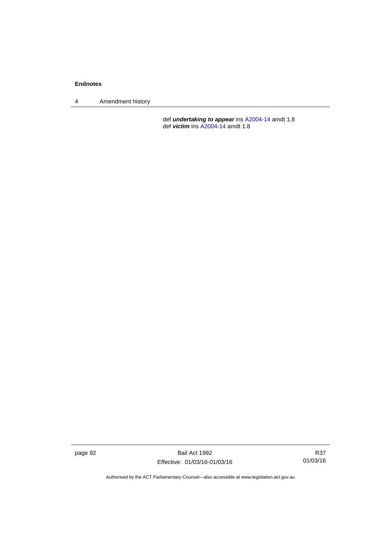4 Amendment history

 def *undertaking to appear* ins [A2004-14](http://www.legislation.act.gov.au/a/2004-14) amdt 1.8 def *victim* ins [A2004-14](http://www.legislation.act.gov.au/a/2004-14) amdt 1.8

page 92 Bail Act 1992 Effective: 01/03/16-01/03/16

R37 01/03/16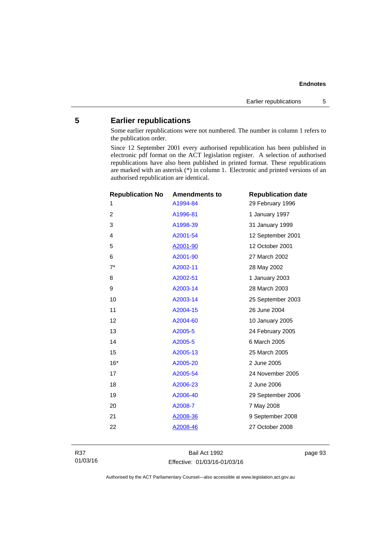## **5 Earlier republications**

Some earlier republications were not numbered. The number in column 1 refers to the publication order.

Since 12 September 2001 every authorised republication has been published in electronic pdf format on the ACT legislation register. A selection of authorised republications have also been published in printed format. These republications are marked with an asterisk (\*) in column 1. Electronic and printed versions of an authorised republication are identical.

| <b>Republication No</b> | <b>Amendments to</b> | <b>Republication date</b> |
|-------------------------|----------------------|---------------------------|
| 1                       | A1994-84             | 29 February 1996          |
| 2                       | A1996-81             | 1 January 1997            |
| 3                       | A1998-39             | 31 January 1999           |
| 4                       | A2001-54             | 12 September 2001         |
| 5                       | A2001-90             | 12 October 2001           |
| 6                       | A2001-90             | 27 March 2002             |
| $7^*$                   | A2002-11             | 28 May 2002               |
| 8                       | A2002-51             | 1 January 2003            |
| 9                       | A2003-14             | 28 March 2003             |
| 10                      | A2003-14             | 25 September 2003         |
| 11                      | A2004-15             | 26 June 2004              |
| 12                      | A2004-60             | 10 January 2005           |
| 13                      | A2005-5              | 24 February 2005          |
| 14                      | A2005-5              | 6 March 2005              |
| 15                      | A2005-13             | 25 March 2005             |
| $16*$                   | A2005-20             | 2 June 2005               |
| 17                      | A2005-54             | 24 November 2005          |
| 18                      | A2006-23             | 2 June 2006               |
| 19                      | A2006-40             | 29 September 2006         |
| 20                      | A2008-7              | 7 May 2008                |
| 21                      | A2008-36             | 9 September 2008          |
| 22                      | A2008-46             | 27 October 2008           |
|                         |                      |                           |

Bail Act 1992 Effective: 01/03/16-01/03/16 page 93